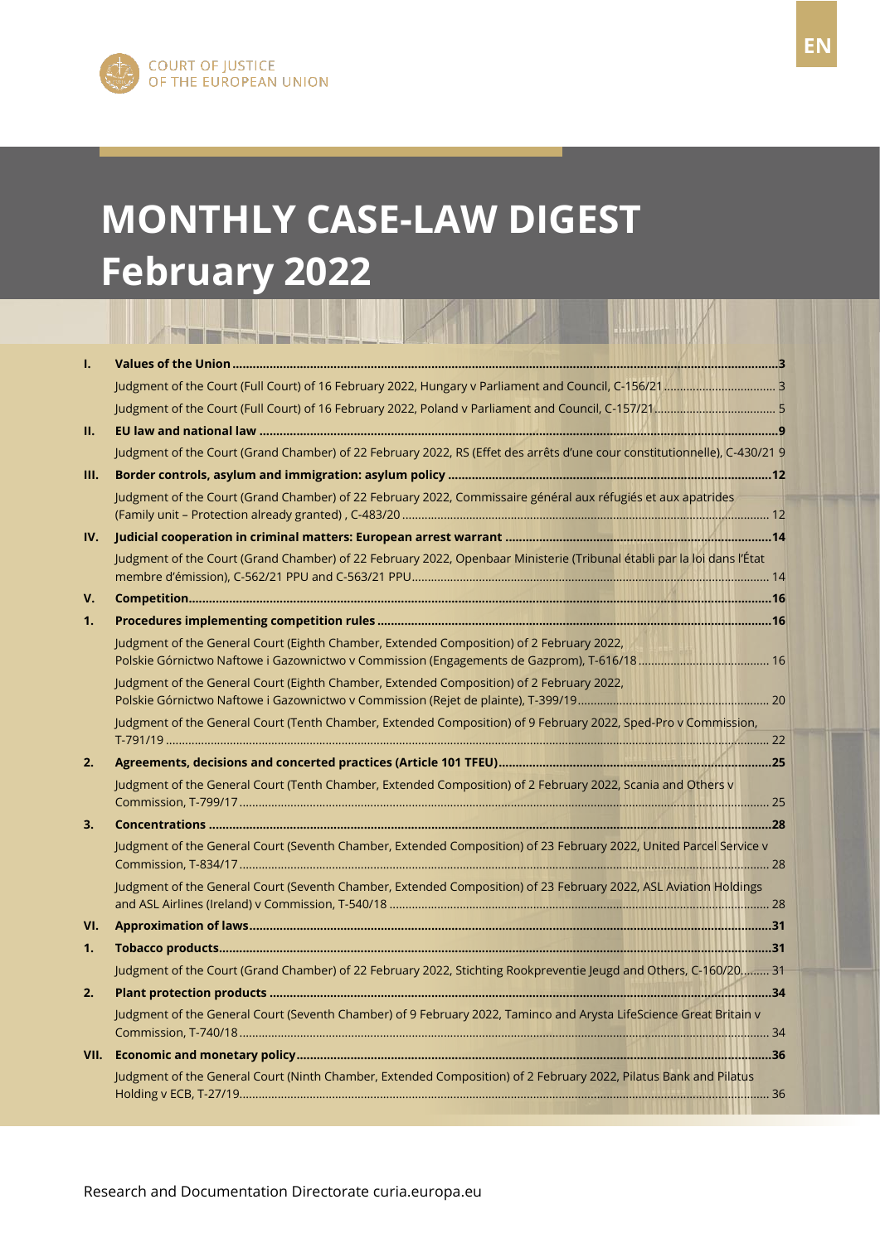# **MONTHLY CASE-LAW DIGEST February 2022**

|     | <b>COLOR COMPANY AND RESIDENTS AND RESIDENTS</b><br>the contract of the contract of the contract of the contract of the contract of the contract of the contract of |
|-----|---------------------------------------------------------------------------------------------------------------------------------------------------------------------|
| I.  |                                                                                                                                                                     |
|     |                                                                                                                                                                     |
|     |                                                                                                                                                                     |
| П.  |                                                                                                                                                                     |
|     | Judgment of the Court (Grand Chamber) of 22 February 2022, RS (Effet des arrêts d'une cour constitutionnelle), C-430/21 9                                           |
| Ш.  |                                                                                                                                                                     |
|     | Judgment of the Court (Grand Chamber) of 22 February 2022, Commissaire général aux réfugiés et aux apatrides                                                        |
| IV. |                                                                                                                                                                     |
|     | Judgment of the Court (Grand Chamber) of 22 February 2022, Openbaar Ministerie (Tribunal établi par la loi dans l'État                                              |
| V.  |                                                                                                                                                                     |
| 1.  |                                                                                                                                                                     |
|     | Judgment of the General Court (Eighth Chamber, Extended Composition) of 2 February 2022,                                                                            |
|     | Judgment of the General Court (Eighth Chamber, Extended Composition) of 2 February 2022,                                                                            |
|     | Judgment of the General Court (Tenth Chamber, Extended Composition) of 9 February 2022, Sped-Pro v Commission,                                                      |
| 2.  |                                                                                                                                                                     |
|     | Judgment of the General Court (Tenth Chamber, Extended Composition) of 2 February 2022, Scania and Others v                                                         |
| 3.  |                                                                                                                                                                     |
|     | Judgment of the General Court (Seventh Chamber, Extended Composition) of 23 February 2022, United Parcel Service v                                                  |
|     | Judgment of the General Court (Seventh Chamber, Extended Composition) of 23 February 2022, ASL Aviation Holdings                                                    |
| VI. |                                                                                                                                                                     |
| 1.  |                                                                                                                                                                     |
|     | Judgment of the Court (Grand Chamber) of 22 February 2022, Stichting Rookpreventie Jeugd and Others, C-160/20 31                                                    |
| 2.  |                                                                                                                                                                     |
|     | Judgment of the General Court (Seventh Chamber) of 9 February 2022, Taminco and Arysta LifeScience Great Britain v                                                  |
|     |                                                                                                                                                                     |
|     | Judgment of the General Court (Ninth Chamber, Extended Composition) of 2 February 2022, Pilatus Bank and Pilatus                                                    |
|     |                                                                                                                                                                     |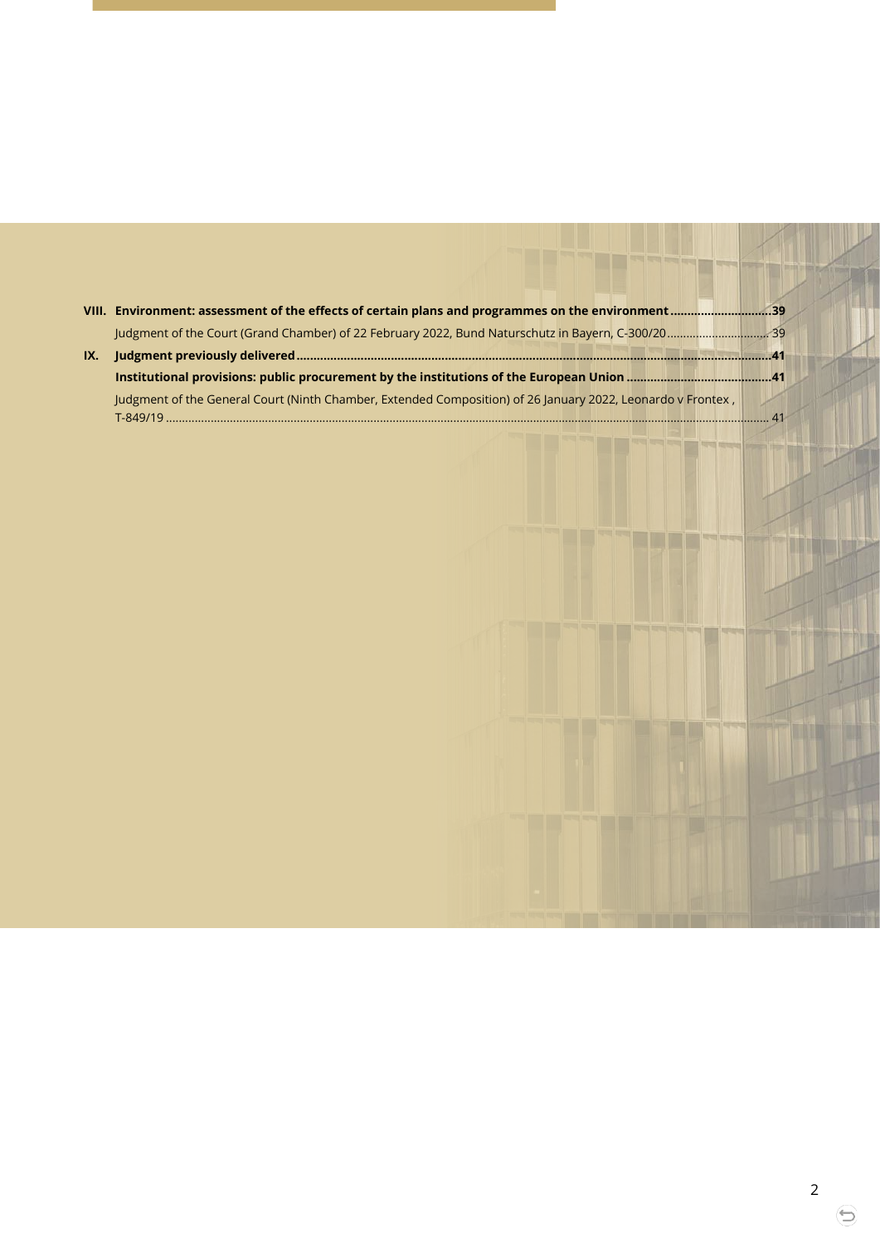| IX. |                                                                                                             |  |
|-----|-------------------------------------------------------------------------------------------------------------|--|
|     |                                                                                                             |  |
|     | Judgment of the General Court (Ninth Chamber, Extended Composition) of 26 January 2022, Leonardo v Frontex, |  |
|     | $T - 849/19$                                                                                                |  |

EDER

⊜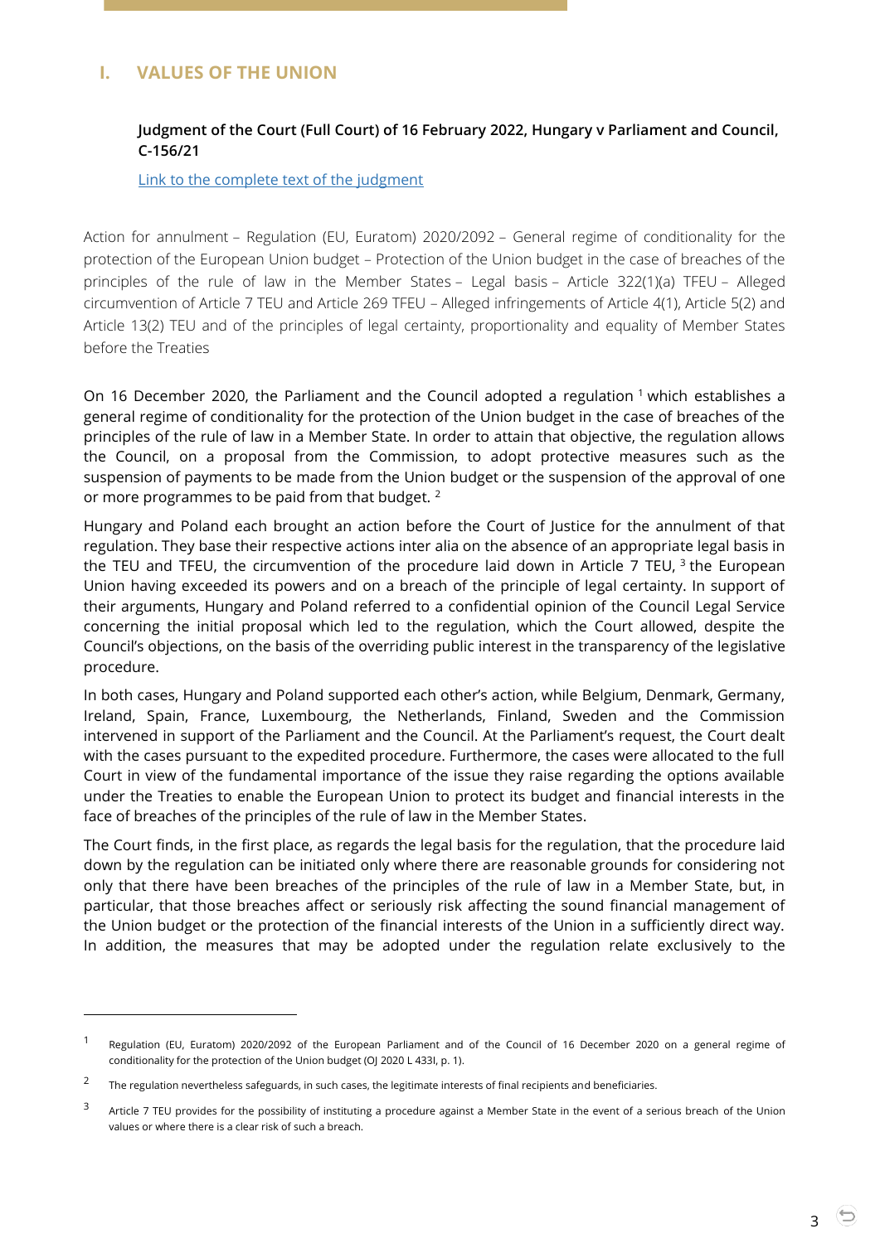# <span id="page-2-1"></span><span id="page-2-0"></span>**I. VALUES OF THE UNION**

## **Judgment of the Court (Full Court) of 16 February 2022, Hungary v Parliament and Council, C-156/21**

[Link to the complete text of the](https://curia.europa.eu/juris/document/document.jsf?text=&docid=254061&pageIndex=0&doclang=EN&mode=lst&dir=&occ=first&part=1&cid=1812150) judgment

Action for annulment – Regulation (EU, Euratom) 2020/2092 – General regime of conditionality for the protection of the European Union budget – Protection of the Union budget in the case of breaches of the principles of the rule of law in the Member States – Legal basis – Article 322(1)(a) TFEU – Alleged circumvention of Article 7 TEU and Article 269 TFEU – Alleged infringements of Article 4(1), Article 5(2) and Article 13(2) TEU and of the principles of legal certainty, proportionality and equality of Member States before the Treaties

On 16 December 2020, the Parliament and the Council adopted a regulation  $1$  which establishes a general regime of conditionality for the protection of the Union budget in the case of breaches of the principles of the rule of law in a Member State. In order to attain that objective, the regulation allows the Council, on a proposal from the Commission, to adopt protective measures such as the suspension of payments to be made from the Union budget or the suspension of the approval of one or more programmes to be paid from that budget.<sup>2</sup>

Hungary and Poland each brought an action before the Court of Justice for the annulment of that regulation. They base their respective actions inter alia on the absence of an appropriate legal basis in the TEU and TFEU, the circumvention of the procedure laid down in Article 7 TEU,  $^3$  the European Union having exceeded its powers and on a breach of the principle of legal certainty. In support of their arguments, Hungary and Poland referred to a confidential opinion of the Council Legal Service concerning the initial proposal which led to the regulation, which the Court allowed, despite the Council's objections, on the basis of the overriding public interest in the transparency of the legislative procedure.

In both cases, Hungary and Poland supported each other's action, while Belgium, Denmark, Germany, Ireland, Spain, France, Luxembourg, the Netherlands, Finland, Sweden and the Commission intervened in support of the Parliament and the Council. At the Parliament's request, the Court dealt with the cases pursuant to the expedited procedure. Furthermore, the cases were allocated to the full Court in view of the fundamental importance of the issue they raise regarding the options available under the Treaties to enable the European Union to protect its budget and financial interests in the face of breaches of the principles of the rule of law in the Member States.

The Court finds, in the first place, as regards the legal basis for the regulation, that the procedure laid down by the regulation can be initiated only where there are reasonable grounds for considering not only that there have been breaches of the principles of the rule of law in a Member State, but, in particular, that those breaches affect or seriously risk affecting the sound financial management of the Union budget or the protection of the financial interests of the Union in a sufficiently direct way. In addition, the measures that may be adopted under the regulation relate exclusively to the

<sup>1</sup> Regulation (EU, Euratom) 2020/2092 of the European Parliament and of the Council of 16 December 2020 on a general regime of conditionality for the protection of the Union budget (OJ 2020 L 433I, p. 1).

<sup>2</sup> The regulation nevertheless safeguards, in such cases, the legitimate interests of final recipients and beneficiaries.

<sup>3</sup> Article 7 TEU provides for the possibility of instituting a procedure against a Member State in the event of a serious breach of the Union values or where there is a clear risk of such a breach.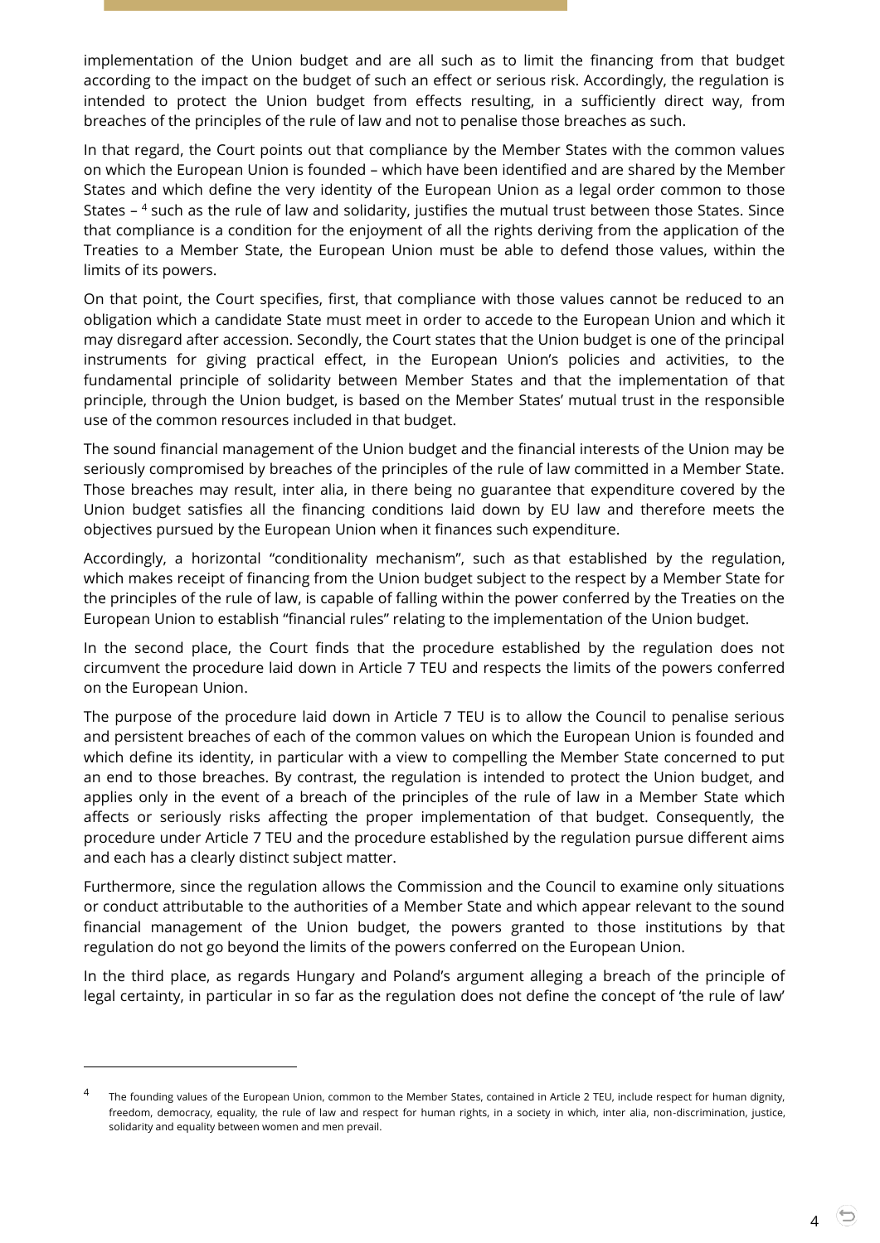implementation of the Union budget and are all such as to limit the financing from that budget according to the impact on the budget of such an effect or serious risk. Accordingly, the regulation is intended to protect the Union budget from effects resulting, in a sufficiently direct way, from breaches of the principles of the rule of law and not to penalise those breaches as such.

In that regard, the Court points out that compliance by the Member States with the common values on which the European Union is founded – which have been identified and are shared by the Member States and which define the very identity of the European Union as a legal order common to those States – <sup>4</sup> such as the rule of law and solidarity, justifies the mutual trust between those States. Since that compliance is a condition for the enjoyment of all the rights deriving from the application of the Treaties to a Member State, the European Union must be able to defend those values, within the limits of its powers.

On that point, the Court specifies, first, that compliance with those values cannot be reduced to an obligation which a candidate State must meet in order to accede to the European Union and which it may disregard after accession. Secondly, the Court states that the Union budget is one of the principal instruments for giving practical effect, in the European Union's policies and activities, to the fundamental principle of solidarity between Member States and that the implementation of that principle, through the Union budget, is based on the Member States' mutual trust in the responsible use of the common resources included in that budget.

The sound financial management of the Union budget and the financial interests of the Union may be seriously compromised by breaches of the principles of the rule of law committed in a Member State. Those breaches may result, inter alia, in there being no guarantee that expenditure covered by the Union budget satisfies all the financing conditions laid down by EU law and therefore meets the objectives pursued by the European Union when it finances such expenditure.

Accordingly, a horizontal "conditionality mechanism", such as that established by the regulation, which makes receipt of financing from the Union budget subject to the respect by a Member State for the principles of the rule of law, is capable of falling within the power conferred by the Treaties on the European Union to establish "financial rules" relating to the implementation of the Union budget.

In the second place, the Court finds that the procedure established by the regulation does not circumvent the procedure laid down in Article 7 TEU and respects the limits of the powers conferred on the European Union.

The purpose of the procedure laid down in Article 7 TEU is to allow the Council to penalise serious and persistent breaches of each of the common values on which the European Union is founded and which define its identity, in particular with a view to compelling the Member State concerned to put an end to those breaches. By contrast, the regulation is intended to protect the Union budget, and applies only in the event of a breach of the principles of the rule of law in a Member State which affects or seriously risks affecting the proper implementation of that budget. Consequently, the procedure under Article 7 TEU and the procedure established by the regulation pursue different aims and each has a clearly distinct subject matter.

Furthermore, since the regulation allows the Commission and the Council to examine only situations or conduct attributable to the authorities of a Member State and which appear relevant to the sound financial management of the Union budget, the powers granted to those institutions by that regulation do not go beyond the limits of the powers conferred on the European Union.

In the third place, as regards Hungary and Poland's argument alleging a breach of the principle of legal certainty, in particular in so far as the regulation does not define the concept of 'the rule of law'

<sup>4</sup> The founding values of the European Union, common to the Member States, contained in Article 2 TEU, include respect for human dignity, freedom, democracy, equality, the rule of law and respect for human rights, in a society in which, inter alia, non-discrimination, justice, solidarity and equality between women and men prevail.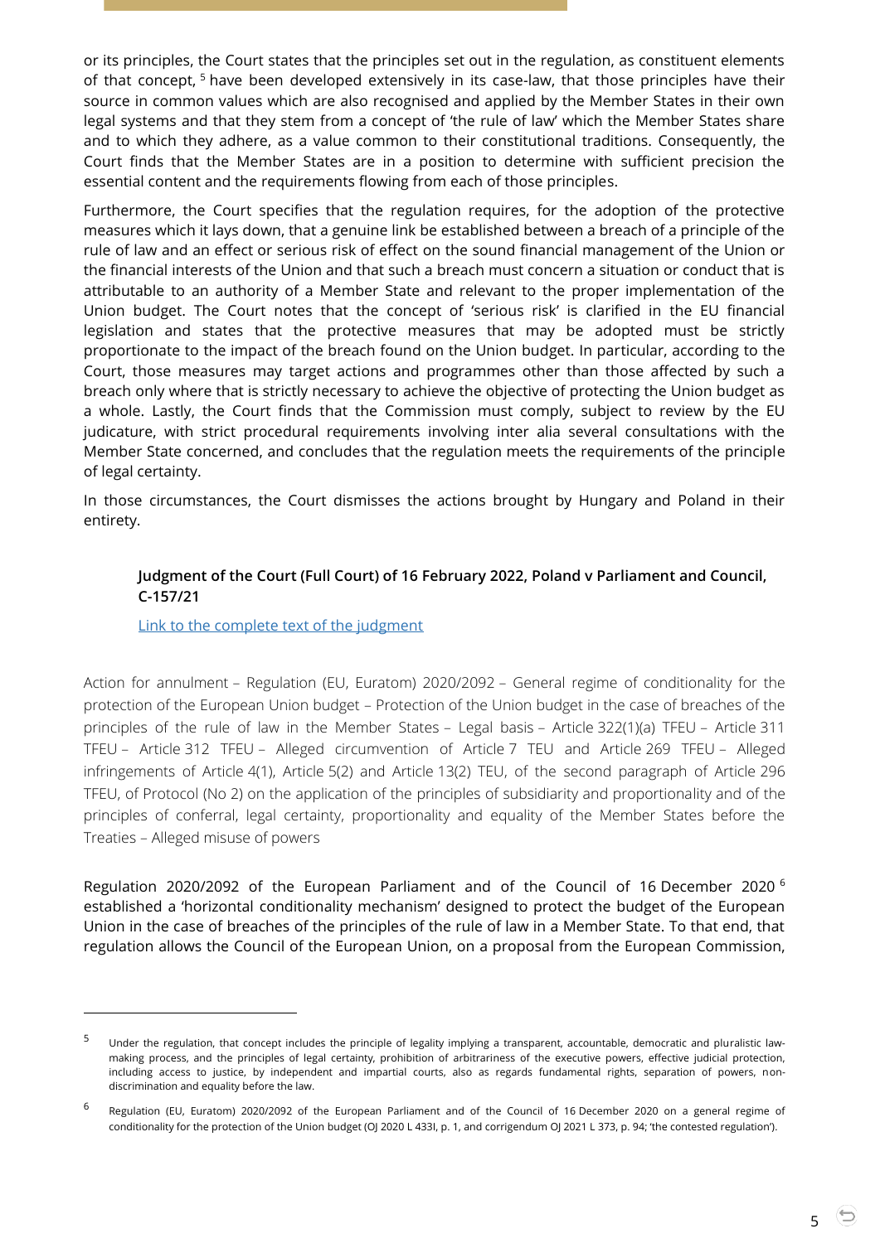or its principles, the Court states that the principles set out in the regulation, as constituent elements of that concept, <sup>5</sup> have been developed extensively in its case-law, that those principles have their source in common values which are also recognised and applied by the Member States in their own legal systems and that they stem from a concept of 'the rule of law' which the Member States share and to which they adhere, as a value common to their constitutional traditions. Consequently, the Court finds that the Member States are in a position to determine with sufficient precision the essential content and the requirements flowing from each of those principles.

Furthermore, the Court specifies that the regulation requires, for the adoption of the protective measures which it lays down, that a genuine link be established between a breach of a principle of the rule of law and an effect or serious risk of effect on the sound financial management of the Union or the financial interests of the Union and that such a breach must concern a situation or conduct that is attributable to an authority of a Member State and relevant to the proper implementation of the Union budget. The Court notes that the concept of 'serious risk' is clarified in the EU financial legislation and states that the protective measures that may be adopted must be strictly proportionate to the impact of the breach found on the Union budget. In particular, according to the Court, those measures may target actions and programmes other than those affected by such a breach only where that is strictly necessary to achieve the objective of protecting the Union budget as a whole. Lastly, the Court finds that the Commission must comply, subject to review by the EU judicature, with strict procedural requirements involving inter alia several consultations with the Member State concerned, and concludes that the regulation meets the requirements of the principle of legal certainty.

<span id="page-4-0"></span>In those circumstances, the Court dismisses the actions brought by Hungary and Poland in their entirety.

## **Judgment of the Court (Full Court) of 16 February 2022, Poland v Parliament and Council, C-157/21**

[Link to the complete text of the judgment](https://curia.europa.eu/juris/document/document.jsf?text=&docid=254062&pageIndex=0&doclang=EN&mode=lst&dir=&occ=first&part=1&cid=1812395)

 $\overline{a}$ 

Action for annulment – Regulation (EU, Euratom) 2020/2092 – General regime of conditionality for the protection of the European Union budget – Protection of the Union budget in the case of breaches of the principles of the rule of law in the Member States – Legal basis – Article 322(1)(a) TFEU – Article 311 TFEU – Article 312 TFEU – Alleged circumvention of Article 7 TEU and Article 269 TFEU – Alleged infringements of Article 4(1), Article 5(2) and Article 13(2) TEU, of the second paragraph of Article 296 TFEU, of Protocol (No 2) on the application of the principles of subsidiarity and proportionality and of the principles of conferral, legal certainty, proportionality and equality of the Member States before the Treaties – Alleged misuse of powers

Regulation 2020/2092 of the European Parliament and of the Council of 16 December 2020 <sup>6</sup> established a 'horizontal conditionality mechanism' designed to protect the budget of the European Union in the case of breaches of the principles of the rule of law in a Member State. To that end, that regulation allows the Council of the European Union, on a proposal from the European Commission,

<sup>5</sup> Under the regulation, that concept includes the principle of legality implying a transparent, accountable, democratic and pluralistic lawmaking process, and the principles of legal certainty, prohibition of arbitrariness of the executive powers, effective judicial protection, including access to justice, by independent and impartial courts, also as regards fundamental rights, separation of powers, nondiscrimination and equality before the law.

<sup>6</sup> Regulation (EU, Euratom) 2020/2092 of the European Parliament and of the Council of 16 December 2020 on a general regime of conditionality for the protection of the Union budget (OJ 2020 L 433I, p. 1, and corrigendum OJ 2021 L 373, p. 94; 'the contested regulation').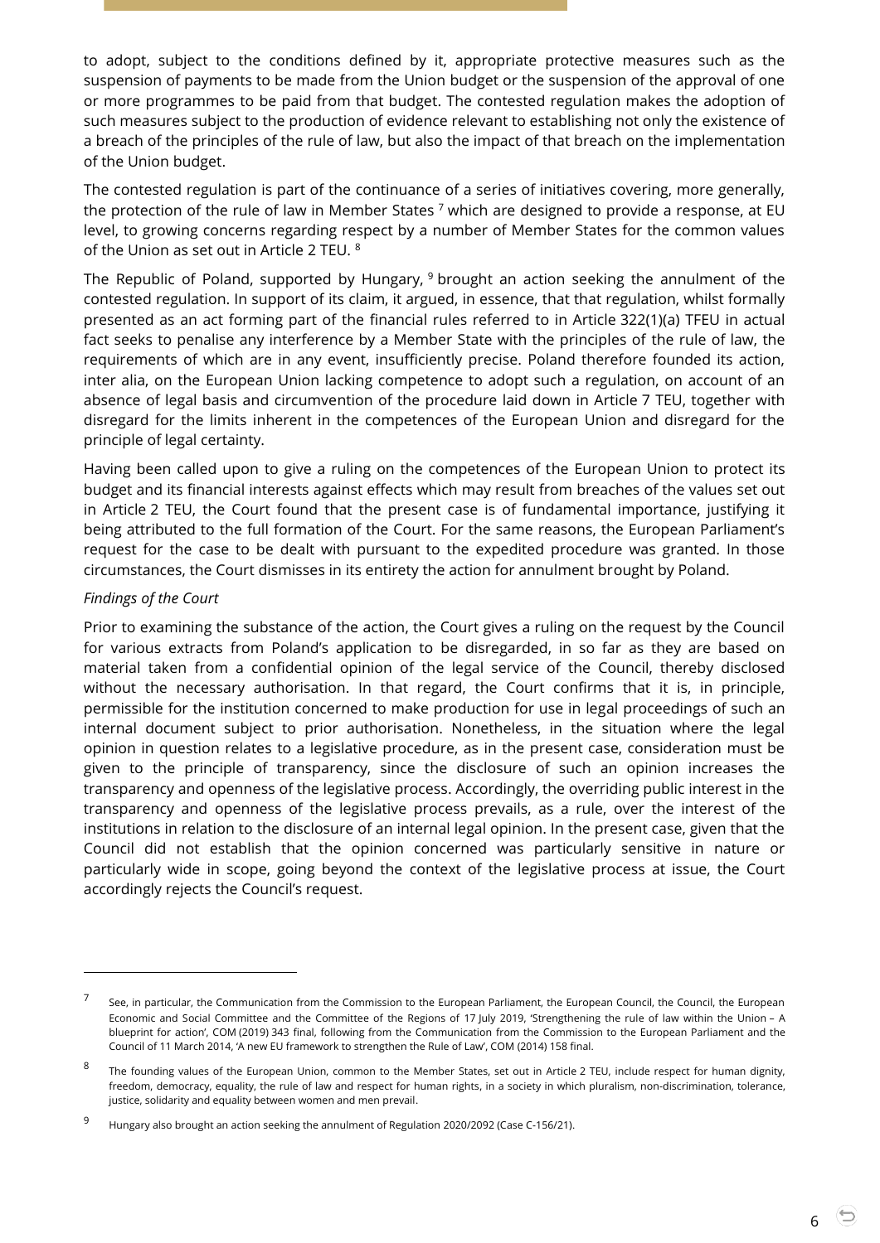to adopt, subject to the conditions defined by it, appropriate protective measures such as the suspension of payments to be made from the Union budget or the suspension of the approval of one or more programmes to be paid from that budget. The contested regulation makes the adoption of such measures subject to the production of evidence relevant to establishing not only the existence of a breach of the principles of the rule of law, but also the impact of that breach on the implementation of the Union budget.

The contested regulation is part of the continuance of a series of initiatives covering, more generally, the protection of the rule of law in Member States  $^7$  which are designed to provide a response, at EU level, to growing concerns regarding respect by a number of Member States for the common values of the Union as set out in Article 2 TEU. <sup>8</sup>

The Republic of Poland, supported by Hungary, <sup>9</sup> brought an action seeking the annulment of the contested regulation. In support of its claim, it argued, in essence, that that regulation, whilst formally presented as an act forming part of the financial rules referred to in Article 322(1)(a) TFEU in actual fact seeks to penalise any interference by a Member State with the principles of the rule of law, the requirements of which are in any event, insufficiently precise. Poland therefore founded its action, inter alia, on the European Union lacking competence to adopt such a regulation, on account of an absence of legal basis and circumvention of the procedure laid down in Article 7 TEU, together with disregard for the limits inherent in the competences of the European Union and disregard for the principle of legal certainty.

Having been called upon to give a ruling on the competences of the European Union to protect its budget and its financial interests against effects which may result from breaches of the values set out in Article 2 TEU, the Court found that the present case is of fundamental importance, justifying it being attributed to the full formation of the Court. For the same reasons, the European Parliament's request for the case to be dealt with pursuant to the expedited procedure was granted. In those circumstances, the Court dismisses in its entirety the action for annulment brought by Poland.

#### *Findings of the Court*

-

Prior to examining the substance of the action, the Court gives a ruling on the request by the Council for various extracts from Poland's application to be disregarded, in so far as they are based on material taken from a confidential opinion of the legal service of the Council, thereby disclosed without the necessary authorisation. In that regard, the Court confirms that it is, in principle, permissible for the institution concerned to make production for use in legal proceedings of such an internal document subject to prior authorisation. Nonetheless, in the situation where the legal opinion in question relates to a legislative procedure, as in the present case, consideration must be given to the principle of transparency, since the disclosure of such an opinion increases the transparency and openness of the legislative process. Accordingly, the overriding public interest in the transparency and openness of the legislative process prevails, as a rule, over the interest of the institutions in relation to the disclosure of an internal legal opinion. In the present case, given that the Council did not establish that the opinion concerned was particularly sensitive in nature or particularly wide in scope, going beyond the context of the legislative process at issue, the Court accordingly rejects the Council's request.

<sup>7</sup> See, in particular, the Communication from the Commission to the European Parliament, the European Council, the Council, the European Economic and Social Committee and the Committee of the Regions of 17 July 2019, 'Strengthening the rule of law within the Union – A blueprint for action', COM (2019) 343 final, following from the Communication from the Commission to the European Parliament and the Council of 11 March 2014, 'A new EU framework to strengthen the Rule of Law', COM (2014) 158 final.

<sup>8</sup> The founding values of the European Union, common to the Member States, set out in Article 2 TEU, include respect for human dignity, freedom, democracy, equality, the rule of law and respect for human rights, in a society in which pluralism, non-discrimination, tolerance, justice, solidarity and equality between women and men prevail.

<sup>9</sup> Hungary also brought an action seeking the annulment of Regulation 2020/2092 (Case C-156/21).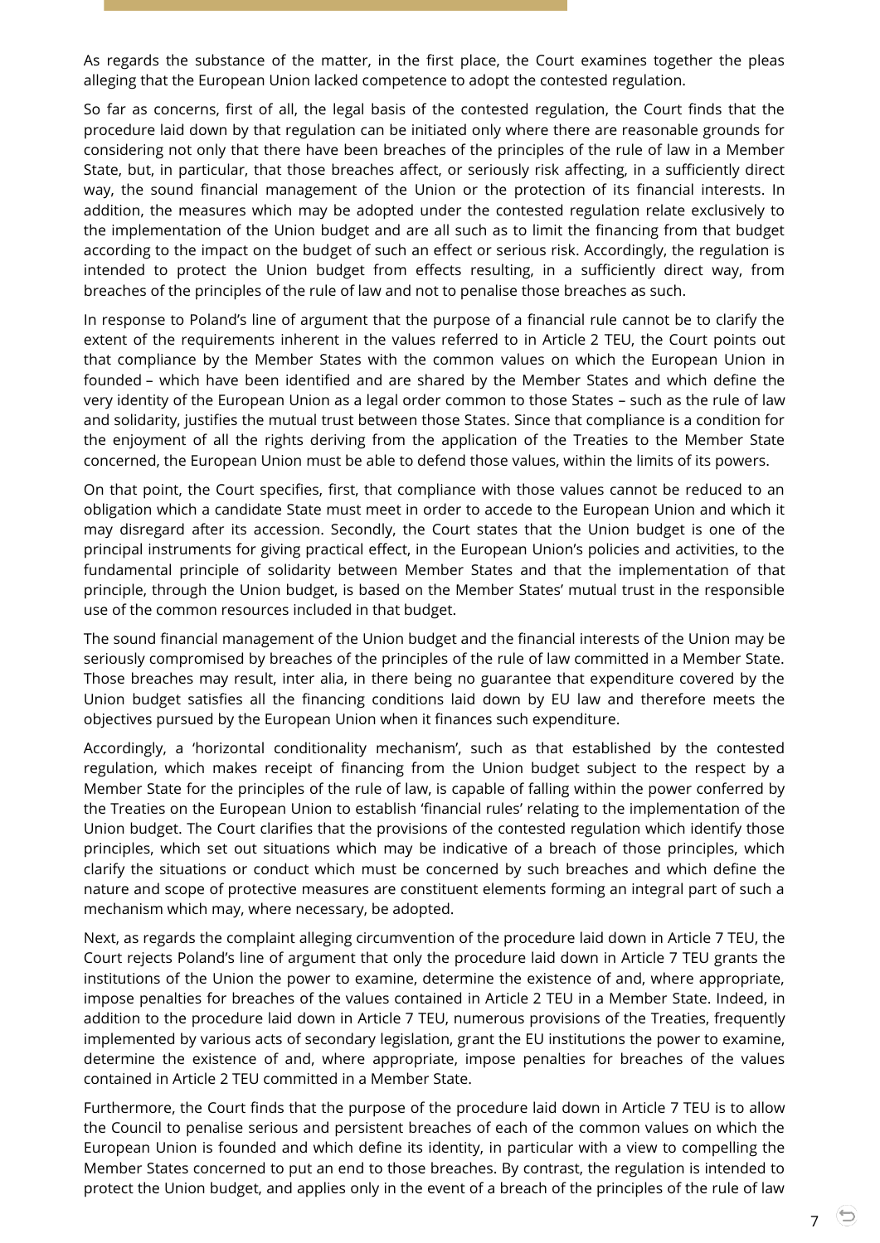As regards the substance of the matter, in the first place, the Court examines together the pleas alleging that the European Union lacked competence to adopt the contested regulation.

So far as concerns, first of all, the legal basis of the contested regulation, the Court finds that the procedure laid down by that regulation can be initiated only where there are reasonable grounds for considering not only that there have been breaches of the principles of the rule of law in a Member State, but, in particular, that those breaches affect, or seriously risk affecting, in a sufficiently direct way, the sound financial management of the Union or the protection of its financial interests. In addition, the measures which may be adopted under the contested regulation relate exclusively to the implementation of the Union budget and are all such as to limit the financing from that budget according to the impact on the budget of such an effect or serious risk. Accordingly, the regulation is intended to protect the Union budget from effects resulting, in a sufficiently direct way, from breaches of the principles of the rule of law and not to penalise those breaches as such.

In response to Poland's line of argument that the purpose of a financial rule cannot be to clarify the extent of the requirements inherent in the values referred to in Article 2 TEU, the Court points out that compliance by the Member States with the common values on which the European Union in founded – which have been identified and are shared by the Member States and which define the very identity of the European Union as a legal order common to those States – such as the rule of law and solidarity, justifies the mutual trust between those States. Since that compliance is a condition for the enjoyment of all the rights deriving from the application of the Treaties to the Member State concerned, the European Union must be able to defend those values, within the limits of its powers.

On that point, the Court specifies, first, that compliance with those values cannot be reduced to an obligation which a candidate State must meet in order to accede to the European Union and which it may disregard after its accession. Secondly, the Court states that the Union budget is one of the principal instruments for giving practical effect, in the European Union's policies and activities, to the fundamental principle of solidarity between Member States and that the implementation of that principle, through the Union budget, is based on the Member States' mutual trust in the responsible use of the common resources included in that budget.

The sound financial management of the Union budget and the financial interests of the Union may be seriously compromised by breaches of the principles of the rule of law committed in a Member State. Those breaches may result, inter alia, in there being no guarantee that expenditure covered by the Union budget satisfies all the financing conditions laid down by EU law and therefore meets the objectives pursued by the European Union when it finances such expenditure.

Accordingly, a 'horizontal conditionality mechanism', such as that established by the contested regulation, which makes receipt of financing from the Union budget subject to the respect by a Member State for the principles of the rule of law, is capable of falling within the power conferred by the Treaties on the European Union to establish 'financial rules' relating to the implementation of the Union budget. The Court clarifies that the provisions of the contested regulation which identify those principles, which set out situations which may be indicative of a breach of those principles, which clarify the situations or conduct which must be concerned by such breaches and which define the nature and scope of protective measures are constituent elements forming an integral part of such a mechanism which may, where necessary, be adopted.

Next, as regards the complaint alleging circumvention of the procedure laid down in Article 7 TEU, the Court rejects Poland's line of argument that only the procedure laid down in Article 7 TEU grants the institutions of the Union the power to examine, determine the existence of and, where appropriate, impose penalties for breaches of the values contained in Article 2 TEU in a Member State. Indeed, in addition to the procedure laid down in Article 7 TEU, numerous provisions of the Treaties, frequently implemented by various acts of secondary legislation, grant the EU institutions the power to examine, determine the existence of and, where appropriate, impose penalties for breaches of the values contained in Article 2 TEU committed in a Member State.

Furthermore, the Court finds that the purpose of the procedure laid down in Article 7 TEU is to allow the Council to penalise serious and persistent breaches of each of the common values on which the European Union is founded and which define its identity, in particular with a view to compelling the Member States concerned to put an end to those breaches. By contrast, the regulation is intended to protect the Union budget, and applies only in the event of a breach of the principles of the rule of law

7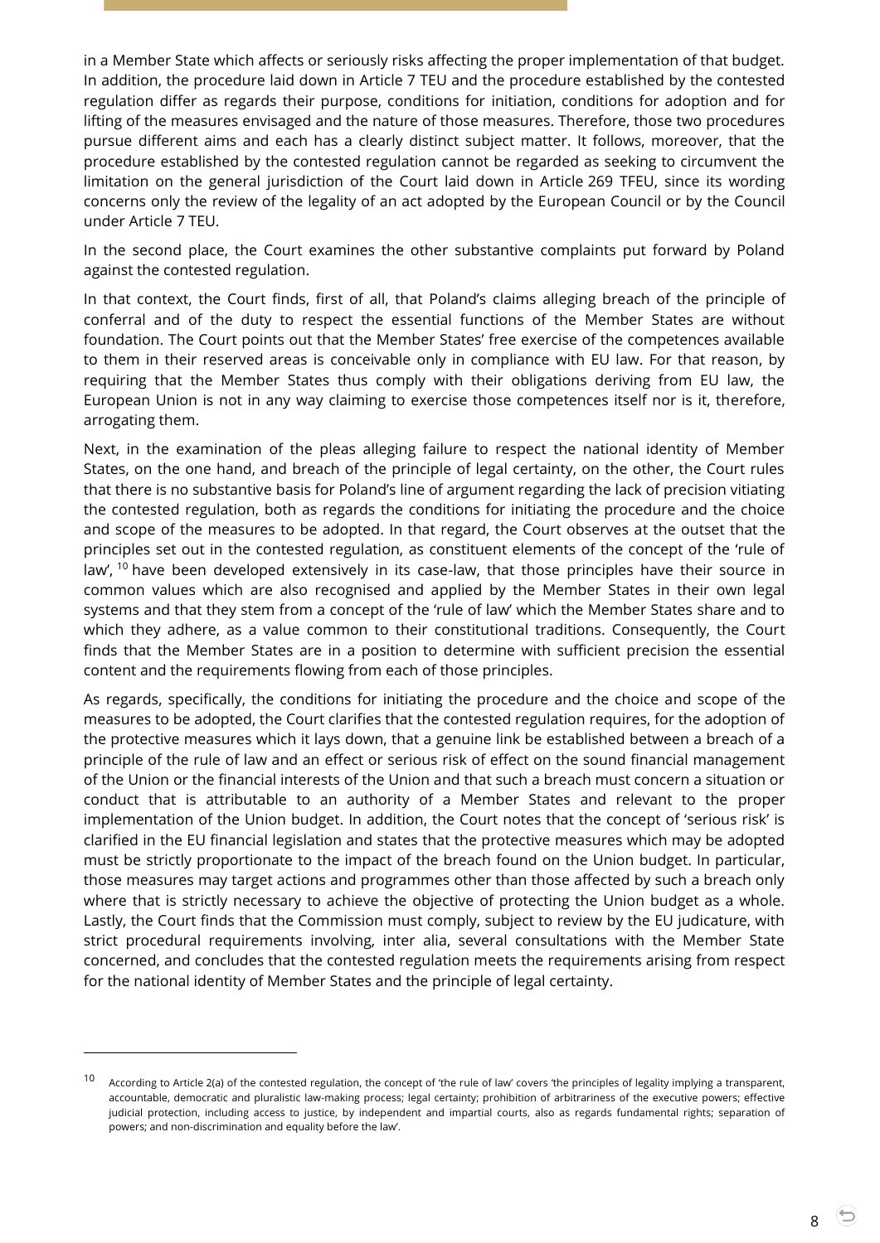in a Member State which affects or seriously risks affecting the proper implementation of that budget. In addition, the procedure laid down in Article 7 TEU and the procedure established by the contested regulation differ as regards their purpose, conditions for initiation, conditions for adoption and for lifting of the measures envisaged and the nature of those measures. Therefore, those two procedures pursue different aims and each has a clearly distinct subject matter. It follows, moreover, that the procedure established by the contested regulation cannot be regarded as seeking to circumvent the limitation on the general jurisdiction of the Court laid down in Article 269 TFEU, since its wording concerns only the review of the legality of an act adopted by the European Council or by the Council under Article 7 TEU.

In the second place, the Court examines the other substantive complaints put forward by Poland against the contested regulation.

In that context, the Court finds, first of all, that Poland's claims alleging breach of the principle of conferral and of the duty to respect the essential functions of the Member States are without foundation. The Court points out that the Member States' free exercise of the competences available to them in their reserved areas is conceivable only in compliance with EU law. For that reason, by requiring that the Member States thus comply with their obligations deriving from EU law, the European Union is not in any way claiming to exercise those competences itself nor is it, therefore, arrogating them.

Next, in the examination of the pleas alleging failure to respect the national identity of Member States, on the one hand, and breach of the principle of legal certainty, on the other, the Court rules that there is no substantive basis for Poland's line of argument regarding the lack of precision vitiating the contested regulation, both as regards the conditions for initiating the procedure and the choice and scope of the measures to be adopted. In that regard, the Court observes at the outset that the principles set out in the contested regulation, as constituent elements of the concept of the 'rule of law', <sup>10</sup> have been developed extensively in its case-law, that those principles have their source in common values which are also recognised and applied by the Member States in their own legal systems and that they stem from a concept of the 'rule of law' which the Member States share and to which they adhere, as a value common to their constitutional traditions. Consequently, the Court finds that the Member States are in a position to determine with sufficient precision the essential content and the requirements flowing from each of those principles.

As regards, specifically, the conditions for initiating the procedure and the choice and scope of the measures to be adopted, the Court clarifies that the contested regulation requires, for the adoption of the protective measures which it lays down, that a genuine link be established between a breach of a principle of the rule of law and an effect or serious risk of effect on the sound financial management of the Union or the financial interests of the Union and that such a breach must concern a situation or conduct that is attributable to an authority of a Member States and relevant to the proper implementation of the Union budget. In addition, the Court notes that the concept of 'serious risk' is clarified in the EU financial legislation and states that the protective measures which may be adopted must be strictly proportionate to the impact of the breach found on the Union budget. In particular, those measures may target actions and programmes other than those affected by such a breach only where that is strictly necessary to achieve the objective of protecting the Union budget as a whole. Lastly, the Court finds that the Commission must comply, subject to review by the EU judicature, with strict procedural requirements involving, inter alia, several consultations with the Member State concerned, and concludes that the contested regulation meets the requirements arising from respect for the national identity of Member States and the principle of legal certainty.

-

8

<sup>10</sup> According to Article 2(a) of the contested regulation, the concept of 'the rule of law' covers 'the principles of legality implying a transparent, accountable, democratic and pluralistic law-making process; legal certainty; prohibition of arbitrariness of the executive powers; effective judicial protection, including access to justice, by independent and impartial courts, also as regards fundamental rights; separation of powers; and non-discrimination and equality before the law'.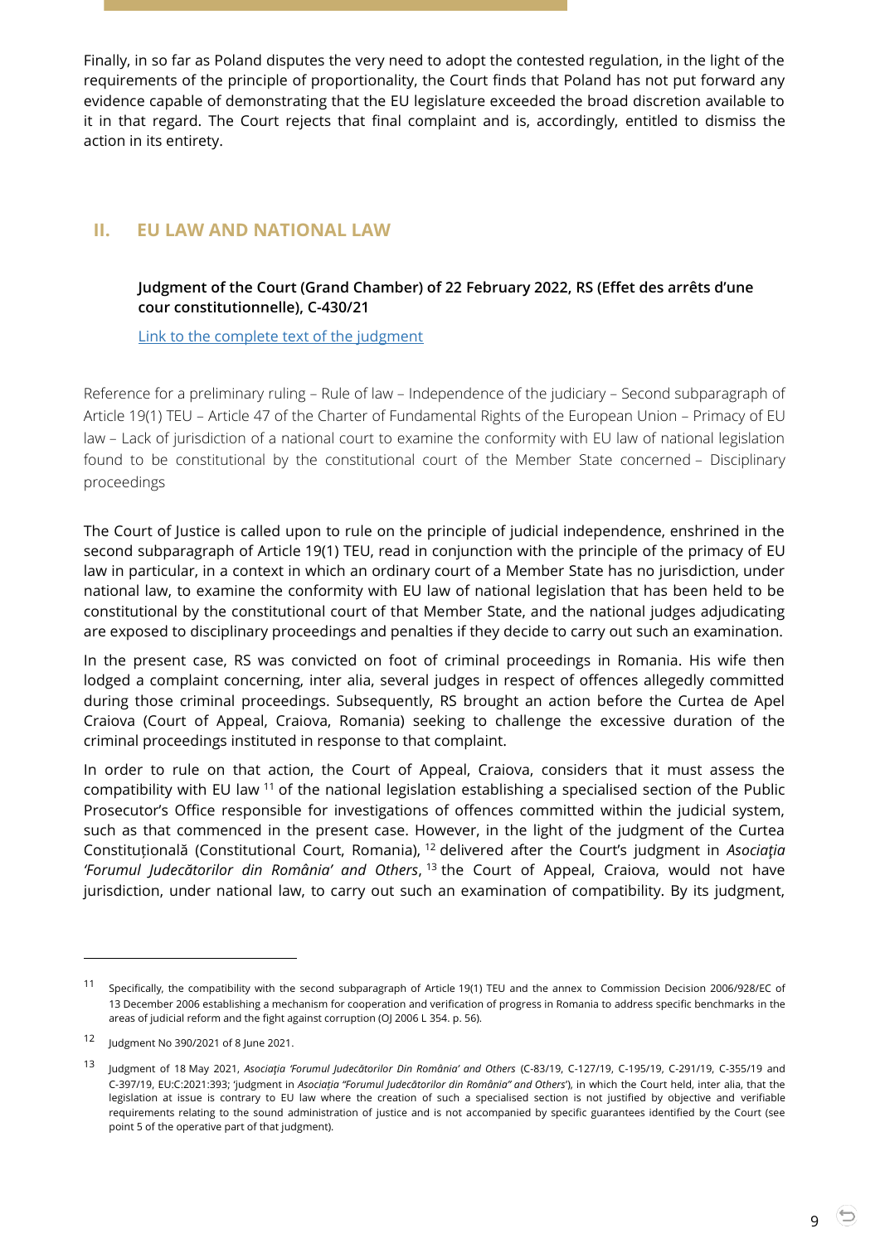Finally, in so far as Poland disputes the very need to adopt the contested regulation, in the light of the requirements of the principle of proportionality, the Court finds that Poland has not put forward any evidence capable of demonstrating that the EU legislature exceeded the broad discretion available to it in that regard. The Court rejects that final complaint and is, accordingly, entitled to dismiss the action in its entirety.

# <span id="page-8-1"></span><span id="page-8-0"></span>**II. EU LAW AND NATIONAL LAW**

## **Judgment of the Court (Grand Chamber) of 22 February 2022, RS (Effet des arrêts d'une cour constitutionnelle), C-430/21**

[Link to the complete text of the judgment](https://curia.europa.eu/juris/document/document.jsf?text=&docid=254384&pageIndex=0&doclang=EN&mode=lst&dir=&occ=first&part=1&cid=1815202)

Reference for a preliminary ruling – Rule of law – Independence of the judiciary – Second subparagraph of Article 19(1) TEU – Article 47 of the Charter of Fundamental Rights of the European Union – Primacy of EU law – Lack of jurisdiction of a national court to examine the conformity with EU law of national legislation found to be constitutional by the constitutional court of the Member State concerned – Disciplinary proceedings

The Court of Justice is called upon to rule on the principle of judicial independence, enshrined in the second subparagraph of Article 19(1) TEU, read in conjunction with the principle of the primacy of EU law in particular, in a context in which an ordinary court of a Member State has no jurisdiction, under national law, to examine the conformity with EU law of national legislation that has been held to be constitutional by the constitutional court of that Member State, and the national judges adjudicating are exposed to disciplinary proceedings and penalties if they decide to carry out such an examination.

In the present case, RS was convicted on foot of criminal proceedings in Romania. His wife then lodged a complaint concerning, inter alia, several judges in respect of offences allegedly committed during those criminal proceedings. Subsequently, RS brought an action before the Curtea de Apel Craiova (Court of Appeal, Craiova, Romania) seeking to challenge the excessive duration of the criminal proceedings instituted in response to that complaint.

In order to rule on that action, the Court of Appeal, Craiova, considers that it must assess the compatibility with EU law <sup>11</sup> of the national legislation establishing a specialised section of the Public Prosecutor's Office responsible for investigations of offences committed within the judicial system, such as that commenced in the present case. However, in the light of the judgment of the Curtea Constituțională (Constitutional Court, Romania), <sup>12</sup> delivered after the Court's judgment in *Asociaţia 'Forumul Judecătorilor din România' and Others*, <sup>13</sup> the Court of Appeal, Craiova, would not have jurisdiction, under national law, to carry out such an examination of compatibility. By its judgment,

<sup>11</sup> Specifically, the compatibility with the second subparagraph of Article 19(1) TEU and the annex to Commission Decision 2006/928/EC of 13 December 2006 establishing a mechanism for cooperation and verification of progress in Romania to address specific benchmarks in the areas of judicial reform and the fight against corruption (OJ 2006 L 354. p. 56).

<sup>12</sup> Judgment No 390/2021 of 8 June 2021.

<sup>13</sup> Judgment of 18 May 2021, *Asociaţia 'Forumul Judecătorilor Din România' and Others* (C-83/19, C-127/19, C-195/19, C-291/19, C-355/19 and C-397/19, EU:C:2021:393; 'judgment in *Asociația "Forumul Judecătorilor din România" and Others*'), in which the Court held, inter alia, that the legislation at issue is contrary to EU law where the creation of such a specialised section is not justified by objective and verifiable requirements relating to the sound administration of justice and is not accompanied by specific guarantees identified by the Court (see point 5 of the operative part of that judgment).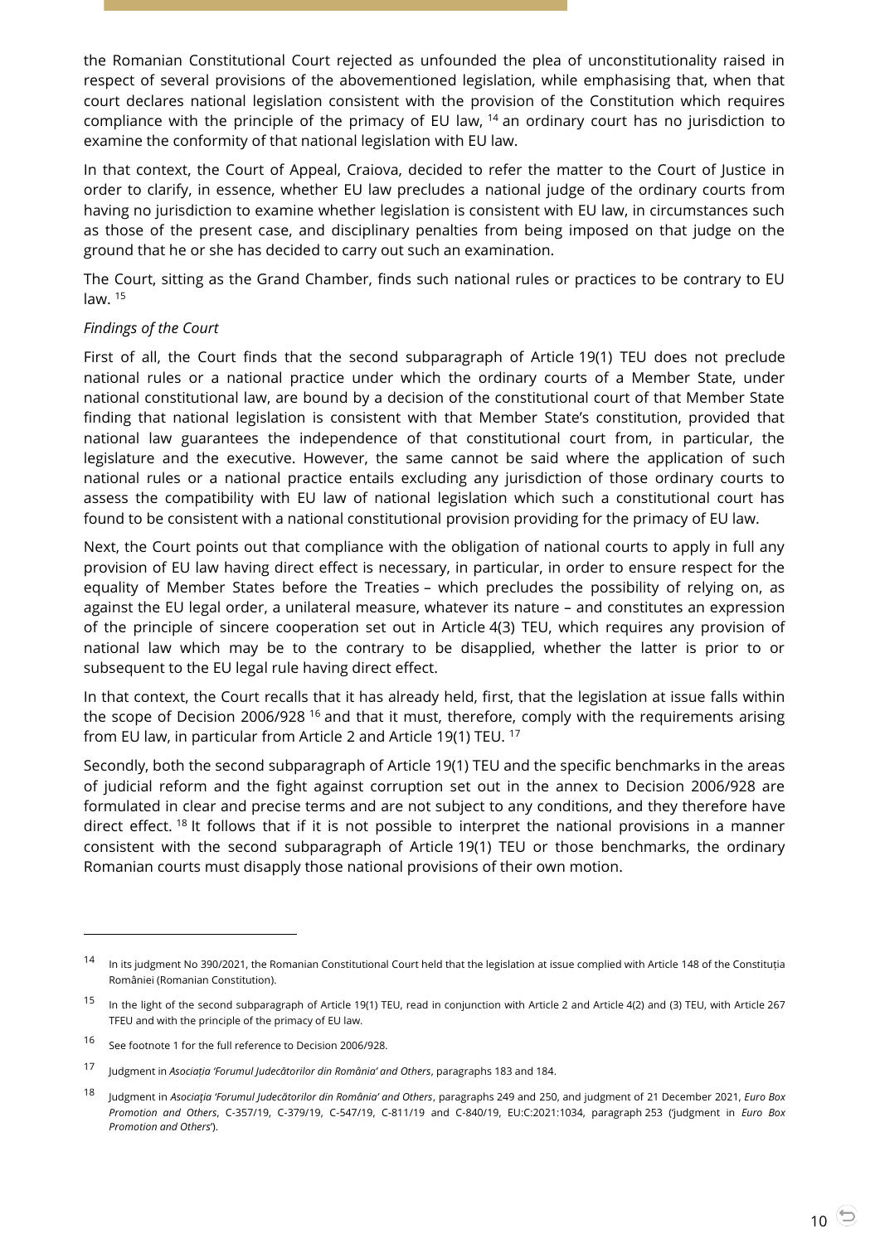the Romanian Constitutional Court rejected as unfounded the plea of unconstitutionality raised in respect of several provisions of the abovementioned legislation, while emphasising that, when that court declares national legislation consistent with the provision of the Constitution which requires compliance with the principle of the primacy of EU law, <sup>14</sup> an ordinary court has no jurisdiction to examine the conformity of that national legislation with EU law.

In that context, the Court of Appeal, Craiova, decided to refer the matter to the Court of Justice in order to clarify, in essence, whether EU law precludes a national judge of the ordinary courts from having no jurisdiction to examine whether legislation is consistent with EU law, in circumstances such as those of the present case, and disciplinary penalties from being imposed on that judge on the ground that he or she has decided to carry out such an examination.

The Court, sitting as the Grand Chamber, finds such national rules or practices to be contrary to EU law. <sup>15</sup>

#### *Findings of the Court*

First of all, the Court finds that the second subparagraph of Article 19(1) TEU does not preclude national rules or a national practice under which the ordinary courts of a Member State, under national constitutional law, are bound by a decision of the constitutional court of that Member State finding that national legislation is consistent with that Member State's constitution, provided that national law guarantees the independence of that constitutional court from, in particular, the legislature and the executive. However, the same cannot be said where the application of such national rules or a national practice entails excluding any jurisdiction of those ordinary courts to assess the compatibility with EU law of national legislation which such a constitutional court has found to be consistent with a national constitutional provision providing for the primacy of EU law.

Next, the Court points out that compliance with the obligation of national courts to apply in full any provision of EU law having direct effect is necessary, in particular, in order to ensure respect for the equality of Member States before the Treaties – which precludes the possibility of relying on, as against the EU legal order, a unilateral measure, whatever its nature – and constitutes an expression of the principle of sincere cooperation set out in Article 4(3) TEU, which requires any provision of national law which may be to the contrary to be disapplied, whether the latter is prior to or subsequent to the EU legal rule having direct effect.

In that context, the Court recalls that it has already held, first, that the legislation at issue falls within the scope of Decision 2006/928<sup>16</sup> and that it must, therefore, comply with the requirements arising from EU law, in particular from Article 2 and Article 19(1) TEU. <sup>17</sup>

Secondly, both the second subparagraph of Article 19(1) TEU and the specific benchmarks in the areas of judicial reform and the fight against corruption set out in the annex to Decision 2006/928 are formulated in clear and precise terms and are not subject to any conditions, and they therefore have direct effect. <sup>18</sup> It follows that if it is not possible to interpret the national provisions in a manner consistent with the second subparagraph of Article 19(1) TEU or those benchmarks, the ordinary Romanian courts must disapply those national provisions of their own motion.

<sup>&</sup>lt;sup>14</sup> In its judgment No 390/2021, the Romanian Constitutional Court held that the legislation at issue complied with Article 148 of the Constituția României (Romanian Constitution).

<sup>&</sup>lt;sup>15</sup> In the light of the second subparagraph of Article 19(1) TEU, read in conjunction with Article 2 and Article 4(2) and (3) TEU, with Article 267 TFEU and with the principle of the primacy of EU law.

<sup>16</sup> See footnote 1 for the full reference to Decision 2006/928.

<sup>17</sup> Judgment in *Asociația 'Forumul Judecătorilor din România' and Others*, paragraphs 183 and 184.

<sup>18</sup> Judgment in *Asociaţia 'Forumul Judecătorilor din România' and Others*, paragraphs 249 and 250, and judgment of 21 December 2021, *Euro Box Promotion and Others*, C-357/19, C-379/19, C-547/19, C-811/19 and C-840/19, EU:C:2021:1034, paragraph 253 ('judgment in *Euro Box Promotion and Others*').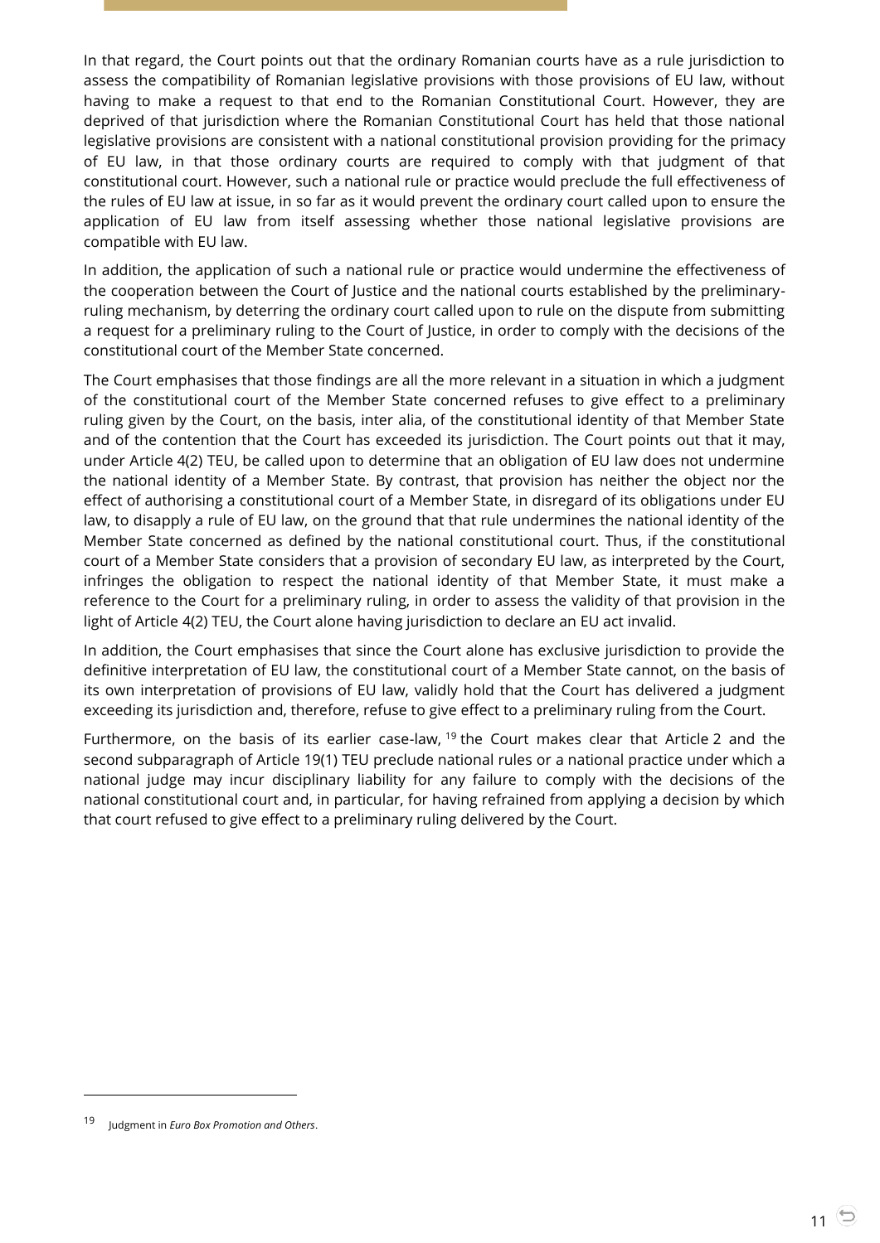In that regard, the Court points out that the ordinary Romanian courts have as a rule jurisdiction to assess the compatibility of Romanian legislative provisions with those provisions of EU law, without having to make a request to that end to the Romanian Constitutional Court. However, they are deprived of that jurisdiction where the Romanian Constitutional Court has held that those national legislative provisions are consistent with a national constitutional provision providing for the primacy of EU law, in that those ordinary courts are required to comply with that judgment of that constitutional court. However, such a national rule or practice would preclude the full effectiveness of the rules of EU law at issue, in so far as it would prevent the ordinary court called upon to ensure the application of EU law from itself assessing whether those national legislative provisions are compatible with EU law.

In addition, the application of such a national rule or practice would undermine the effectiveness of the cooperation between the Court of Justice and the national courts established by the preliminaryruling mechanism, by deterring the ordinary court called upon to rule on the dispute from submitting a request for a preliminary ruling to the Court of Justice, in order to comply with the decisions of the constitutional court of the Member State concerned.

The Court emphasises that those findings are all the more relevant in a situation in which a judgment of the constitutional court of the Member State concerned refuses to give effect to a preliminary ruling given by the Court, on the basis, inter alia, of the constitutional identity of that Member State and of the contention that the Court has exceeded its jurisdiction. The Court points out that it may, under Article 4(2) TEU, be called upon to determine that an obligation of EU law does not undermine the national identity of a Member State. By contrast, that provision has neither the object nor the effect of authorising a constitutional court of a Member State, in disregard of its obligations under EU law, to disapply a rule of EU law, on the ground that that rule undermines the national identity of the Member State concerned as defined by the national constitutional court. Thus, if the constitutional court of a Member State considers that a provision of secondary EU law, as interpreted by the Court, infringes the obligation to respect the national identity of that Member State, it must make a reference to the Court for a preliminary ruling, in order to assess the validity of that provision in the light of Article 4(2) TEU, the Court alone having jurisdiction to declare an EU act invalid.

In addition, the Court emphasises that since the Court alone has exclusive jurisdiction to provide the definitive interpretation of EU law, the constitutional court of a Member State cannot, on the basis of its own interpretation of provisions of EU law, validly hold that the Court has delivered a judgment exceeding its jurisdiction and, therefore, refuse to give effect to a preliminary ruling from the Court.

Furthermore, on the basis of its earlier case-law, <sup>19</sup> the Court makes clear that Article 2 and the second subparagraph of Article 19(1) TEU preclude national rules or a national practice under which a national judge may incur disciplinary liability for any failure to comply with the decisions of the national constitutional court and, in particular, for having refrained from applying a decision by which that court refused to give effect to a preliminary ruling delivered by the Court.

<sup>19</sup> Judgment in *Euro Box Promotion and Others*.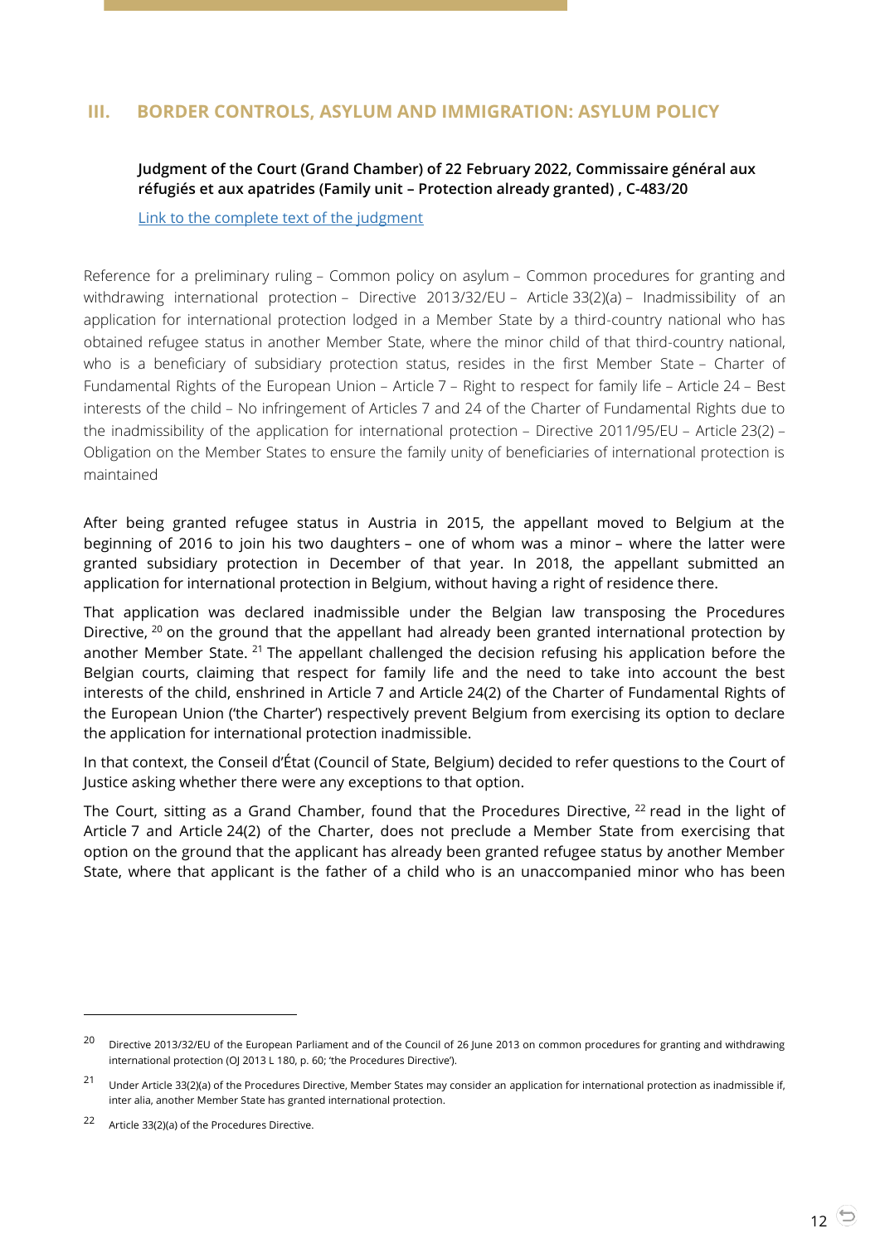# <span id="page-11-1"></span><span id="page-11-0"></span>**III. BORDER CONTROLS, ASYLUM AND IMMIGRATION: ASYLUM POLICY**

# **Judgment of the Court (Grand Chamber) of 22 February 2022, Commissaire général aux réfugiés et aux apatrides (Family unit – Protection already granted) , C-483/20**

[Link to the complete text of the judgment](https://curia.europa.eu/juris/document/document.jsf?text=&docid=254383&pageIndex=0&doclang=EN&mode=lst&dir=&occ=first&part=1&cid=1815466)

Reference for a preliminary ruling – Common policy on asylum – Common procedures for granting and withdrawing international protection – Directive 2013/32/EU – Article 33(2)(a) – Inadmissibility of an application for international protection lodged in a Member State by a third-country national who has obtained refugee status in another Member State, where the minor child of that third-country national, who is a beneficiary of subsidiary protection status, resides in the first Member State – Charter of Fundamental Rights of the European Union – Article 7 – Right to respect for family life – Article 24 – Best interests of the child – No infringement of Articles 7 and 24 of the Charter of Fundamental Rights due to the inadmissibility of the application for international protection – Directive 2011/95/EU – Article 23(2) – Obligation on the Member States to ensure the family unity of beneficiaries of international protection is maintained

After being granted refugee status in Austria in 2015, the appellant moved to Belgium at the beginning of 2016 to join his two daughters – one of whom was a minor – where the latter were granted subsidiary protection in December of that year. In 2018, the appellant submitted an application for international protection in Belgium, without having a right of residence there.

That application was declared inadmissible under the Belgian law transposing the Procedures Directive, <sup>20</sup> on the ground that the appellant had already been granted international protection by another Member State. <sup>21</sup> The appellant challenged the decision refusing his application before the Belgian courts, claiming that respect for family life and the need to take into account the best interests of the child, enshrined in Article 7 and Article 24(2) of the Charter of Fundamental Rights of the European Union ('the Charter') respectively prevent Belgium from exercising its option to declare the application for international protection inadmissible.

In that context, the Conseil d'État (Council of State, Belgium) decided to refer questions to the Court of Justice asking whether there were any exceptions to that option.

The Court, sitting as a Grand Chamber, found that the Procedures Directive,  $22$  read in the light of Article 7 and Article 24(2) of the Charter, does not preclude a Member State from exercising that option on the ground that the applicant has already been granted refugee status by another Member State, where that applicant is the father of a child who is an unaccompanied minor who has been

<sup>&</sup>lt;sup>20</sup> Directive 2013/32/EU of the European Parliament and of the Council of 26 June 2013 on common procedures for granting and withdrawing international protection (OJ 2013 L 180, p. 60; 'the Procedures Directive').

<sup>21</sup> Under Article 33(2)(a) of the Procedures Directive, Member States may consider an application for international protection as inadmissible if, inter alia, another Member State has granted international protection.

<sup>22</sup> Article 33(2)(a) of the Procedures Directive.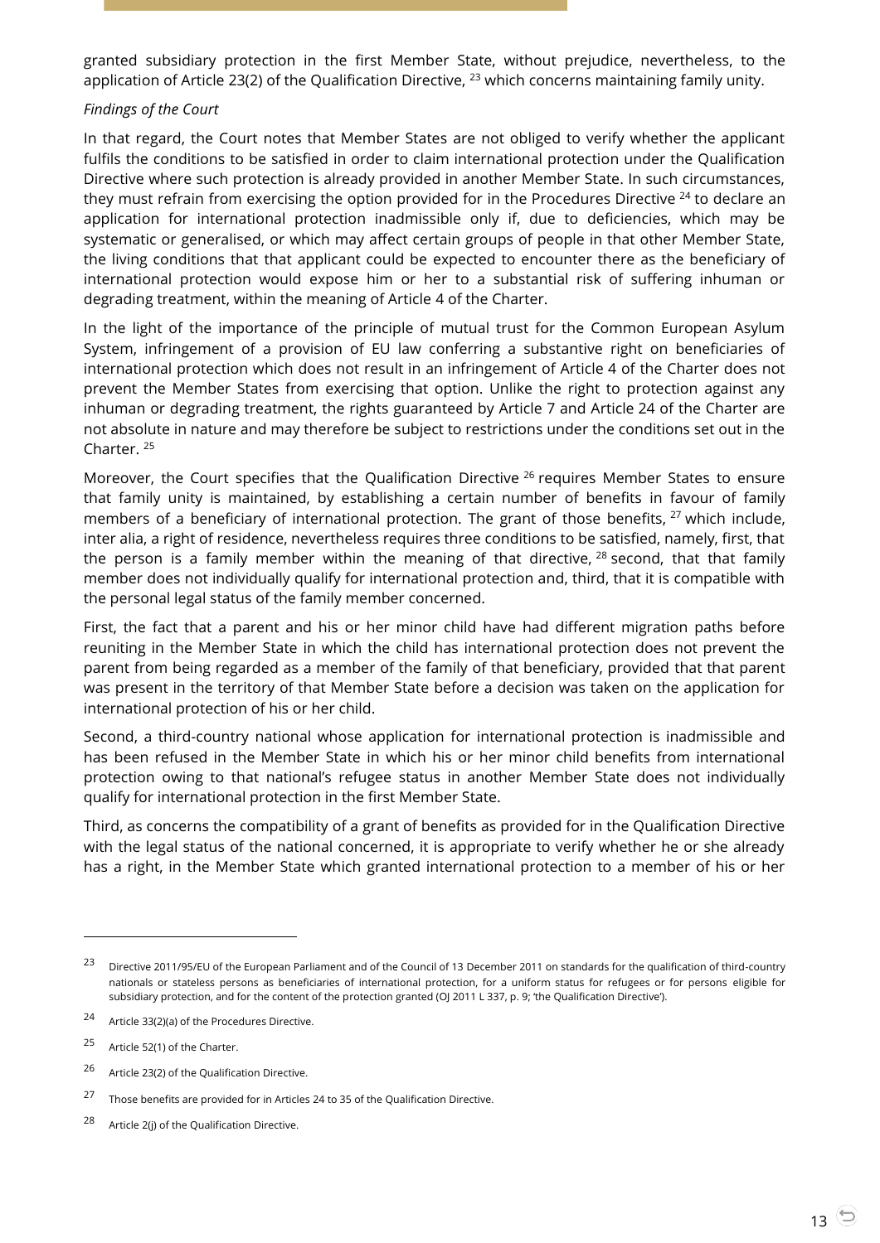granted subsidiary protection in the first Member State, without prejudice, nevertheless, to the application of Article 23(2) of the Qualification Directive,  $^{23}$  which concerns maintaining family unity.

#### *Findings of the Court*

In that regard, the Court notes that Member States are not obliged to verify whether the applicant fulfils the conditions to be satisfied in order to claim international protection under the Qualification Directive where such protection is already provided in another Member State. In such circumstances, they must refrain from exercising the option provided for in the Procedures Directive <sup>24</sup> to declare an application for international protection inadmissible only if, due to deficiencies, which may be systematic or generalised, or which may affect certain groups of people in that other Member State, the living conditions that that applicant could be expected to encounter there as the beneficiary of international protection would expose him or her to a substantial risk of suffering inhuman or degrading treatment, within the meaning of Article 4 of the Charter.

In the light of the importance of the principle of mutual trust for the Common European Asylum System, infringement of a provision of EU law conferring a substantive right on beneficiaries of international protection which does not result in an infringement of Article 4 of the Charter does not prevent the Member States from exercising that option. Unlike the right to protection against any inhuman or degrading treatment, the rights guaranteed by Article 7 and Article 24 of the Charter are not absolute in nature and may therefore be subject to restrictions under the conditions set out in the Charter. <sup>25</sup>

Moreover, the Court specifies that the Qualification Directive <sup>26</sup> requires Member States to ensure that family unity is maintained, by establishing a certain number of benefits in favour of family members of a beneficiary of international protection. The grant of those benefits,  $27$  which include, inter alia, a right of residence, nevertheless requires three conditions to be satisfied, namely, first, that the person is a family member within the meaning of that directive,  $28$  second, that that family member does not individually qualify for international protection and, third, that it is compatible with the personal legal status of the family member concerned.

First, the fact that a parent and his or her minor child have had different migration paths before reuniting in the Member State in which the child has international protection does not prevent the parent from being regarded as a member of the family of that beneficiary, provided that that parent was present in the territory of that Member State before a decision was taken on the application for international protection of his or her child.

Second, a third-country national whose application for international protection is inadmissible and has been refused in the Member State in which his or her minor child benefits from international protection owing to that national's refugee status in another Member State does not individually qualify for international protection in the first Member State.

Third, as concerns the compatibility of a grant of benefits as provided for in the Qualification Directive with the legal status of the national concerned, it is appropriate to verify whether he or she already has a right, in the Member State which granted international protection to a member of his or her

<sup>23</sup> Directive 2011/95/EU of the European Parliament and of the Council of 13 December 2011 on standards for the qualification of third-country nationals or stateless persons as beneficiaries of international protection, for a uniform status for refugees or for persons eligible for subsidiary protection, and for the content of the protection granted (OJ 2011 L 337, p. 9; 'the Qualification Directive').

<sup>24</sup> Article 33(2)(a) of the Procedures Directive.

<sup>25</sup> Article 52(1) of the Charter.

<sup>26</sup> Article 23(2) of the Qualification Directive.

<sup>&</sup>lt;sup>27</sup> Those benefits are provided for in Articles 24 to 35 of the Qualification Directive.

<sup>28</sup> Article 2(j) of the Qualification Directive.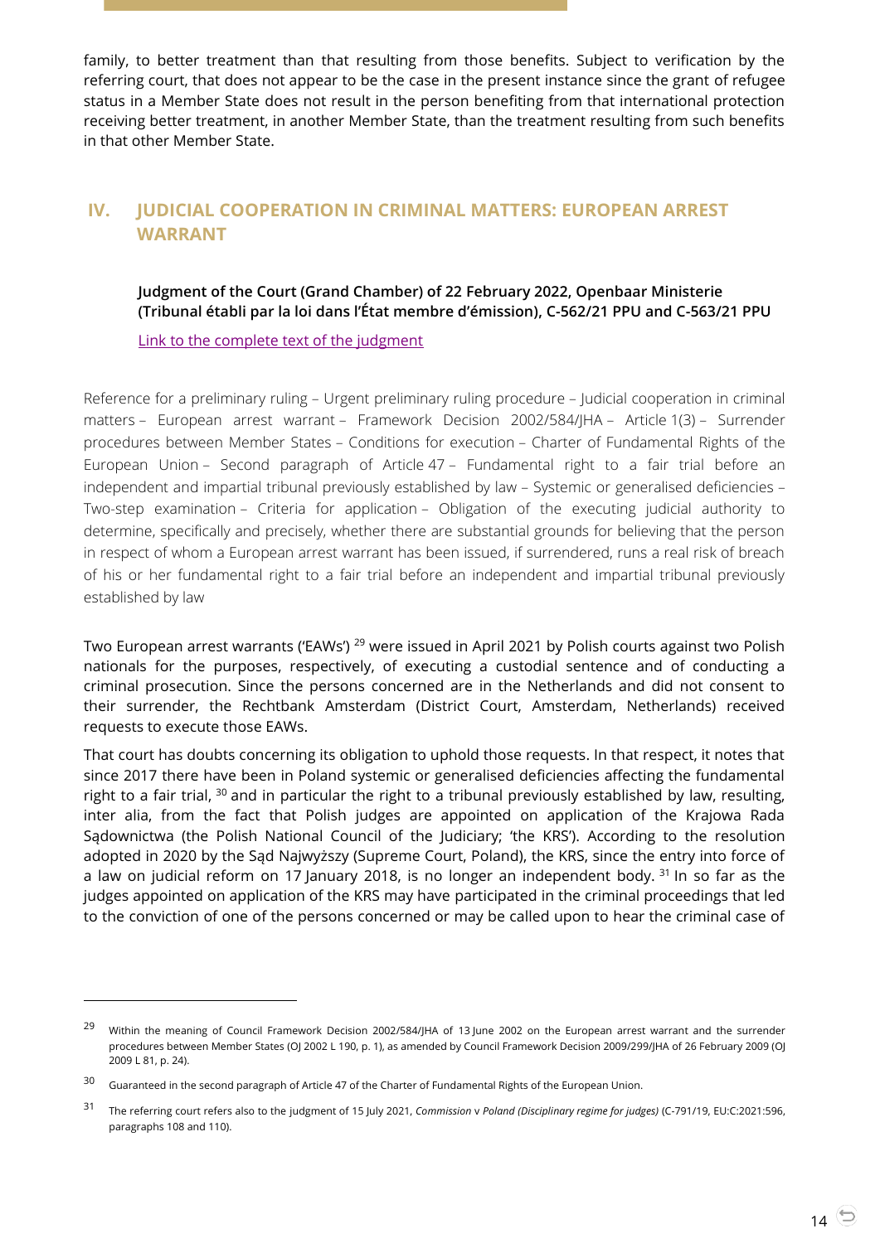family, to better treatment than that resulting from those benefits. Subject to verification by the referring court, that does not appear to be the case in the present instance since the grant of refugee status in a Member State does not result in the person benefiting from that international protection receiving better treatment, in another Member State, than the treatment resulting from such benefits in that other Member State.

# <span id="page-13-1"></span><span id="page-13-0"></span>**IV. JUDICIAL COOPERATION IN CRIMINAL MATTERS: EUROPEAN ARREST WARRANT**

# **Judgment of the Court (Grand Chamber) of 22 February 2022, Openbaar Ministerie (Tribunal établi par la loi dans l'État membre d'émission), C-562/21 PPU and C-563/21 PPU**

[Link to the complete text of the judgment](https://curia.europa.eu/juris/document/document.jsf?text=&docid=254385&pageIndex=0&doclang=EN&mode=lst&dir=&occ=first&part=1&cid=1813015)

Reference for a preliminary ruling – Urgent preliminary ruling procedure – Judicial cooperation in criminal matters – European arrest warrant – Framework Decision 2002/584/JHA – Article 1(3) – Surrender procedures between Member States – Conditions for execution – Charter of Fundamental Rights of the European Union – Second paragraph of Article 47 – Fundamental right to a fair trial before an independent and impartial tribunal previously established by law – Systemic or generalised deficiencies – Two-step examination – Criteria for application – Obligation of the executing judicial authority to determine, specifically and precisely, whether there are substantial grounds for believing that the person in respect of whom a European arrest warrant has been issued, if surrendered, runs a real risk of breach of his or her fundamental right to a fair trial before an independent and impartial tribunal previously established by law

Two European arrest warrants ('EAWs') <sup>29</sup> were issued in April 2021 by Polish courts against two Polish nationals for the purposes, respectively, of executing a custodial sentence and of conducting a criminal prosecution. Since the persons concerned are in the Netherlands and did not consent to their surrender, the Rechtbank Amsterdam (District Court, Amsterdam, Netherlands) received requests to execute those EAWs.

That court has doubts concerning its obligation to uphold those requests. In that respect, it notes that since 2017 there have been in Poland systemic or generalised deficiencies affecting the fundamental right to a fair trial, <sup>30</sup> and in particular the right to a tribunal previously established by law, resulting, inter alia, from the fact that Polish judges are appointed on application of the Krajowa Rada Sądownictwa (the Polish National Council of the Judiciary; 'the KRS'). According to the resolution adopted in 2020 by the Sąd Najwyższy (Supreme Court, Poland), the KRS, since the entry into force of a law on judicial reform on 17 January 2018, is no longer an independent body.  $31$  In so far as the judges appointed on application of the KRS may have participated in the criminal proceedings that led to the conviction of one of the persons concerned or may be called upon to hear the criminal case of

-

<sup>&</sup>lt;sup>29</sup> Within the meaning of Council Framework Decision 2002/584/JHA of 13 June 2002 on the European arrest warrant and the surrender procedures between Member States (OJ 2002 L 190, p. 1), as amended by Council Framework Decision 2009/299/JHA of 26 February 2009 (OJ 2009 L 81, p. 24).

<sup>&</sup>lt;sup>30</sup> Guaranteed in the second paragraph of Article 47 of the Charter of Fundamental Rights of the European Union.

<sup>31</sup> The referring court refers also to the judgment of 15 July 2021, *Commission* <sup>v</sup>*Poland (Disciplinary regime for judges)* (C-791/19, EU:C:2021:596, paragraphs 108 and 110).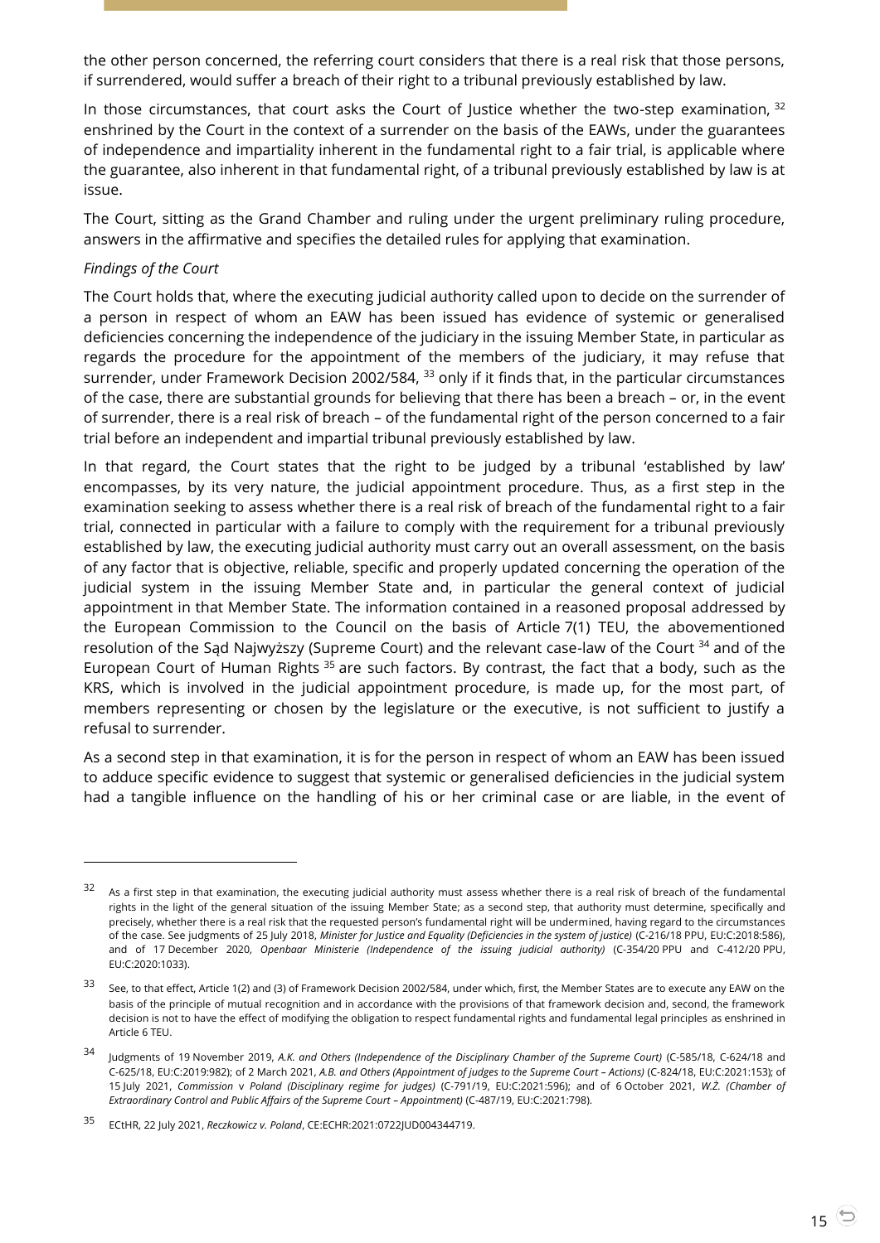the other person concerned, the referring court considers that there is a real risk that those persons, if surrendered, would suffer a breach of their right to a tribunal previously established by law.

In those circumstances, that court asks the Court of Justice whether the two-step examination, 32 enshrined by the Court in the context of a surrender on the basis of the EAWs, under the guarantees of independence and impartiality inherent in the fundamental right to a fair trial, is applicable where the guarantee, also inherent in that fundamental right, of a tribunal previously established by law is at issue.

The Court, sitting as the Grand Chamber and ruling under the urgent preliminary ruling procedure, answers in the affirmative and specifies the detailed rules for applying that examination.

#### *Findings of the Court*

 $\overline{a}$ 

The Court holds that, where the executing judicial authority called upon to decide on the surrender of a person in respect of whom an EAW has been issued has evidence of systemic or generalised deficiencies concerning the independence of the judiciary in the issuing Member State, in particular as regards the procedure for the appointment of the members of the judiciary, it may refuse that surrender, under Framework Decision 2002/584, <sup>33</sup> only if it finds that, in the particular circumstances of the case, there are substantial grounds for believing that there has been a breach – or, in the event of surrender, there is a real risk of breach – of the fundamental right of the person concerned to a fair trial before an independent and impartial tribunal previously established by law.

In that regard, the Court states that the right to be judged by a tribunal 'established by law' encompasses, by its very nature, the judicial appointment procedure. Thus, as a first step in the examination seeking to assess whether there is a real risk of breach of the fundamental right to a fair trial, connected in particular with a failure to comply with the requirement for a tribunal previously established by law, the executing judicial authority must carry out an overall assessment, on the basis of any factor that is objective, reliable, specific and properly updated concerning the operation of the judicial system in the issuing Member State and, in particular the general context of judicial appointment in that Member State. The information contained in a reasoned proposal addressed by the European Commission to the Council on the basis of Article 7(1) TEU, the abovementioned resolution of the Sąd Najwyższy (Supreme Court) and the relevant case-law of the Court <sup>34</sup> and of the European Court of Human Rights  $35$  are such factors. By contrast, the fact that a body, such as the KRS, which is involved in the judicial appointment procedure, is made up, for the most part, of members representing or chosen by the legislature or the executive, is not sufficient to justify a refusal to surrender.

As a second step in that examination, it is for the person in respect of whom an EAW has been issued to adduce specific evidence to suggest that systemic or generalised deficiencies in the judicial system had a tangible influence on the handling of his or her criminal case or are liable, in the event of

 $32$  As a first step in that examination, the executing judicial authority must assess whether there is a real risk of breach of the fundamental rights in the light of the general situation of the issuing Member State; as a second step, that authority must determine, specifically and precisely, whether there is a real risk that the requested person's fundamental right will be undermined, having regard to the circumstances of the case. See judgments of 25 July 2018, *Minister for Justice and Equality (Deficiencies in the system of justice)* (C-216/18 PPU, EU:C:2018:586), and of 17 December 2020, *Openbaar Ministerie (Independence of the issuing judicial authority)* (C-354/20 PPU and C-412/20 PPU, EU:C:2020:1033).

<sup>&</sup>lt;sup>33</sup> See, to that effect, Article 1(2) and (3) of Framework Decision 2002/584, under which, first, the Member States are to execute any EAW on the basis of the principle of mutual recognition and in accordance with the provisions of that framework decision and, second, the framework decision is not to have the effect of modifying the obligation to respect fundamental rights and fundamental legal principles as enshrined in Article 6 TEU.

<sup>34</sup> Judgments of 19 November 2019, *A.K. and Others (Independence of the Disciplinary Chamber of the Supreme Court)* (C-585/18, C-624/18 and C-625/18, EU:C:2019:982); of 2 March 2021, *A.B. and Others (Appointment of judges to the Supreme Court – Actions)* (C-824/18, EU:C:2021:153); of 15 July 2021, *Commission* v *Poland (Disciplinary regime for judges)* (C-791/19, EU:C:2021:596); and of 6 October 2021, *W.Ż. (Chamber of Extraordinary Control and Public Affairs of the Supreme Court – Appointment)* (C-487/19, EU:C:2021:798).

<sup>35</sup> ECtHR, 22 July 2021, *Reczkowicz v. Poland*, CE:ECHR:2021:0722JUD004344719.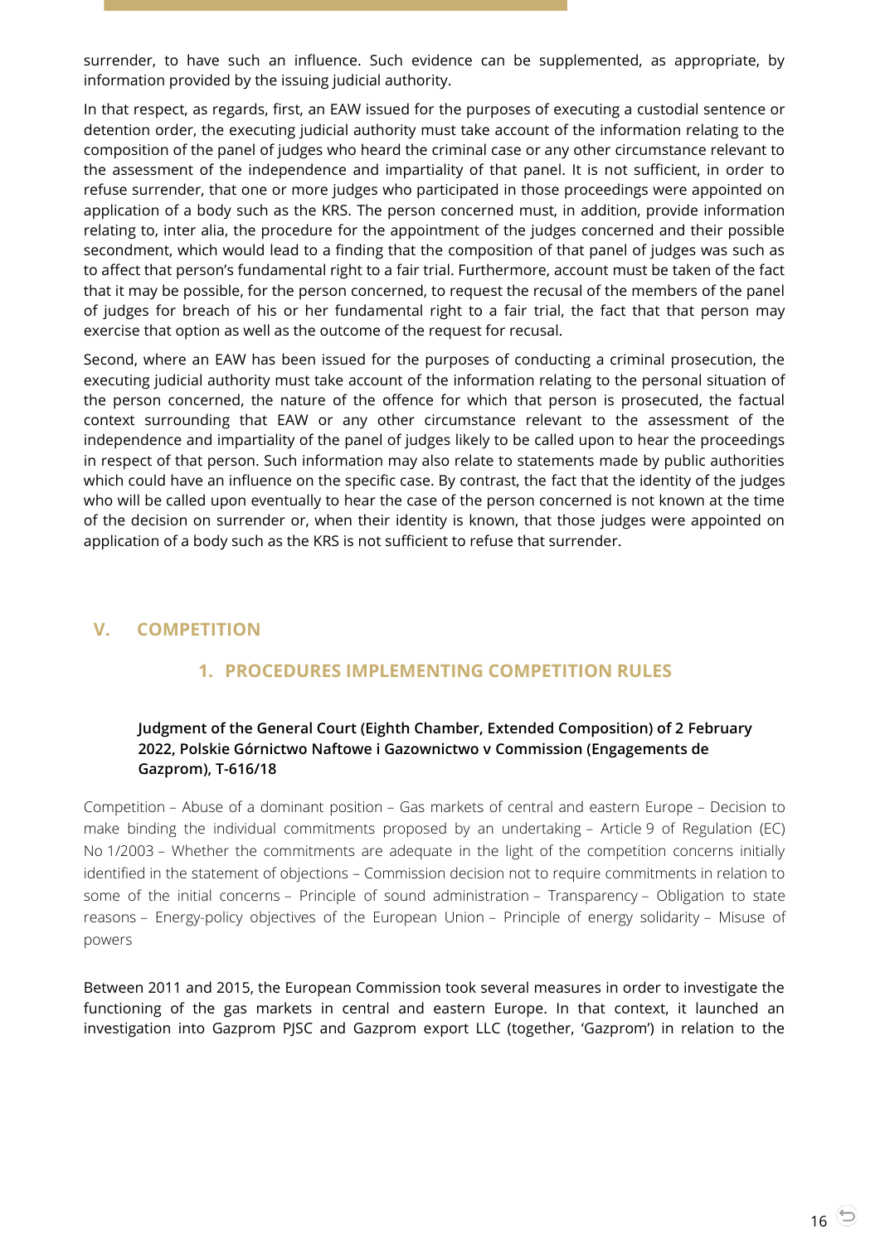surrender, to have such an influence. Such evidence can be supplemented, as appropriate, by information provided by the issuing judicial authority.

In that respect, as regards, first, an EAW issued for the purposes of executing a custodial sentence or detention order, the executing judicial authority must take account of the information relating to the composition of the panel of judges who heard the criminal case or any other circumstance relevant to the assessment of the independence and impartiality of that panel. It is not sufficient, in order to refuse surrender, that one or more judges who participated in those proceedings were appointed on application of a body such as the KRS. The person concerned must, in addition, provide information relating to, inter alia, the procedure for the appointment of the judges concerned and their possible secondment, which would lead to a finding that the composition of that panel of judges was such as to affect that person's fundamental right to a fair trial. Furthermore, account must be taken of the fact that it may be possible, for the person concerned, to request the recusal of the members of the panel of judges for breach of his or her fundamental right to a fair trial, the fact that that person may exercise that option as well as the outcome of the request for recusal.

Second, where an EAW has been issued for the purposes of conducting a criminal prosecution, the executing judicial authority must take account of the information relating to the personal situation of the person concerned, the nature of the offence for which that person is prosecuted, the factual context surrounding that EAW or any other circumstance relevant to the assessment of the independence and impartiality of the panel of judges likely to be called upon to hear the proceedings in respect of that person. Such information may also relate to statements made by public authorities which could have an influence on the specific case. By contrast, the fact that the identity of the judges who will be called upon eventually to hear the case of the person concerned is not known at the time of the decision on surrender or, when their identity is known, that those judges were appointed on application of a body such as the KRS is not sufficient to refuse that surrender.

# <span id="page-15-2"></span><span id="page-15-1"></span><span id="page-15-0"></span>**V. COMPETITION**

# **1. PROCEDURES IMPLEMENTING COMPETITION RULES**

# **Judgment of the General Court (Eighth Chamber, Extended Composition) of 2 February 2022, Polskie Górnictwo Naftowe i Gazownictwo v Commission (Engagements de Gazprom), T-616/18**

Competition – Abuse of a dominant position – Gas markets of central and eastern Europe – Decision to make binding the individual commitments proposed by an undertaking – Article 9 of Regulation (EC) No 1/2003 – Whether the commitments are adequate in the light of the competition concerns initially identified in the statement of objections – Commission decision not to require commitments in relation to some of the initial concerns – Principle of sound administration – Transparency – Obligation to state reasons – Energy-policy objectives of the European Union – Principle of energy solidarity – Misuse of powers

Between 2011 and 2015, the European Commission took several measures in order to investigate the functioning of the gas markets in central and eastern Europe. In that context, it launched an investigation into Gazprom PJSC and Gazprom export LLC (together, 'Gazprom') in relation to the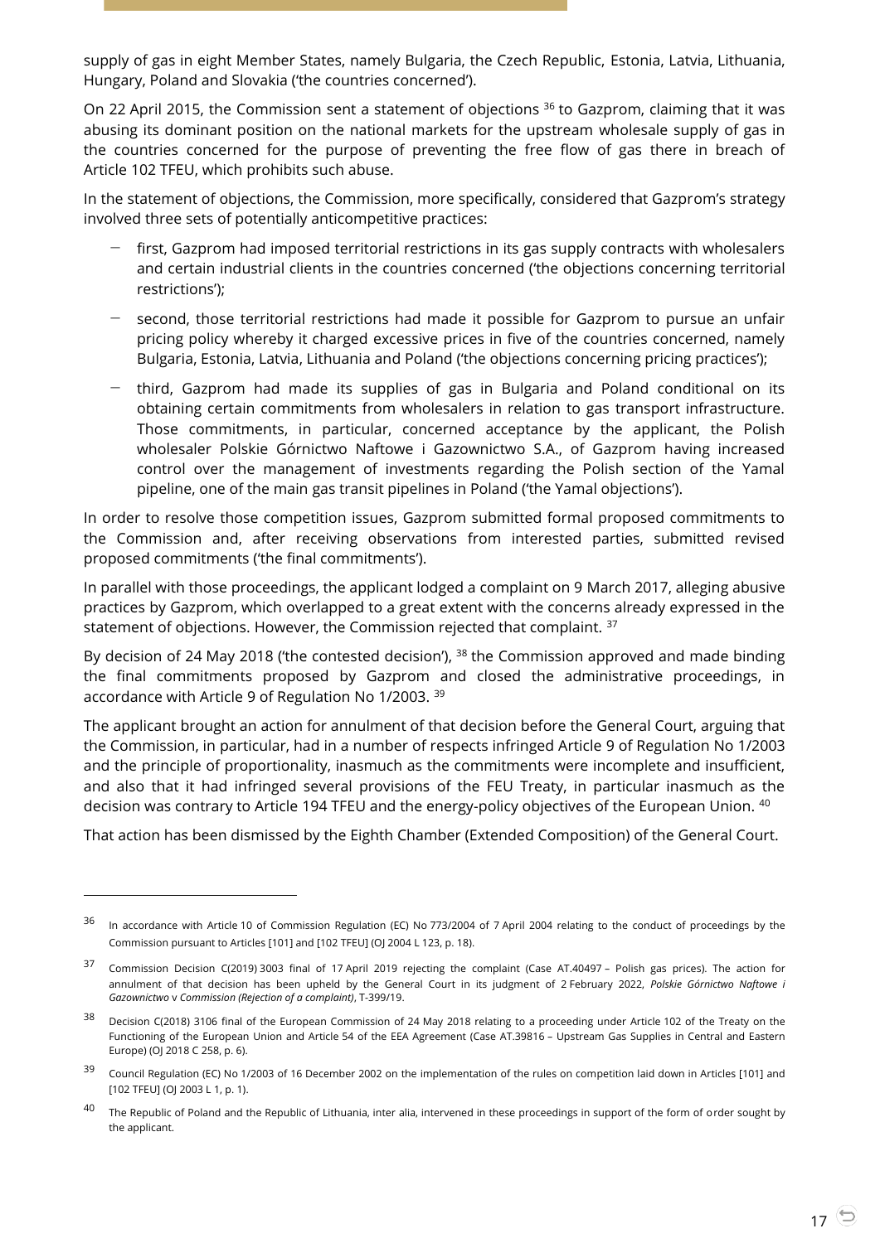supply of gas in eight Member States, namely Bulgaria, the Czech Republic, Estonia, Latvia, Lithuania, Hungary, Poland and Slovakia ('the countries concerned').

On 22 April 2015, the Commission sent a statement of objections <sup>36</sup> to Gazprom, claiming that it was abusing its dominant position on the national markets for the upstream wholesale supply of gas in the countries concerned for the purpose of preventing the free flow of gas there in breach of Article 102 TFEU, which prohibits such abuse.

In the statement of objections, the Commission, more specifically, considered that Gazprom's strategy involved three sets of potentially anticompetitive practices:

- first, Gazprom had imposed territorial restrictions in its gas supply contracts with wholesalers and certain industrial clients in the countries concerned ('the objections concerning territorial restrictions');
- second, those territorial restrictions had made it possible for Gazprom to pursue an unfair pricing policy whereby it charged excessive prices in five of the countries concerned, namely Bulgaria, Estonia, Latvia, Lithuania and Poland ('the objections concerning pricing practices');
- − third, Gazprom had made its supplies of gas in Bulgaria and Poland conditional on its obtaining certain commitments from wholesalers in relation to gas transport infrastructure. Those commitments, in particular, concerned acceptance by the applicant, the Polish wholesaler Polskie Górnictwo Naftowe i Gazownictwo S.A., of Gazprom having increased control over the management of investments regarding the Polish section of the Yamal pipeline, one of the main gas transit pipelines in Poland ('the Yamal objections').

In order to resolve those competition issues, Gazprom submitted formal proposed commitments to the Commission and, after receiving observations from interested parties, submitted revised proposed commitments ('the final commitments').

In parallel with those proceedings, the applicant lodged a complaint on 9 March 2017, alleging abusive practices by Gazprom, which overlapped to a great extent with the concerns already expressed in the statement of objections. However, the Commission rejected that complaint. <sup>37</sup>

By decision of 24 May 2018 ('the contested decision'),  $38$  the Commission approved and made binding the final commitments proposed by Gazprom and closed the administrative proceedings, in accordance with Article 9 of Regulation No 1/2003. <sup>39</sup>

The applicant brought an action for annulment of that decision before the General Court, arguing that the Commission, in particular, had in a number of respects infringed Article 9 of Regulation No 1/2003 and the principle of proportionality, inasmuch as the commitments were incomplete and insufficient, and also that it had infringed several provisions of the FEU Treaty, in particular inasmuch as the decision was contrary to Article 194 TFEU and the energy-policy objectives of the European Union. 40

That action has been dismissed by the Eighth Chamber (Extended Composition) of the General Court.

-

<sup>&</sup>lt;sup>36</sup> In accordance with Article 10 of Commission Regulation (EC) No 773/2004 of 7 April 2004 relating to the conduct of proceedings by the Commission pursuant to Articles [101] and [102 TFEU] (OJ 2004 L 123, p. 18).

<sup>37</sup> Commission Decision C(2019) 3003 final of 17 April 2019 rejecting the complaint (Case AT.40497 – Polish gas prices). The action for annulment of that decision has been upheld by the General Court in its judgment of 2 February 2022, *Polskie Górnictwo Naftowe i Gazownictwo* v *Commission (Rejection of a complaint)*, T-399/19.

<sup>38</sup> Decision C(2018) 3106 final of the European Commission of 24 May 2018 relating to a proceeding under Article 102 of the Treaty on the Functioning of the European Union and Article 54 of the EEA Agreement (Case AT.39816 – Upstream Gas Supplies in Central and Eastern Europe) (OJ 2018 C 258, p. 6).

<sup>39</sup> Council Regulation (EC) No 1/2003 of 16 December 2002 on the implementation of the rules on competition laid down in Articles [101] and [102 TFEU] (OJ 2003 L 1, p. 1).

<sup>&</sup>lt;sup>40</sup> The Republic of Poland and the Republic of Lithuania, inter alia, intervened in these proceedings in support of the form of order sought by the applicant.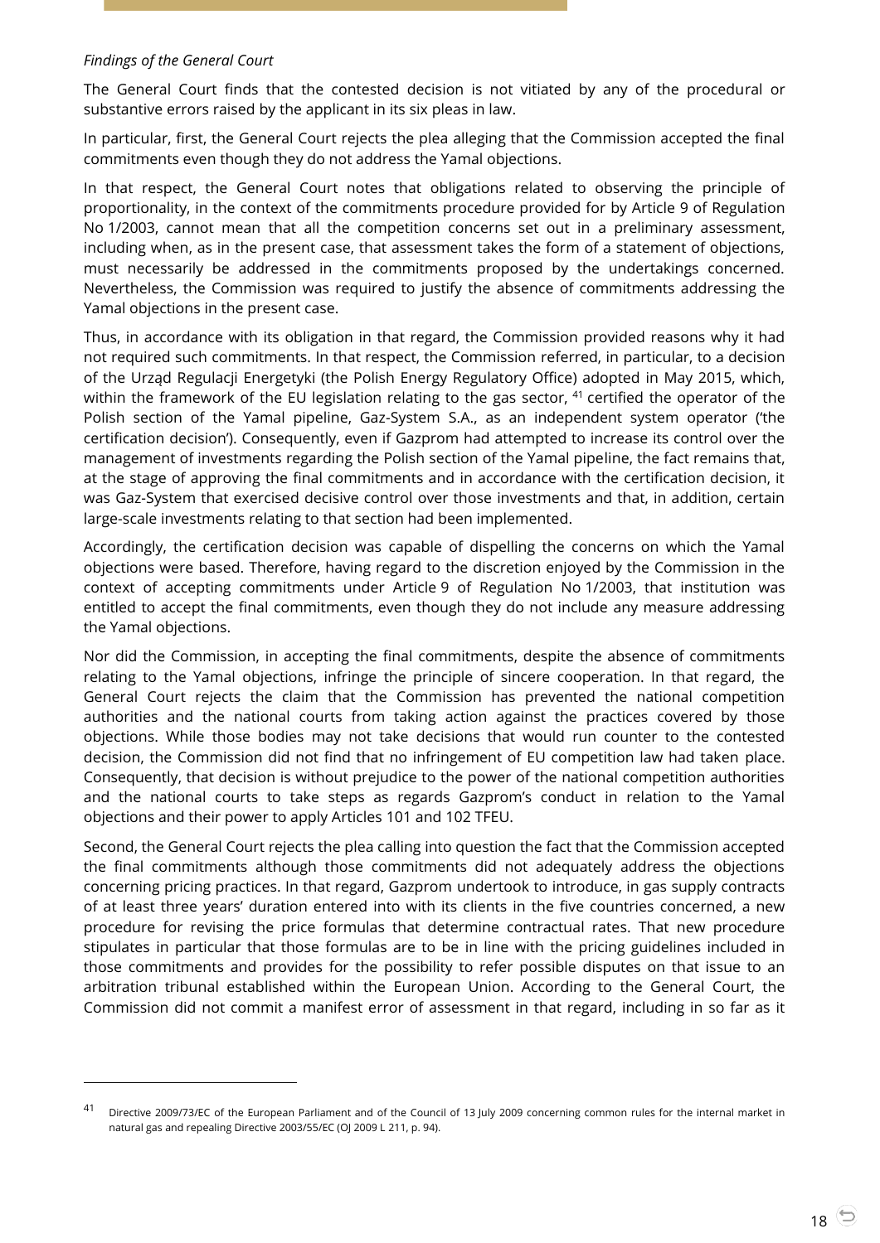#### *Findings of the General Court*

 $\overline{a}$ 

The General Court finds that the contested decision is not vitiated by any of the procedural or substantive errors raised by the applicant in its six pleas in law.

In particular, first, the General Court rejects the plea alleging that the Commission accepted the final commitments even though they do not address the Yamal objections.

In that respect, the General Court notes that obligations related to observing the principle of proportionality, in the context of the commitments procedure provided for by Article 9 of Regulation No 1/2003, cannot mean that all the competition concerns set out in a preliminary assessment, including when, as in the present case, that assessment takes the form of a statement of objections, must necessarily be addressed in the commitments proposed by the undertakings concerned. Nevertheless, the Commission was required to justify the absence of commitments addressing the Yamal objections in the present case.

Thus, in accordance with its obligation in that regard, the Commission provided reasons why it had not required such commitments. In that respect, the Commission referred, in particular, to a decision of the Urząd Regulacji Energetyki (the Polish Energy Regulatory Office) adopted in May 2015, which, within the framework of the EU legislation relating to the gas sector,  $41$  certified the operator of the Polish section of the Yamal pipeline, Gaz-System S.A., as an independent system operator ('the certification decision'). Consequently, even if Gazprom had attempted to increase its control over the management of investments regarding the Polish section of the Yamal pipeline, the fact remains that, at the stage of approving the final commitments and in accordance with the certification decision, it was Gaz-System that exercised decisive control over those investments and that, in addition, certain large-scale investments relating to that section had been implemented.

Accordingly, the certification decision was capable of dispelling the concerns on which the Yamal objections were based. Therefore, having regard to the discretion enjoyed by the Commission in the context of accepting commitments under Article 9 of Regulation No 1/2003, that institution was entitled to accept the final commitments, even though they do not include any measure addressing the Yamal objections.

Nor did the Commission, in accepting the final commitments, despite the absence of commitments relating to the Yamal objections, infringe the principle of sincere cooperation. In that regard, the General Court rejects the claim that the Commission has prevented the national competition authorities and the national courts from taking action against the practices covered by those objections. While those bodies may not take decisions that would run counter to the contested decision, the Commission did not find that no infringement of EU competition law had taken place. Consequently, that decision is without prejudice to the power of the national competition authorities and the national courts to take steps as regards Gazprom's conduct in relation to the Yamal objections and their power to apply Articles 101 and 102 TFEU.

Second, the General Court rejects the plea calling into question the fact that the Commission accepted the final commitments although those commitments did not adequately address the objections concerning pricing practices. In that regard, Gazprom undertook to introduce, in gas supply contracts of at least three years' duration entered into with its clients in the five countries concerned, a new procedure for revising the price formulas that determine contractual rates. That new procedure stipulates in particular that those formulas are to be in line with the pricing guidelines included in those commitments and provides for the possibility to refer possible disputes on that issue to an arbitration tribunal established within the European Union. According to the General Court, the Commission did not commit a manifest error of assessment in that regard, including in so far as it

<sup>41</sup> Directive 2009/73/EC of the European Parliament and of the Council of 13 July 2009 concerning common rules for the internal market in natural gas and repealing Directive 2003/55/EC (OJ 2009 L 211, p. 94).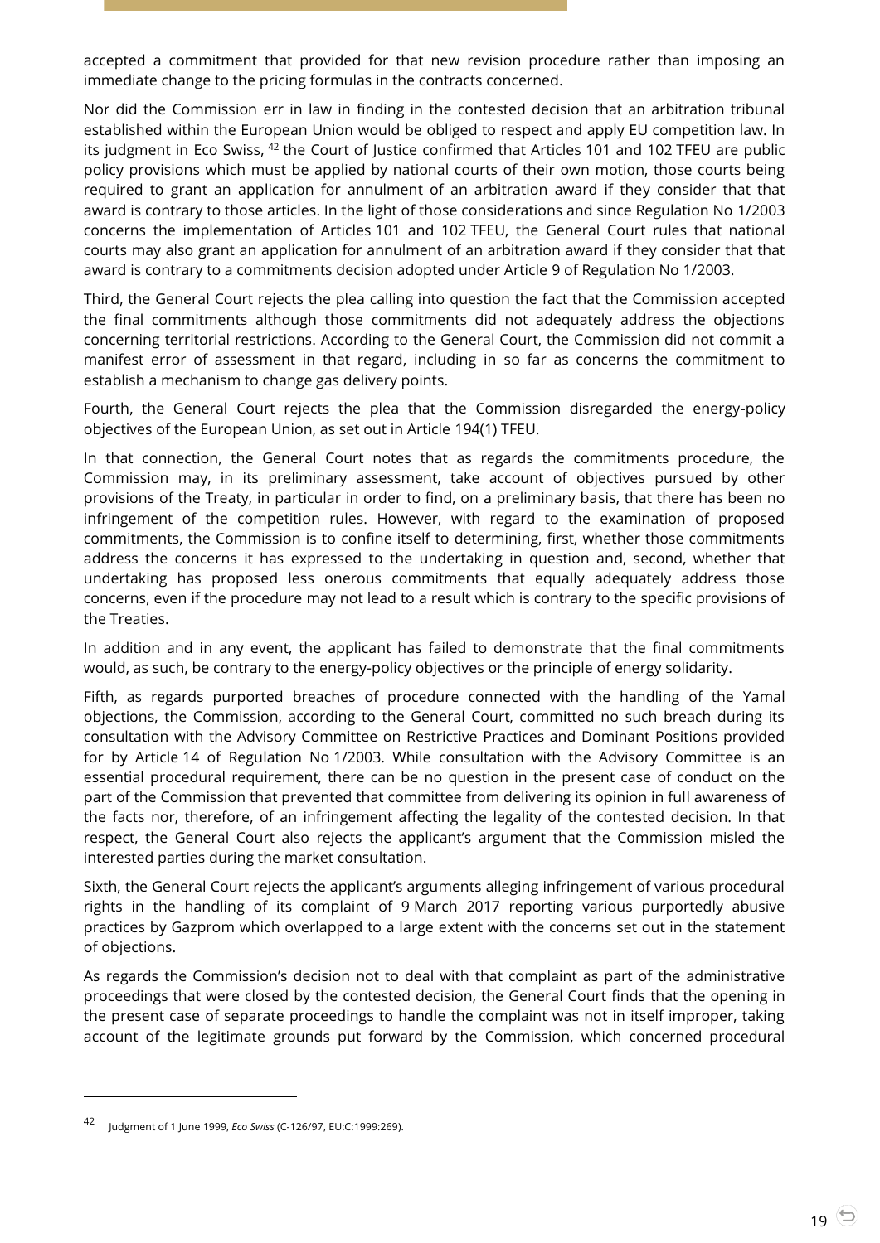accepted a commitment that provided for that new revision procedure rather than imposing an immediate change to the pricing formulas in the contracts concerned.

Nor did the Commission err in law in finding in the contested decision that an arbitration tribunal established within the European Union would be obliged to respect and apply EU competition law. In its judgment in Eco Swiss, <sup>42</sup> the Court of Justice confirmed that Articles 101 and 102 TFEU are public policy provisions which must be applied by national courts of their own motion, those courts being required to grant an application for annulment of an arbitration award if they consider that that award is contrary to those articles. In the light of those considerations and since Regulation No 1/2003 concerns the implementation of Articles 101 and 102 TFEU, the General Court rules that national courts may also grant an application for annulment of an arbitration award if they consider that that award is contrary to a commitments decision adopted under Article 9 of Regulation No 1/2003.

Third, the General Court rejects the plea calling into question the fact that the Commission accepted the final commitments although those commitments did not adequately address the objections concerning territorial restrictions. According to the General Court, the Commission did not commit a manifest error of assessment in that regard, including in so far as concerns the commitment to establish a mechanism to change gas delivery points.

Fourth, the General Court rejects the plea that the Commission disregarded the energy-policy objectives of the European Union, as set out in Article 194(1) TFEU.

In that connection, the General Court notes that as regards the commitments procedure, the Commission may, in its preliminary assessment, take account of objectives pursued by other provisions of the Treaty, in particular in order to find, on a preliminary basis, that there has been no infringement of the competition rules. However, with regard to the examination of proposed commitments, the Commission is to confine itself to determining, first, whether those commitments address the concerns it has expressed to the undertaking in question and, second, whether that undertaking has proposed less onerous commitments that equally adequately address those concerns, even if the procedure may not lead to a result which is contrary to the specific provisions of the Treaties.

In addition and in any event, the applicant has failed to demonstrate that the final commitments would, as such, be contrary to the energy-policy objectives or the principle of energy solidarity.

Fifth, as regards purported breaches of procedure connected with the handling of the Yamal objections, the Commission, according to the General Court, committed no such breach during its consultation with the Advisory Committee on Restrictive Practices and Dominant Positions provided for by Article 14 of Regulation No 1/2003. While consultation with the Advisory Committee is an essential procedural requirement, there can be no question in the present case of conduct on the part of the Commission that prevented that committee from delivering its opinion in full awareness of the facts nor, therefore, of an infringement affecting the legality of the contested decision. In that respect, the General Court also rejects the applicant's argument that the Commission misled the interested parties during the market consultation.

Sixth, the General Court rejects the applicant's arguments alleging infringement of various procedural rights in the handling of its complaint of 9 March 2017 reporting various purportedly abusive practices by Gazprom which overlapped to a large extent with the concerns set out in the statement of objections.

As regards the Commission's decision not to deal with that complaint as part of the administrative proceedings that were closed by the contested decision, the General Court finds that the opening in the present case of separate proceedings to handle the complaint was not in itself improper, taking account of the legitimate grounds put forward by the Commission, which concerned procedural

<sup>42</sup> Judgment of 1 June 1999, *Eco Swiss* (C-126/97, EU:C:1999:269).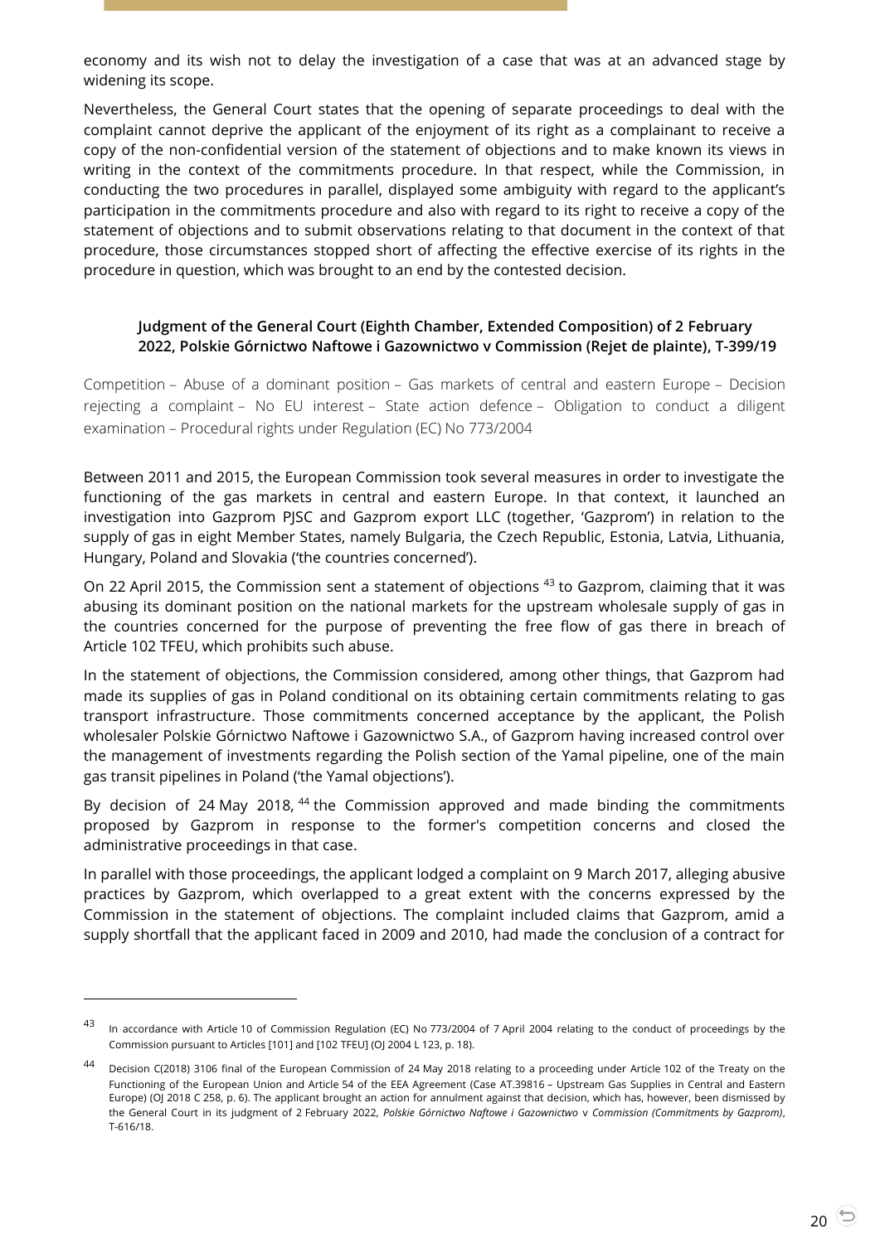economy and its wish not to delay the investigation of a case that was at an advanced stage by widening its scope.

Nevertheless, the General Court states that the opening of separate proceedings to deal with the complaint cannot deprive the applicant of the enjoyment of its right as a complainant to receive a copy of the non-confidential version of the statement of objections and to make known its views in writing in the context of the commitments procedure. In that respect, while the Commission, in conducting the two procedures in parallel, displayed some ambiguity with regard to the applicant's participation in the commitments procedure and also with regard to its right to receive a copy of the statement of objections and to submit observations relating to that document in the context of that procedure, those circumstances stopped short of affecting the effective exercise of its rights in the procedure in question, which was brought to an end by the contested decision.

## <span id="page-19-0"></span>**Judgment of the General Court (Eighth Chamber, Extended Composition) of 2 February 2022, Polskie Górnictwo Naftowe i Gazownictwo v Commission (Rejet de plainte), T-399/19**

Competition – Abuse of a dominant position – Gas markets of central and eastern Europe – Decision rejecting a complaint – No EU interest – State action defence – Obligation to conduct a diligent examination – Procedural rights under Regulation (EC) No 773/2004

Between 2011 and 2015, the European Commission took several measures in order to investigate the functioning of the gas markets in central and eastern Europe. In that context, it launched an investigation into Gazprom PJSC and Gazprom export LLC (together, 'Gazprom') in relation to the supply of gas in eight Member States, namely Bulgaria, the Czech Republic, Estonia, Latvia, Lithuania, Hungary, Poland and Slovakia ('the countries concerned').

On 22 April 2015, the Commission sent a statement of objections <sup>43</sup> to Gazprom, claiming that it was abusing its dominant position on the national markets for the upstream wholesale supply of gas in the countries concerned for the purpose of preventing the free flow of gas there in breach of Article 102 TFEU, which prohibits such abuse.

In the statement of objections, the Commission considered, among other things, that Gazprom had made its supplies of gas in Poland conditional on its obtaining certain commitments relating to gas transport infrastructure. Those commitments concerned acceptance by the applicant, the Polish wholesaler Polskie Górnictwo Naftowe i Gazownictwo S.A., of Gazprom having increased control over the management of investments regarding the Polish section of the Yamal pipeline, one of the main gas transit pipelines in Poland ('the Yamal objections').

By decision of 24 May 2018, <sup>44</sup> the Commission approved and made binding the commitments proposed by Gazprom in response to the former's competition concerns and closed the administrative proceedings in that case.

In parallel with those proceedings, the applicant lodged a complaint on 9 March 2017, alleging abusive practices by Gazprom, which overlapped to a great extent with the concerns expressed by the Commission in the statement of objections. The complaint included claims that Gazprom, amid a supply shortfall that the applicant faced in 2009 and 2010, had made the conclusion of a contract for

-

<sup>43</sup> In accordance with Article 10 of Commission Regulation (EC) No 773/2004 of 7 April 2004 relating to the conduct of proceedings by the Commission pursuant to Articles [101] and [102 TFEU] (OJ 2004 L 123, p. 18).

<sup>44</sup> Decision C(2018) 3106 final of the European Commission of 24 May 2018 relating to a proceeding under Article 102 of the Treaty on the Functioning of the European Union and Article 54 of the EEA Agreement (Case AT.39816 – Upstream Gas Supplies in Central and Eastern Europe) (OJ 2018 C 258, p. 6). The applicant brought an action for annulment against that decision, which has, however, been dismissed by the General Court in its judgment of 2 February 2022, *Polskie Górnictwo Naftowe i Gazownictwo* v *Commission (Commitments by Gazprom)*, T-616/18.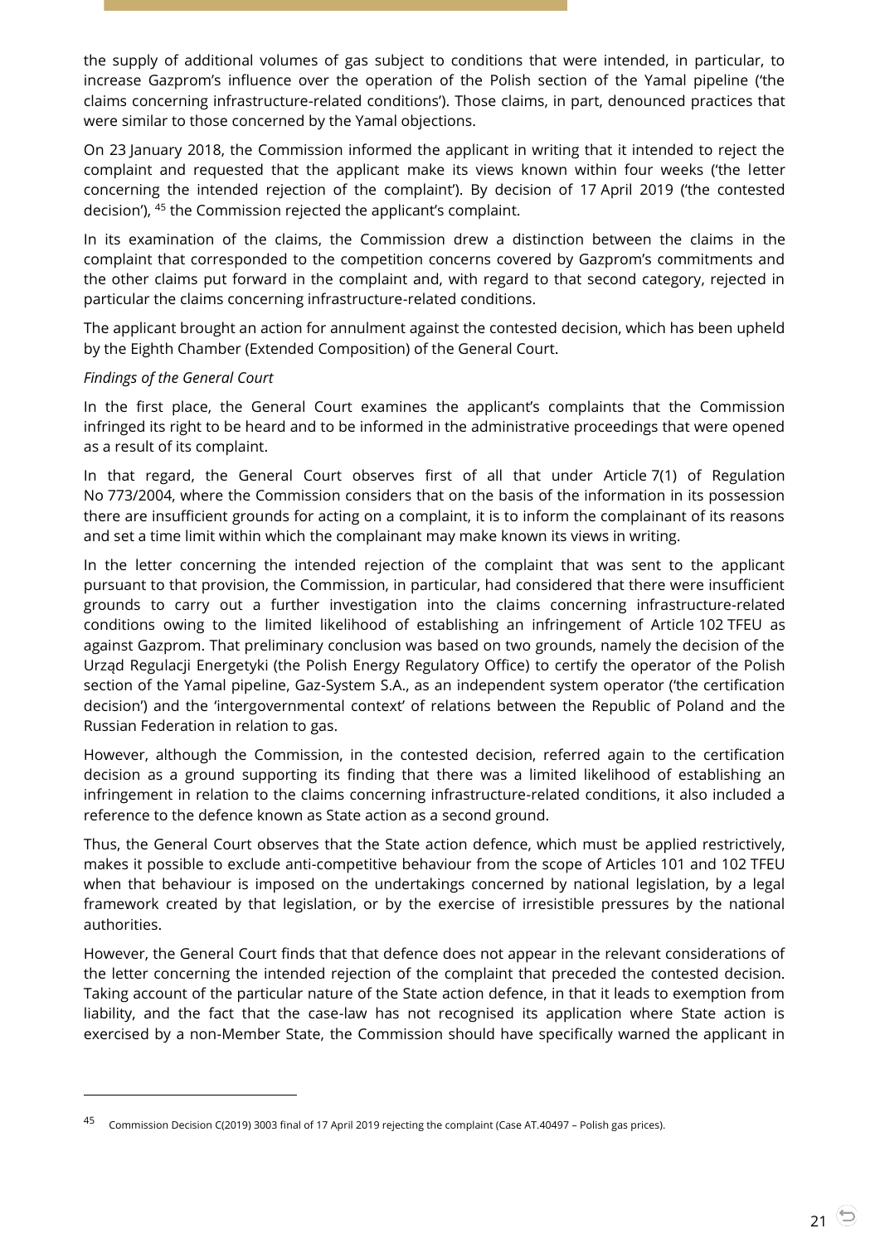the supply of additional volumes of gas subject to conditions that were intended, in particular, to increase Gazprom's influence over the operation of the Polish section of the Yamal pipeline ('the claims concerning infrastructure-related conditions'). Those claims, in part, denounced practices that were similar to those concerned by the Yamal objections.

On 23 January 2018, the Commission informed the applicant in writing that it intended to reject the complaint and requested that the applicant make its views known within four weeks ('the letter concerning the intended rejection of the complaint'). By decision of 17 April 2019 ('the contested decision'), <sup>45</sup> the Commission rejected the applicant's complaint.

In its examination of the claims, the Commission drew a distinction between the claims in the complaint that corresponded to the competition concerns covered by Gazprom's commitments and the other claims put forward in the complaint and, with regard to that second category, rejected in particular the claims concerning infrastructure-related conditions.

The applicant brought an action for annulment against the contested decision, which has been upheld by the Eighth Chamber (Extended Composition) of the General Court.

#### *Findings of the General Court*

 $\overline{a}$ 

In the first place, the General Court examines the applicant's complaints that the Commission infringed its right to be heard and to be informed in the administrative proceedings that were opened as a result of its complaint.

In that regard, the General Court observes first of all that under Article 7(1) of Regulation No 773/2004, where the Commission considers that on the basis of the information in its possession there are insufficient grounds for acting on a complaint, it is to inform the complainant of its reasons and set a time limit within which the complainant may make known its views in writing.

In the letter concerning the intended rejection of the complaint that was sent to the applicant pursuant to that provision, the Commission, in particular, had considered that there were insufficient grounds to carry out a further investigation into the claims concerning infrastructure-related conditions owing to the limited likelihood of establishing an infringement of Article 102 TFEU as against Gazprom. That preliminary conclusion was based on two grounds, namely the decision of the Urząd Regulacji Energetyki (the Polish Energy Regulatory Office) to certify the operator of the Polish section of the Yamal pipeline, Gaz-System S.A., as an independent system operator ('the certification decision') and the 'intergovernmental context' of relations between the Republic of Poland and the Russian Federation in relation to gas.

However, although the Commission, in the contested decision, referred again to the certification decision as a ground supporting its finding that there was a limited likelihood of establishing an infringement in relation to the claims concerning infrastructure-related conditions, it also included a reference to the defence known as State action as a second ground.

Thus, the General Court observes that the State action defence, which must be applied restrictively, makes it possible to exclude anti-competitive behaviour from the scope of Articles 101 and 102 TFEU when that behaviour is imposed on the undertakings concerned by national legislation, by a legal framework created by that legislation, or by the exercise of irresistible pressures by the national authorities.

However, the General Court finds that that defence does not appear in the relevant considerations of the letter concerning the intended rejection of the complaint that preceded the contested decision. Taking account of the particular nature of the State action defence, in that it leads to exemption from liability, and the fact that the case-law has not recognised its application where State action is exercised by a non-Member State, the Commission should have specifically warned the applicant in

<sup>45</sup> Commission Decision C(2019) 3003 final of 17 April 2019 rejecting the complaint (Case AT.40497 – Polish gas prices).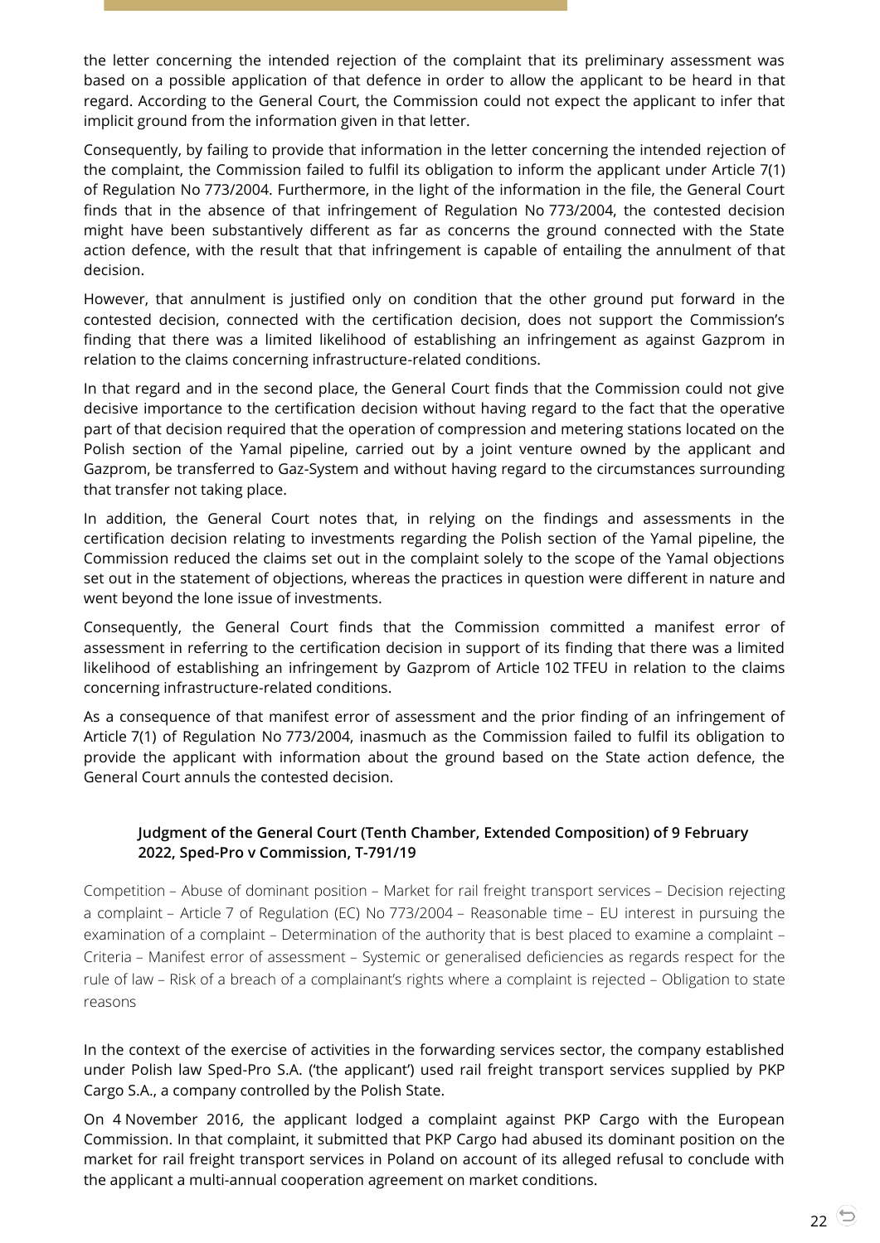the letter concerning the intended rejection of the complaint that its preliminary assessment was based on a possible application of that defence in order to allow the applicant to be heard in that regard. According to the General Court, the Commission could not expect the applicant to infer that implicit ground from the information given in that letter.

Consequently, by failing to provide that information in the letter concerning the intended rejection of the complaint, the Commission failed to fulfil its obligation to inform the applicant under Article 7(1) of Regulation No 773/2004. Furthermore, in the light of the information in the file, the General Court finds that in the absence of that infringement of Regulation No 773/2004, the contested decision might have been substantively different as far as concerns the ground connected with the State action defence, with the result that that infringement is capable of entailing the annulment of that decision.

However, that annulment is justified only on condition that the other ground put forward in the contested decision, connected with the certification decision, does not support the Commission's finding that there was a limited likelihood of establishing an infringement as against Gazprom in relation to the claims concerning infrastructure-related conditions.

In that regard and in the second place, the General Court finds that the Commission could not give decisive importance to the certification decision without having regard to the fact that the operative part of that decision required that the operation of compression and metering stations located on the Polish section of the Yamal pipeline, carried out by a joint venture owned by the applicant and Gazprom, be transferred to Gaz-System and without having regard to the circumstances surrounding that transfer not taking place.

In addition, the General Court notes that, in relying on the findings and assessments in the certification decision relating to investments regarding the Polish section of the Yamal pipeline, the Commission reduced the claims set out in the complaint solely to the scope of the Yamal objections set out in the statement of objections, whereas the practices in question were different in nature and went beyond the lone issue of investments.

Consequently, the General Court finds that the Commission committed a manifest error of assessment in referring to the certification decision in support of its finding that there was a limited likelihood of establishing an infringement by Gazprom of Article 102 TFEU in relation to the claims concerning infrastructure-related conditions.

As a consequence of that manifest error of assessment and the prior finding of an infringement of Article 7(1) of Regulation No 773/2004, inasmuch as the Commission failed to fulfil its obligation to provide the applicant with information about the ground based on the State action defence, the General Court annuls the contested decision.

# <span id="page-21-0"></span>**Judgment of the General Court (Tenth Chamber, Extended Composition) of 9 February 2022, Sped-Pro v Commission, T-791/19**

Competition – Abuse of dominant position – Market for rail freight transport services – Decision rejecting a complaint – Article 7 of Regulation (EC) No 773/2004 – Reasonable time – EU interest in pursuing the examination of a complaint – Determination of the authority that is best placed to examine a complaint – Criteria – Manifest error of assessment – Systemic or generalised deficiencies as regards respect for the rule of law – Risk of a breach of a complainant's rights where a complaint is rejected – Obligation to state reasons

In the context of the exercise of activities in the forwarding services sector, the company established under Polish law Sped-Pro S.A. ('the applicant') used rail freight transport services supplied by PKP Cargo S.A., a company controlled by the Polish State.

On 4 November 2016, the applicant lodged a complaint against PKP Cargo with the European Commission. In that complaint, it submitted that PKP Cargo had abused its dominant position on the market for rail freight transport services in Poland on account of its alleged refusal to conclude with the applicant a multi-annual cooperation agreement on market conditions.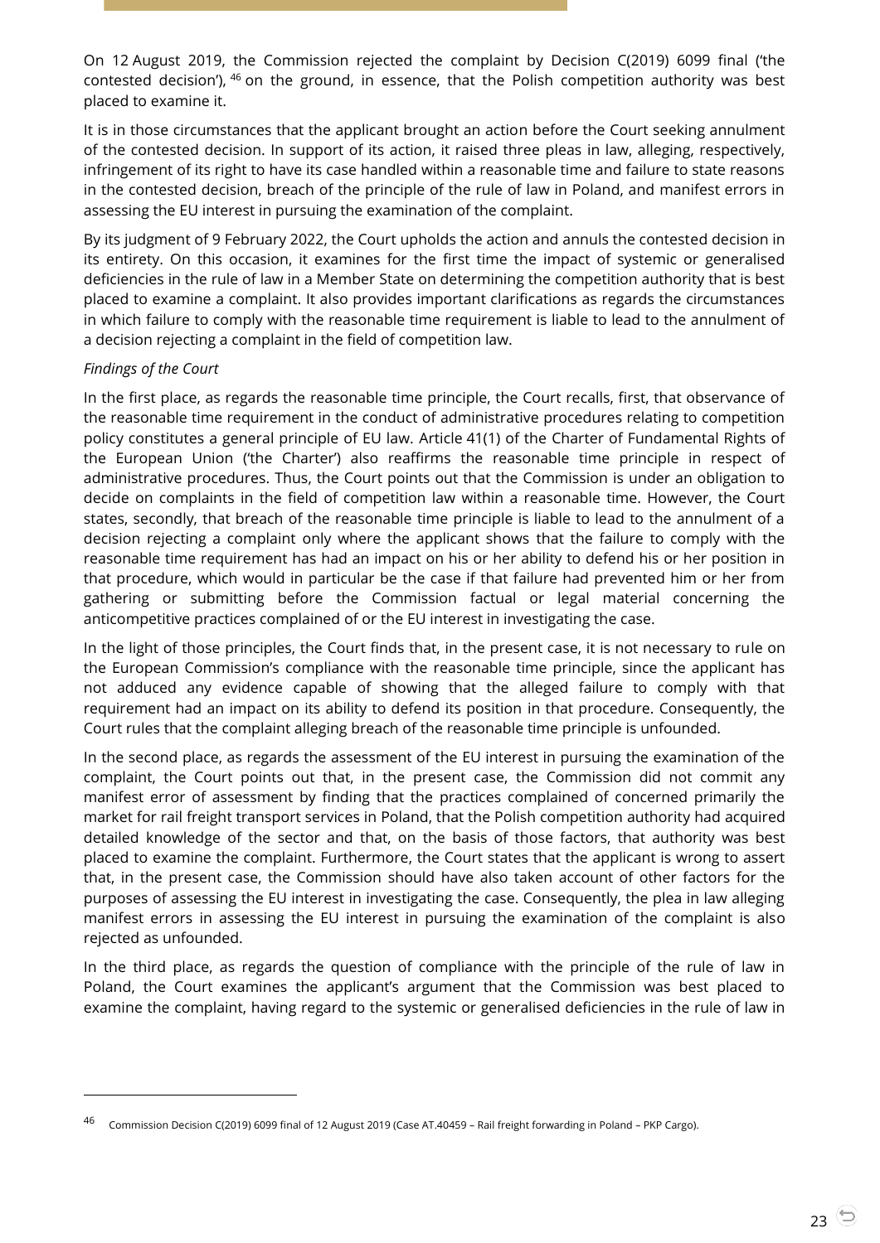On 12 August 2019, the Commission rejected the complaint by Decision C(2019) 6099 final ('the contested decision'), <sup>46</sup> on the ground, in essence, that the Polish competition authority was best placed to examine it.

It is in those circumstances that the applicant brought an action before the Court seeking annulment of the contested decision. In support of its action, it raised three pleas in law, alleging, respectively, infringement of its right to have its case handled within a reasonable time and failure to state reasons in the contested decision, breach of the principle of the rule of law in Poland, and manifest errors in assessing the EU interest in pursuing the examination of the complaint.

By its judgment of 9 February 2022, the Court upholds the action and annuls the contested decision in its entirety. On this occasion, it examines for the first time the impact of systemic or generalised deficiencies in the rule of law in a Member State on determining the competition authority that is best placed to examine a complaint. It also provides important clarifications as regards the circumstances in which failure to comply with the reasonable time requirement is liable to lead to the annulment of a decision rejecting a complaint in the field of competition law.

#### *Findings of the Court*

 $\overline{a}$ 

In the first place, as regards the reasonable time principle, the Court recalls, first, that observance of the reasonable time requirement in the conduct of administrative procedures relating to competition policy constitutes a general principle of EU law. Article 41(1) of the Charter of Fundamental Rights of the European Union ('the Charter') also reaffirms the reasonable time principle in respect of administrative procedures. Thus, the Court points out that the Commission is under an obligation to decide on complaints in the field of competition law within a reasonable time. However, the Court states, secondly, that breach of the reasonable time principle is liable to lead to the annulment of a decision rejecting a complaint only where the applicant shows that the failure to comply with the reasonable time requirement has had an impact on his or her ability to defend his or her position in that procedure, which would in particular be the case if that failure had prevented him or her from gathering or submitting before the Commission factual or legal material concerning the anticompetitive practices complained of or the EU interest in investigating the case.

In the light of those principles, the Court finds that, in the present case, it is not necessary to rule on the European Commission's compliance with the reasonable time principle, since the applicant has not adduced any evidence capable of showing that the alleged failure to comply with that requirement had an impact on its ability to defend its position in that procedure. Consequently, the Court rules that the complaint alleging breach of the reasonable time principle is unfounded.

In the second place, as regards the assessment of the EU interest in pursuing the examination of the complaint, the Court points out that, in the present case, the Commission did not commit any manifest error of assessment by finding that the practices complained of concerned primarily the market for rail freight transport services in Poland, that the Polish competition authority had acquired detailed knowledge of the sector and that, on the basis of those factors, that authority was best placed to examine the complaint. Furthermore, the Court states that the applicant is wrong to assert that, in the present case, the Commission should have also taken account of other factors for the purposes of assessing the EU interest in investigating the case. Consequently, the plea in law alleging manifest errors in assessing the EU interest in pursuing the examination of the complaint is also rejected as unfounded.

In the third place, as regards the question of compliance with the principle of the rule of law in Poland, the Court examines the applicant's argument that the Commission was best placed to examine the complaint, having regard to the systemic or generalised deficiencies in the rule of law in

<sup>46</sup> Commission Decision C(2019) 6099 final of 12 August 2019 (Case AT.40459 – Rail freight forwarding in Poland – PKP Cargo).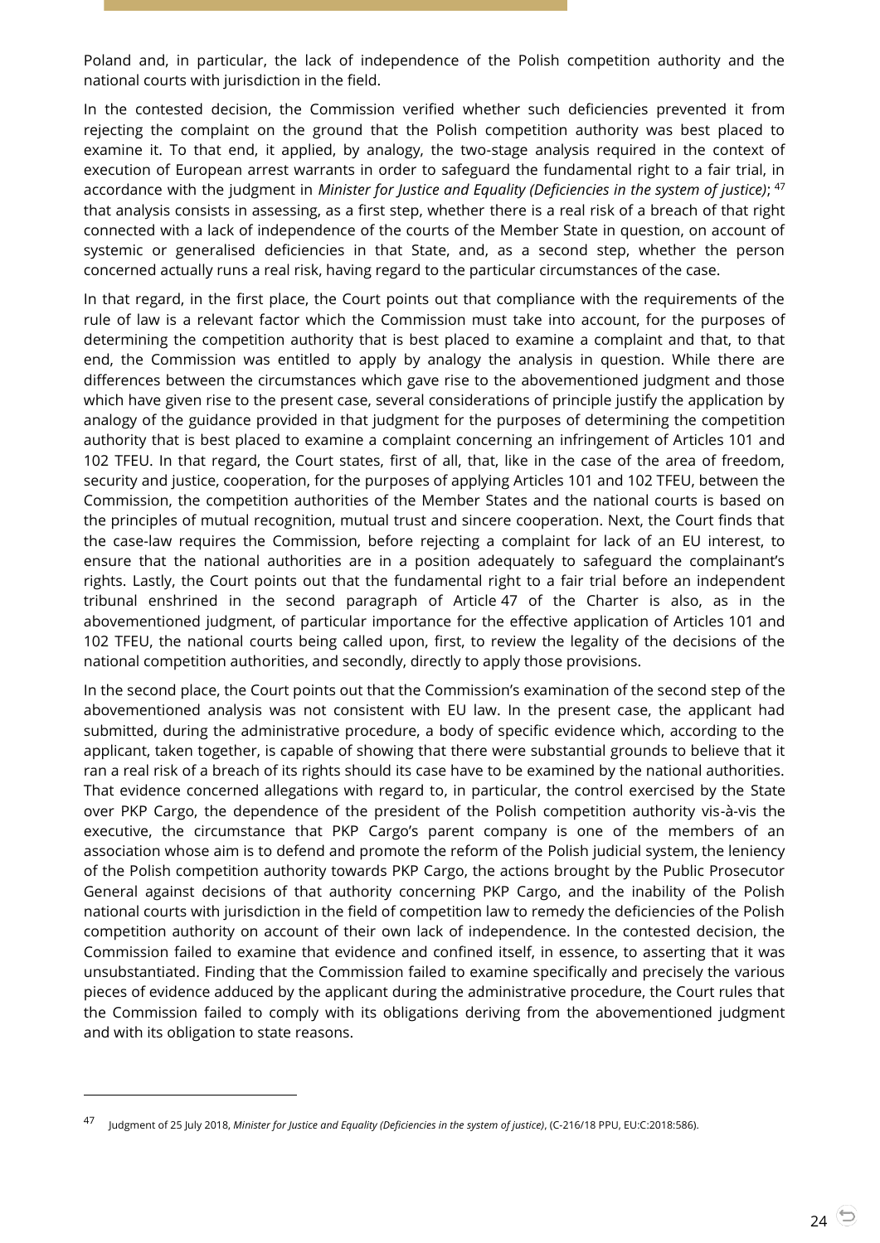Poland and, in particular, the lack of independence of the Polish competition authority and the national courts with jurisdiction in the field.

In the contested decision, the Commission verified whether such deficiencies prevented it from rejecting the complaint on the ground that the Polish competition authority was best placed to examine it. To that end, it applied, by analogy, the two-stage analysis required in the context of execution of European arrest warrants in order to safeguard the fundamental right to a fair trial, in accordance with the judgment in *Minister for Justice and Equality (Deficiencies in the system of justice)*; 47 that analysis consists in assessing, as a first step, whether there is a real risk of a breach of that right connected with a lack of independence of the courts of the Member State in question, on account of systemic or generalised deficiencies in that State, and, as a second step, whether the person concerned actually runs a real risk, having regard to the particular circumstances of the case.

In that regard, in the first place, the Court points out that compliance with the requirements of the rule of law is a relevant factor which the Commission must take into account, for the purposes of determining the competition authority that is best placed to examine a complaint and that, to that end, the Commission was entitled to apply by analogy the analysis in question. While there are differences between the circumstances which gave rise to the abovementioned judgment and those which have given rise to the present case, several considerations of principle justify the application by analogy of the guidance provided in that judgment for the purposes of determining the competition authority that is best placed to examine a complaint concerning an infringement of Articles 101 and 102 TFEU. In that regard, the Court states, first of all, that, like in the case of the area of freedom, security and justice, cooperation, for the purposes of applying Articles 101 and 102 TFEU, between the Commission, the competition authorities of the Member States and the national courts is based on the principles of mutual recognition, mutual trust and sincere cooperation. Next, the Court finds that the case-law requires the Commission, before rejecting a complaint for lack of an EU interest, to ensure that the national authorities are in a position adequately to safeguard the complainant's rights. Lastly, the Court points out that the fundamental right to a fair trial before an independent tribunal enshrined in the second paragraph of Article 47 of the Charter is also, as in the abovementioned judgment, of particular importance for the effective application of Articles 101 and 102 TFEU, the national courts being called upon, first, to review the legality of the decisions of the national competition authorities, and secondly, directly to apply those provisions.

In the second place, the Court points out that the Commission's examination of the second step of the abovementioned analysis was not consistent with EU law. In the present case, the applicant had submitted, during the administrative procedure, a body of specific evidence which, according to the applicant, taken together, is capable of showing that there were substantial grounds to believe that it ran a real risk of a breach of its rights should its case have to be examined by the national authorities. That evidence concerned allegations with regard to, in particular, the control exercised by the State over PKP Cargo, the dependence of the president of the Polish competition authority vis-à-vis the executive, the circumstance that PKP Cargo's parent company is one of the members of an association whose aim is to defend and promote the reform of the Polish judicial system, the leniency of the Polish competition authority towards PKP Cargo, the actions brought by the Public Prosecutor General against decisions of that authority concerning PKP Cargo, and the inability of the Polish national courts with jurisdiction in the field of competition law to remedy the deficiencies of the Polish competition authority on account of their own lack of independence. In the contested decision, the Commission failed to examine that evidence and confined itself, in essence, to asserting that it was unsubstantiated. Finding that the Commission failed to examine specifically and precisely the various pieces of evidence adduced by the applicant during the administrative procedure, the Court rules that the Commission failed to comply with its obligations deriving from the abovementioned judgment and with its obligation to state reasons.

<sup>47</sup> Judgment of 25 July 2018, *Minister for Justice and Equality (Deficiencies in the system of justice)*, (C-216/18 PPU, EU:C:2018:586).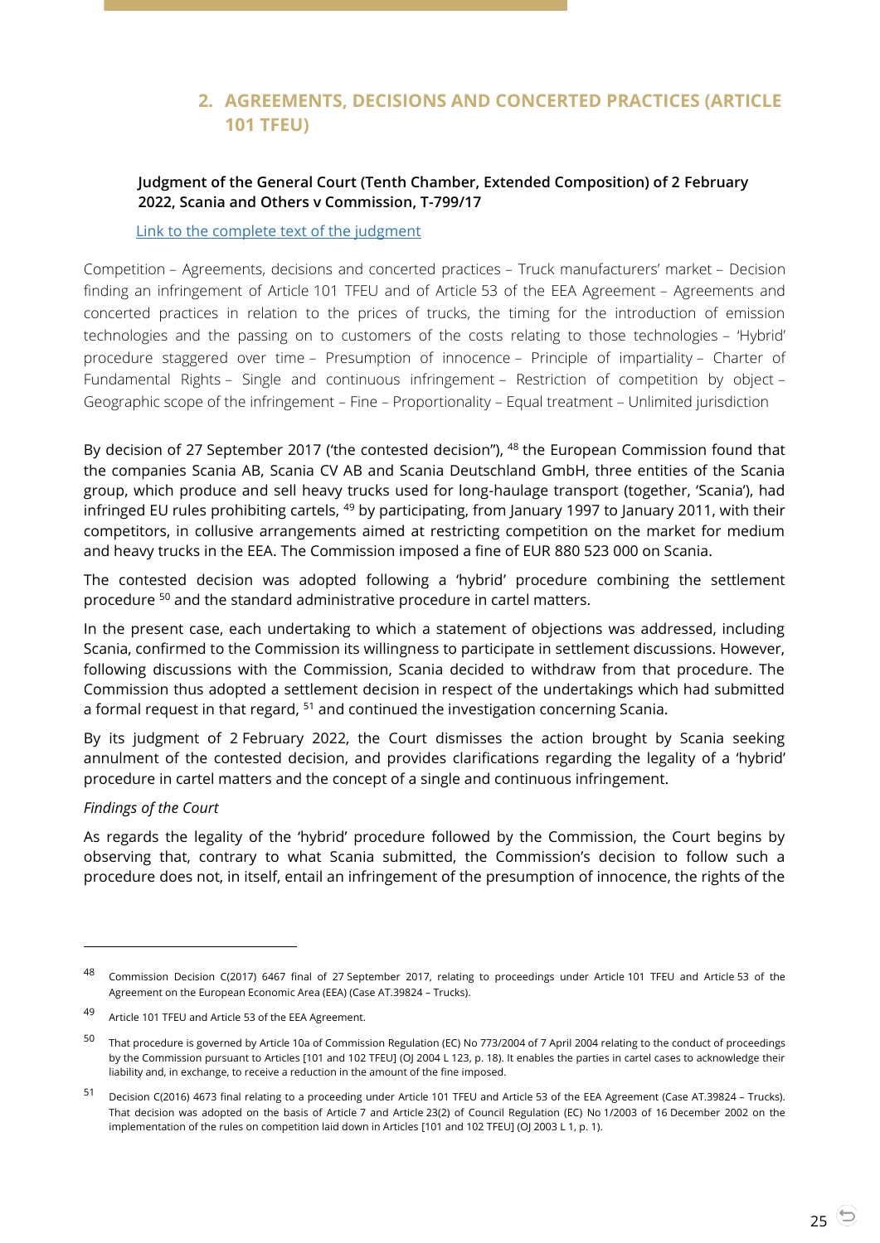# **2. AGREEMENTS, DECISIONS AND CONCERTED PRACTICES (ARTICLE 101 TFEU)**

## <span id="page-24-1"></span><span id="page-24-0"></span>**Judgment of the General Court (Tenth Chamber, Extended Composition) of 2 February 2022, Scania and Others v Commission, T-799/17**

[Link to the complete text of the judgment](https://curia.europa.eu/juris/document/document.jsf?text=&docid=253221&pageIndex=0&doclang=EN&mode=lst&dir=&occ=first&part=1&cid=1813218)

Competition – Agreements, decisions and concerted practices – Truck manufacturers' market – Decision finding an infringement of Article 101 TFEU and of Article 53 of the EEA Agreement – Agreements and concerted practices in relation to the prices of trucks, the timing for the introduction of emission technologies and the passing on to customers of the costs relating to those technologies – 'Hybrid' procedure staggered over time – Presumption of innocence – Principle of impartiality – Charter of Fundamental Rights – Single and continuous infringement – Restriction of competition by object – Geographic scope of the infringement – Fine – Proportionality – Equal treatment – Unlimited jurisdiction

By decision of 27 September 2017 ('the contested decision"), <sup>48</sup> the European Commission found that the companies Scania AB, Scania CV AB and Scania Deutschland GmbH, three entities of the Scania group, which produce and sell heavy trucks used for long-haulage transport (together, 'Scania'), had infringed EU rules prohibiting cartels, <sup>49</sup> by participating, from January 1997 to January 2011, with their competitors, in collusive arrangements aimed at restricting competition on the market for medium and heavy trucks in the EEA. The Commission imposed a fine of EUR 880 523 000 on Scania.

The contested decision was adopted following a 'hybrid' procedure combining the settlement procedure <sup>50</sup> and the standard administrative procedure in cartel matters.

In the present case, each undertaking to which a statement of objections was addressed, including Scania, confirmed to the Commission its willingness to participate in settlement discussions. However, following discussions with the Commission, Scania decided to withdraw from that procedure. The Commission thus adopted a settlement decision in respect of the undertakings which had submitted a formal request in that regard, <sup>51</sup> and continued the investigation concerning Scania.

By its judgment of 2 February 2022, the Court dismisses the action brought by Scania seeking annulment of the contested decision, and provides clarifications regarding the legality of a 'hybrid' procedure in cartel matters and the concept of a single and continuous infringement.

#### *Findings of the Court*

 $\overline{a}$ 

As regards the legality of the 'hybrid' procedure followed by the Commission, the Court begins by observing that, contrary to what Scania submitted, the Commission's decision to follow such a procedure does not, in itself, entail an infringement of the presumption of innocence, the rights of the

<sup>48</sup> Commission Decision C(2017) 6467 final of 27 September 2017, relating to proceedings under Article 101 TFEU and Article 53 of the Agreement on the European Economic Area (EEA) (Case AT.39824 – Trucks).

<sup>49</sup> Article <sup>101</sup> TFEU and Article 53 of the EEA Agreement.

<sup>50</sup> That procedure is governed by Article 10a of Commission Regulation (EC) No 773/2004 of 7 April 2004 relating to the conduct of proceedings by the Commission pursuant to Articles [101 and 102 TFEU] (OJ 2004 L 123, p. 18). It enables the parties in cartel cases to acknowledge their liability and, in exchange, to receive a reduction in the amount of the fine imposed.

<sup>51</sup> Decision C(2016) 4673 final relating to a proceeding under Article 101 TFEU and Article 53 of the EEA Agreement (Case AT.39824 – Trucks). That decision was adopted on the basis of Article 7 and Article 23(2) of Council Regulation (EC) No 1/2003 of 16 December 2002 on the implementation of the rules on competition laid down in Articles [101 and 102 TFEU] (OJ 2003 L 1, p. 1).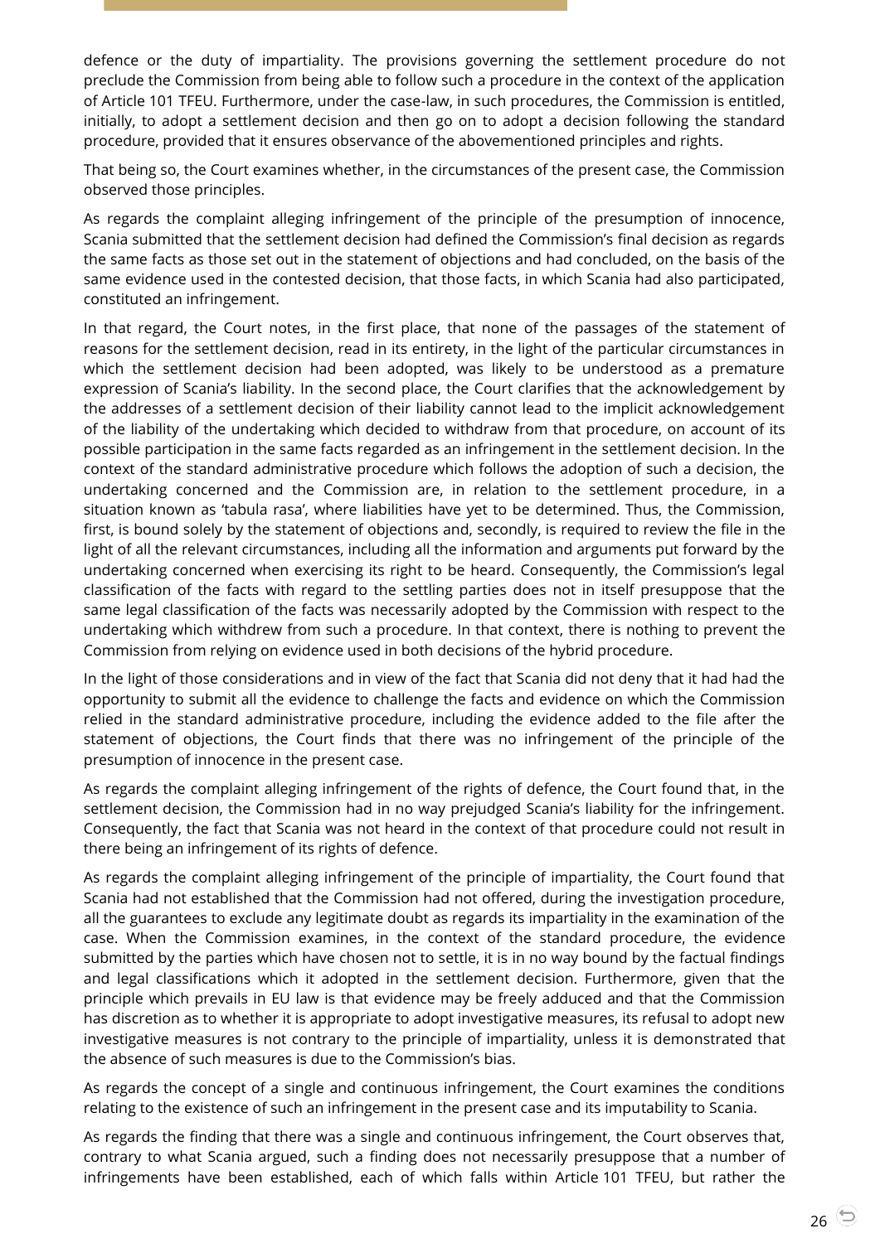defence or the duty of impartiality. The provisions governing the settlement procedure do not preclude the Commission from being able to follow such a procedure in the context of the application of Article 101 TFEU. Furthermore, under the case-law, in such procedures, the Commission is entitled, initially, to adopt a settlement decision and then go on to adopt a decision following the standard procedure, provided that it ensures observance of the abovementioned principles and rights.

That being so, the Court examines whether, in the circumstances of the present case, the Commission observed those principles.

As regards the complaint alleging infringement of the principle of the presumption of innocence, Scania submitted that the settlement decision had defined the Commission's final decision as regards the same facts as those set out in the statement of objections and had concluded, on the basis of the same evidence used in the contested decision, that those facts, in which Scania had also participated, constituted an infringement.

In that regard, the Court notes, in the first place, that none of the passages of the statement of reasons for the settlement decision, read in its entirety, in the light of the particular circumstances in which the settlement decision had been adopted, was likely to be understood as a premature expression of Scania's liability. In the second place, the Court clarifies that the acknowledgement by the addresses of a settlement decision of their liability cannot lead to the implicit acknowledgement of the liability of the undertaking which decided to withdraw from that procedure, on account of its possible participation in the same facts regarded as an infringement in the settlement decision. In the context of the standard administrative procedure which follows the adoption of such a decision, the undertaking concerned and the Commission are, in relation to the settlement procedure, in a situation known as 'tabula rasa', where liabilities have yet to be determined. Thus, the Commission, first, is bound solely by the statement of objections and, secondly, is required to review the file in the light of all the relevant circumstances, including all the information and arguments put forward by the undertaking concerned when exercising its right to be heard. Consequently, the Commission's legal classification of the facts with regard to the settling parties does not in itself presuppose that the same legal classification of the facts was necessarily adopted by the Commission with respect to the undertaking which withdrew from such a procedure. In that context, there is nothing to prevent the Commission from relying on evidence used in both decisions of the hybrid procedure.

In the light of those considerations and in view of the fact that Scania did not deny that it had had the opportunity to submit all the evidence to challenge the facts and evidence on which the Commission relied in the standard administrative procedure, including the evidence added to the file after the statement of objections, the Court finds that there was no infringement of the principle of the presumption of innocence in the present case.

As regards the complaint alleging infringement of the rights of defence, the Court found that, in the settlement decision, the Commission had in no way prejudged Scania's liability for the infringement. Consequently, the fact that Scania was not heard in the context of that procedure could not result in there being an infringement of its rights of defence.

As regards the complaint alleging infringement of the principle of impartiality, the Court found that Scania had not established that the Commission had not offered, during the investigation procedure, all the guarantees to exclude any legitimate doubt as regards its impartiality in the examination of the case. When the Commission examines, in the context of the standard procedure, the evidence submitted by the parties which have chosen not to settle, it is in no way bound by the factual findings and legal classifications which it adopted in the settlement decision. Furthermore, given that the principle which prevails in EU law is that evidence may be freely adduced and that the Commission has discretion as to whether it is appropriate to adopt investigative measures, its refusal to adopt new investigative measures is not contrary to the principle of impartiality, unless it is demonstrated that the absence of such measures is due to the Commission's bias.

As regards the concept of a single and continuous infringement, the Court examines the conditions relating to the existence of such an infringement in the present case and its imputability to Scania.

As regards the finding that there was a single and continuous infringement, the Court observes that, contrary to what Scania argued, such a finding does not necessarily presuppose that a number of infringements have been established, each of which falls within Article 101 TFEU, but rather the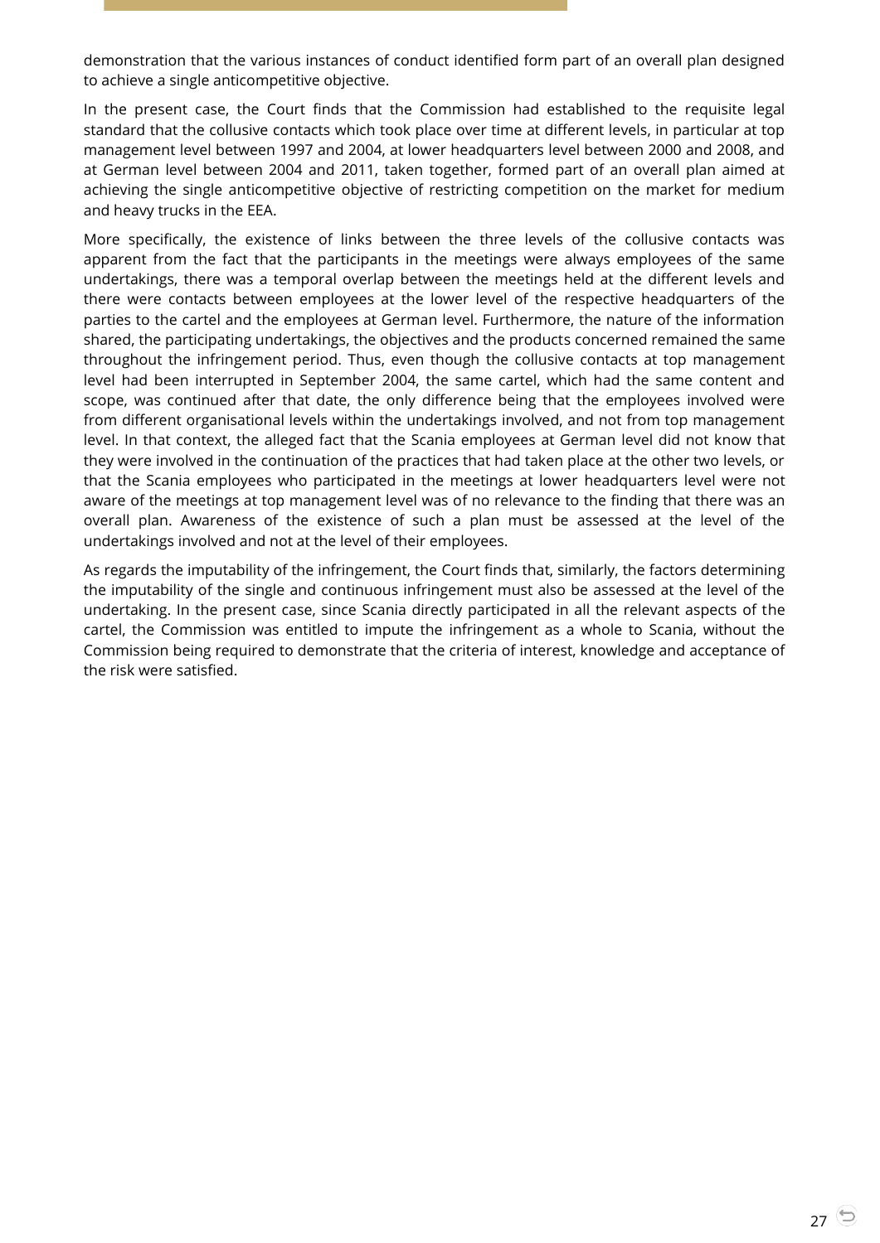demonstration that the various instances of conduct identified form part of an overall plan designed to achieve a single anticompetitive objective.

In the present case, the Court finds that the Commission had established to the requisite legal standard that the collusive contacts which took place over time at different levels, in particular at top management level between 1997 and 2004, at lower headquarters level between 2000 and 2008, and at German level between 2004 and 2011, taken together, formed part of an overall plan aimed at achieving the single anticompetitive objective of restricting competition on the market for medium and heavy trucks in the EEA.

More specifically, the existence of links between the three levels of the collusive contacts was apparent from the fact that the participants in the meetings were always employees of the same undertakings, there was a temporal overlap between the meetings held at the different levels and there were contacts between employees at the lower level of the respective headquarters of the parties to the cartel and the employees at German level. Furthermore, the nature of the information shared, the participating undertakings, the objectives and the products concerned remained the same throughout the infringement period. Thus, even though the collusive contacts at top management level had been interrupted in September 2004, the same cartel, which had the same content and scope, was continued after that date, the only difference being that the employees involved were from different organisational levels within the undertakings involved, and not from top management level. In that context, the alleged fact that the Scania employees at German level did not know that they were involved in the continuation of the practices that had taken place at the other two levels, or that the Scania employees who participated in the meetings at lower headquarters level were not aware of the meetings at top management level was of no relevance to the finding that there was an overall plan. Awareness of the existence of such a plan must be assessed at the level of the undertakings involved and not at the level of their employees.

As regards the imputability of the infringement, the Court finds that, similarly, the factors determining the imputability of the single and continuous infringement must also be assessed at the level of the undertaking. In the present case, since Scania directly participated in all the relevant aspects of the cartel, the Commission was entitled to impute the infringement as a whole to Scania, without the Commission being required to demonstrate that the criteria of interest, knowledge and acceptance of the risk were satisfied.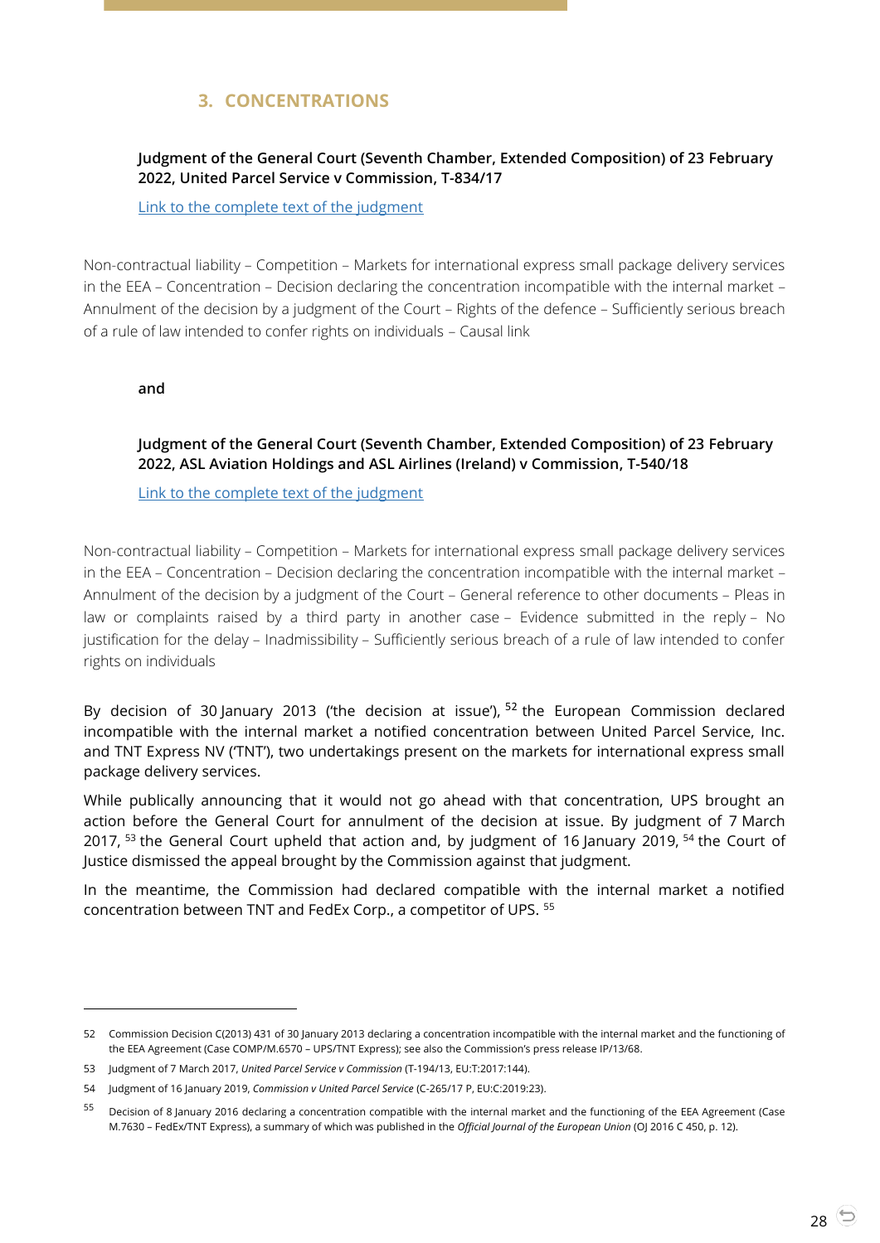# **3. CONCENTRATIONS**

# <span id="page-27-1"></span><span id="page-27-0"></span>**Judgment of the General Court (Seventh Chamber, Extended Composition) of 23 February 2022, United Parcel Service v Commission, T-834/17**

[Link to the complete text of the judgment](https://curia.europa.eu/juris/document/document.jsf?text=&docid=254481&pageIndex=0&doclang=EN&mode=lst&dir=&occ=first&part=1&cid=1814037)

Non-contractual liability – Competition – Markets for international express small package delivery services in the EEA – Concentration – Decision declaring the concentration incompatible with the internal market – Annulment of the decision by a judgment of the Court – Rights of the defence – Sufficiently serious breach of a rule of law intended to confer rights on individuals – Causal link

<span id="page-27-2"></span>**and**

 $\overline{a}$ 

## **Judgment of the General Court (Seventh Chamber, Extended Composition) of 23 February 2022, ASL Aviation Holdings and ASL Airlines (Ireland) v Commission, T-540/18**

[Link to the complete text of the judgment](https://curia.europa.eu/juris/document/document.jsf?text=&docid=254482&pageIndex=0&doclang=EN&mode=lst&dir=&occ=first&part=1&cid=1814201)

Non-contractual liability – Competition – Markets for international express small package delivery services in the EEA – Concentration – Decision declaring the concentration incompatible with the internal market – Annulment of the decision by a judgment of the Court – General reference to other documents – Pleas in law or complaints raised by a third party in another case – Evidence submitted in the reply – No justification for the delay – Inadmissibility – Sufficiently serious breach of a rule of law intended to confer rights on individuals

By decision of 30 January 2013 ('the decision at issue'),  $52$  the European Commission declared incompatible with the internal market a notified concentration between United Parcel Service, Inc. and TNT Express NV ('TNT'), two undertakings present on the markets for international express small package delivery services.

While publically announcing that it would not go ahead with that concentration, UPS brought an action before the General Court for annulment of the decision at issue. By judgment of 7 March 2017, <sup>53</sup> the General Court upheld that action and, by judgment of 16 January 2019, <sup>54</sup> the Court of Justice dismissed the appeal brought by the Commission against that judgment.

In the meantime, the Commission had declared compatible with the internal market a notified concentration between TNT and FedEx Corp., a competitor of UPS. <sup>55</sup>

<sup>52</sup> Commission Decision C(2013) 431 of 30 January 2013 declaring a concentration incompatible with the internal market and the functioning of the EEA Agreement (Case COMP/M.6570 – UPS/TNT Express); see also the Commission's press release IP/13/68.

<sup>53</sup> Judgment of 7 March 2017, *United Parcel Service v Commission* [\(T-194/13,](http://curia.europa.eu/juris/documents.jsf?num=T-194/13) EU:T:2017:144).

<sup>54</sup> Judgment of 16 January 2019, *Commission v United Parcel Service* [\(C-265/17](http://curia.europa.eu/juris/documents.jsf?num=C-265/17) P, EU:C:2019:23).

<sup>&</sup>lt;sup>55</sup> Decision of 8 January 2016 declaring a concentration compatible with the internal market and the functioning of the EEA Agreement (Case M.7630 – FedEx/TNT Express), a summary of which was published in the *Official Journal of the European Union* (OJ 2016 C 450, p. 12).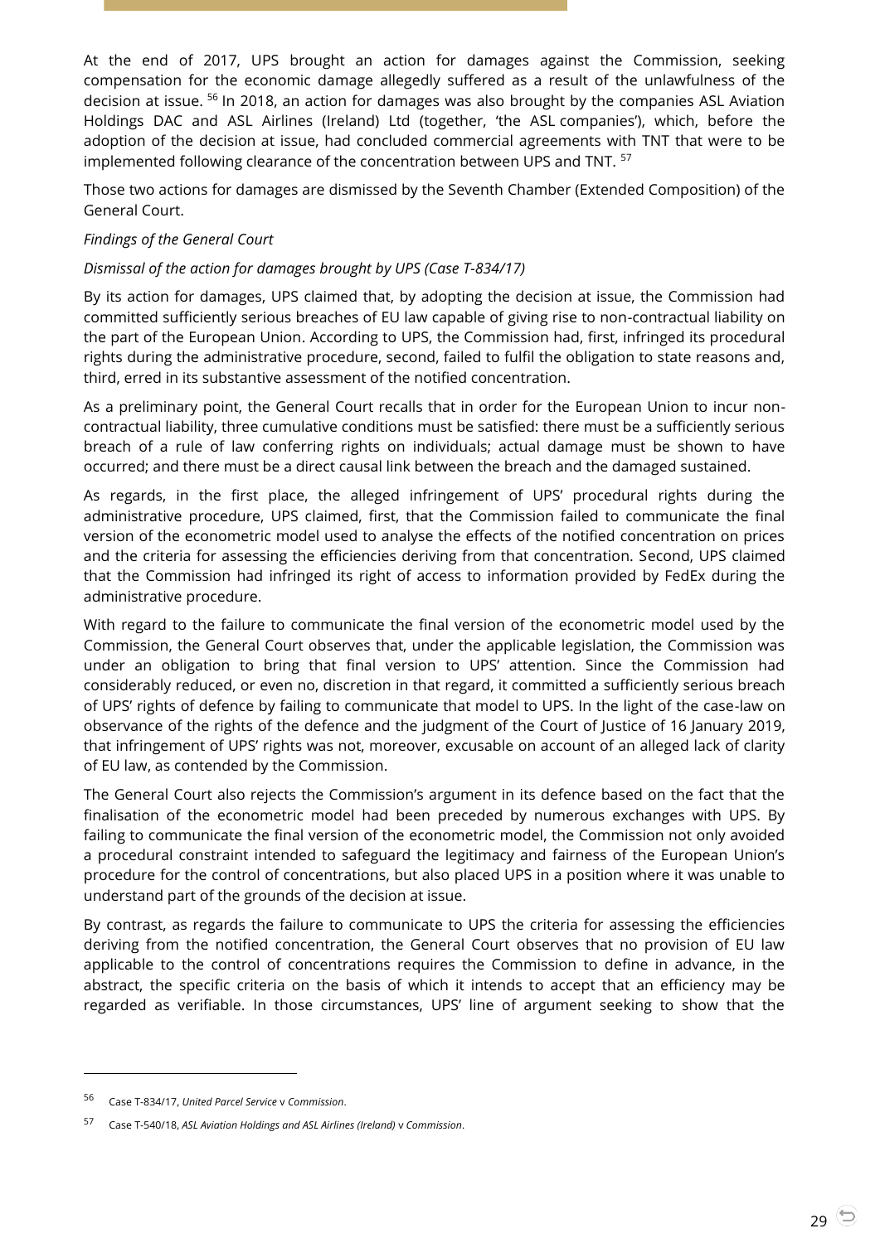At the end of 2017, UPS brought an action for damages against the Commission, seeking compensation for the economic damage allegedly suffered as a result of the unlawfulness of the decision at issue. <sup>56</sup> In 2018, an action for damages was also brought by the companies ASL Aviation Holdings DAC and ASL Airlines (Ireland) Ltd (together, 'the ASL companies'), which, before the adoption of the decision at issue, had concluded commercial agreements with TNT that were to be implemented following clearance of the concentration between UPS and TNT. <sup>57</sup>

Those two actions for damages are dismissed by the Seventh Chamber (Extended Composition) of the General Court.

#### *Findings of the General Court*

#### *Dismissal of the action for damages brought by UPS (Case T-834/17)*

By its action for damages, UPS claimed that, by adopting the decision at issue, the Commission had committed sufficiently serious breaches of EU law capable of giving rise to non-contractual liability on the part of the European Union. According to UPS, the Commission had, first, infringed its procedural rights during the administrative procedure, second, failed to fulfil the obligation to state reasons and, third, erred in its substantive assessment of the notified concentration.

As a preliminary point, the General Court recalls that in order for the European Union to incur noncontractual liability, three cumulative conditions must be satisfied: there must be a sufficiently serious breach of a rule of law conferring rights on individuals; actual damage must be shown to have occurred; and there must be a direct causal link between the breach and the damaged sustained.

As regards, in the first place, the alleged infringement of UPS' procedural rights during the administrative procedure, UPS claimed, first, that the Commission failed to communicate the final version of the econometric model used to analyse the effects of the notified concentration on prices and the criteria for assessing the efficiencies deriving from that concentration. Second, UPS claimed that the Commission had infringed its right of access to information provided by FedEx during the administrative procedure.

With regard to the failure to communicate the final version of the econometric model used by the Commission, the General Court observes that, under the applicable legislation, the Commission was under an obligation to bring that final version to UPS' attention. Since the Commission had considerably reduced, or even no, discretion in that regard, it committed a sufficiently serious breach of UPS' rights of defence by failing to communicate that model to UPS. In the light of the case-law on observance of the rights of the defence and the judgment of the Court of Justice of 16 January 2019, that infringement of UPS' rights was not, moreover, excusable on account of an alleged lack of clarity of EU law, as contended by the Commission.

The General Court also rejects the Commission's argument in its defence based on the fact that the finalisation of the econometric model had been preceded by numerous exchanges with UPS. By failing to communicate the final version of the econometric model, the Commission not only avoided a procedural constraint intended to safeguard the legitimacy and fairness of the European Union's procedure for the control of concentrations, but also placed UPS in a position where it was unable to understand part of the grounds of the decision at issue.

By contrast, as regards the failure to communicate to UPS the criteria for assessing the efficiencies deriving from the notified concentration, the General Court observes that no provision of EU law applicable to the control of concentrations requires the Commission to define in advance, in the abstract, the specific criteria on the basis of which it intends to accept that an efficiency may be regarded as verifiable. In those circumstances, UPS' line of argument seeking to show that the

<sup>56</sup> Case T-834/17, *United Parcel Service* v *Commission*.

<sup>57</sup> Case T-540/18, *ASL Aviation Holdings and ASL Airlines (Ireland)* v *Commission*.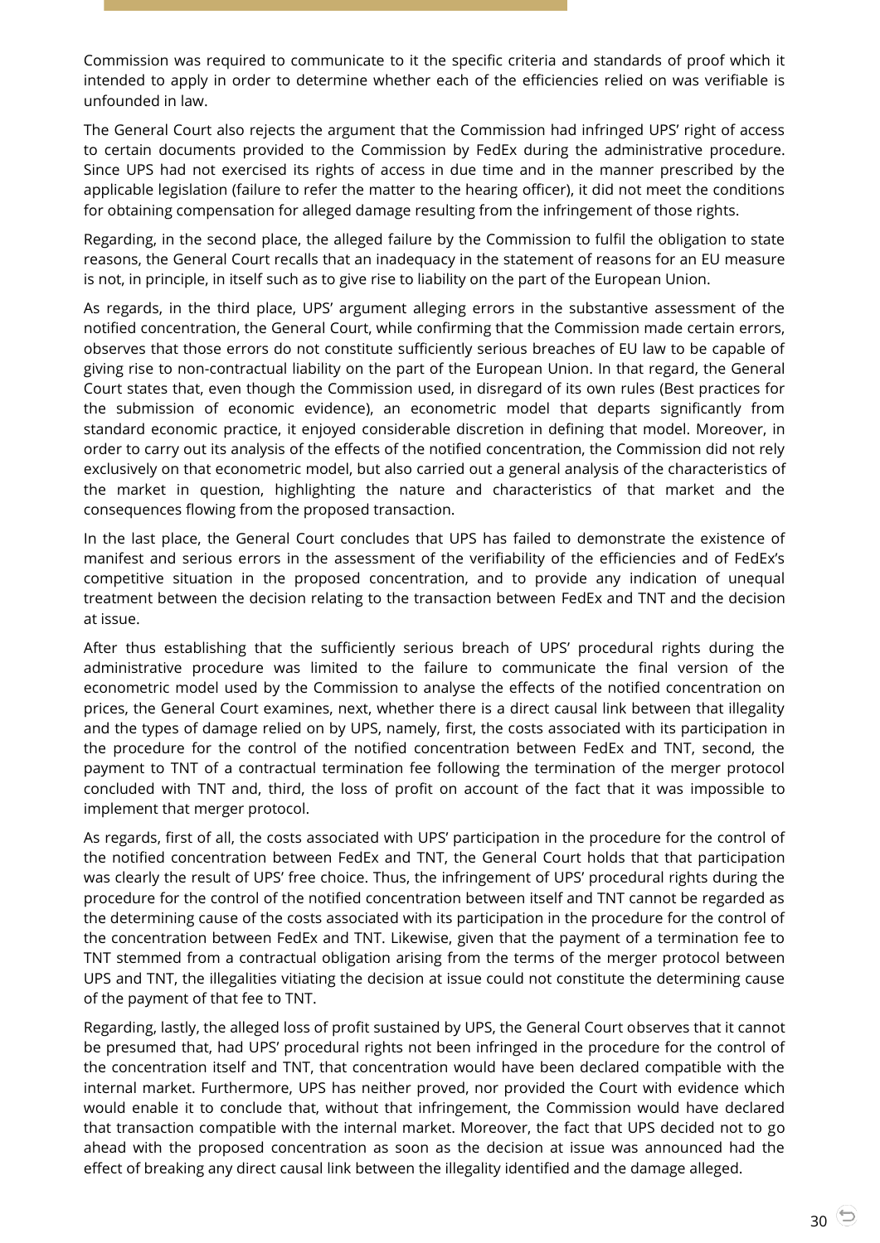Commission was required to communicate to it the specific criteria and standards of proof which it intended to apply in order to determine whether each of the efficiencies relied on was verifiable is unfounded in law.

The General Court also rejects the argument that the Commission had infringed UPS' right of access to certain documents provided to the Commission by FedEx during the administrative procedure. Since UPS had not exercised its rights of access in due time and in the manner prescribed by the applicable legislation (failure to refer the matter to the hearing officer), it did not meet the conditions for obtaining compensation for alleged damage resulting from the infringement of those rights.

Regarding, in the second place, the alleged failure by the Commission to fulfil the obligation to state reasons, the General Court recalls that an inadequacy in the statement of reasons for an EU measure is not, in principle, in itself such as to give rise to liability on the part of the European Union.

As regards, in the third place, UPS' argument alleging errors in the substantive assessment of the notified concentration, the General Court, while confirming that the Commission made certain errors, observes that those errors do not constitute sufficiently serious breaches of EU law to be capable of giving rise to non-contractual liability on the part of the European Union. In that regard, the General Court states that, even though the Commission used, in disregard of its own rules (Best practices for the submission of economic evidence), an econometric model that departs significantly from standard economic practice, it enjoyed considerable discretion in defining that model. Moreover, in order to carry out its analysis of the effects of the notified concentration, the Commission did not rely exclusively on that econometric model, but also carried out a general analysis of the characteristics of the market in question, highlighting the nature and characteristics of that market and the consequences flowing from the proposed transaction.

In the last place, the General Court concludes that UPS has failed to demonstrate the existence of manifest and serious errors in the assessment of the verifiability of the efficiencies and of FedEx's competitive situation in the proposed concentration, and to provide any indication of unequal treatment between the decision relating to the transaction between FedEx and TNT and the decision at issue.

After thus establishing that the sufficiently serious breach of UPS' procedural rights during the administrative procedure was limited to the failure to communicate the final version of the econometric model used by the Commission to analyse the effects of the notified concentration on prices, the General Court examines, next, whether there is a direct causal link between that illegality and the types of damage relied on by UPS, namely, first, the costs associated with its participation in the procedure for the control of the notified concentration between FedEx and TNT, second, the payment to TNT of a contractual termination fee following the termination of the merger protocol concluded with TNT and, third, the loss of profit on account of the fact that it was impossible to implement that merger protocol.

As regards, first of all, the costs associated with UPS' participation in the procedure for the control of the notified concentration between FedEx and TNT, the General Court holds that that participation was clearly the result of UPS' free choice. Thus, the infringement of UPS' procedural rights during the procedure for the control of the notified concentration between itself and TNT cannot be regarded as the determining cause of the costs associated with its participation in the procedure for the control of the concentration between FedEx and TNT. Likewise, given that the payment of a termination fee to TNT stemmed from a contractual obligation arising from the terms of the merger protocol between UPS and TNT, the illegalities vitiating the decision at issue could not constitute the determining cause of the payment of that fee to TNT.

Regarding, lastly, the alleged loss of profit sustained by UPS, the General Court observes that it cannot be presumed that, had UPS' procedural rights not been infringed in the procedure for the control of the concentration itself and TNT, that concentration would have been declared compatible with the internal market. Furthermore, UPS has neither proved, nor provided the Court with evidence which would enable it to conclude that, without that infringement, the Commission would have declared that transaction compatible with the internal market. Moreover, the fact that UPS decided not to go ahead with the proposed concentration as soon as the decision at issue was announced had the effect of breaking any direct causal link between the illegality identified and the damage alleged.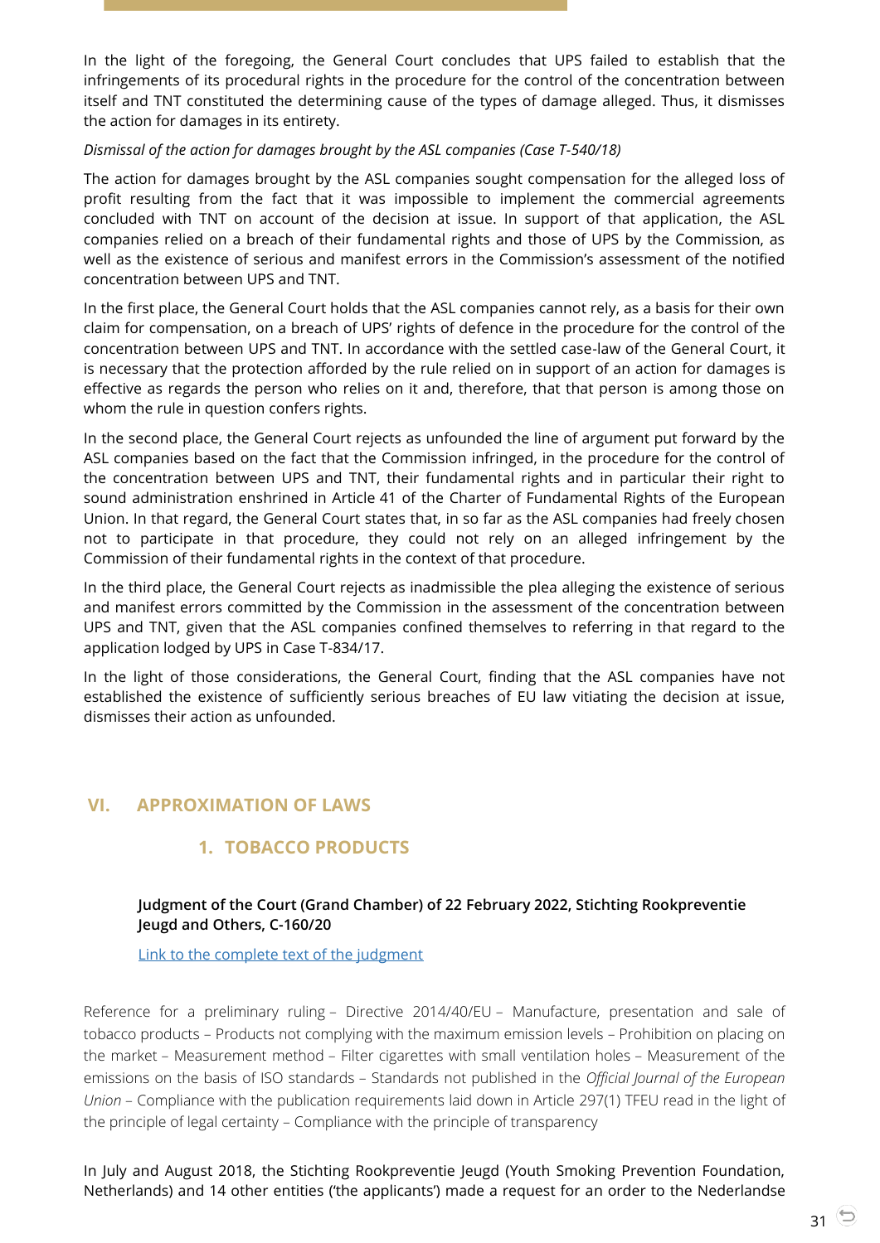In the light of the foregoing, the General Court concludes that UPS failed to establish that the infringements of its procedural rights in the procedure for the control of the concentration between itself and TNT constituted the determining cause of the types of damage alleged. Thus, it dismisses the action for damages in its entirety.

#### *Dismissal of the action for damages brought by the ASL companies (Case T-540/18)*

The action for damages brought by the ASL companies sought compensation for the alleged loss of profit resulting from the fact that it was impossible to implement the commercial agreements concluded with TNT on account of the decision at issue. In support of that application, the ASL companies relied on a breach of their fundamental rights and those of UPS by the Commission, as well as the existence of serious and manifest errors in the Commission's assessment of the notified concentration between UPS and TNT.

In the first place, the General Court holds that the ASL companies cannot rely, as a basis for their own claim for compensation, on a breach of UPS' rights of defence in the procedure for the control of the concentration between UPS and TNT. In accordance with the settled case-law of the General Court, it is necessary that the protection afforded by the rule relied on in support of an action for damages is effective as regards the person who relies on it and, therefore, that that person is among those on whom the rule in question confers rights.

In the second place, the General Court rejects as unfounded the line of argument put forward by the ASL companies based on the fact that the Commission infringed, in the procedure for the control of the concentration between UPS and TNT, their fundamental rights and in particular their right to sound administration enshrined in Article 41 of the Charter of Fundamental Rights of the European Union. In that regard, the General Court states that, in so far as the ASL companies had freely chosen not to participate in that procedure, they could not rely on an alleged infringement by the Commission of their fundamental rights in the context of that procedure.

In the third place, the General Court rejects as inadmissible the plea alleging the existence of serious and manifest errors committed by the Commission in the assessment of the concentration between UPS and TNT, given that the ASL companies confined themselves to referring in that regard to the application lodged by UPS in Case T-834/17.

In the light of those considerations, the General Court, finding that the ASL companies have not established the existence of sufficiently serious breaches of EU law vitiating the decision at issue, dismisses their action as unfounded.

# <span id="page-30-2"></span><span id="page-30-1"></span><span id="page-30-0"></span>**VI. APPROXIMATION OF LAWS**

# **1. TOBACCO PRODUCTS**

# **Judgment of the Court (Grand Chamber) of 22 February 2022, Stichting Rookpreventie Jeugd and Others, C-160/20**

[Link to the complete text of the judgment](https://curia.europa.eu/juris/document/document.jsf?text=&docid=254381&pageIndex=0&doclang=en&mode=lst&dir=&occ=first&part=1&cid=1814463)

Reference for a preliminary ruling – Directive 2014/40/EU – Manufacture, presentation and sale of tobacco products – Products not complying with the maximum emission levels – Prohibition on placing on the market – Measurement method – Filter cigarettes with small ventilation holes – Measurement of the emissions on the basis of ISO standards – Standards not published in the *Official Journal of the European Union* – Compliance with the publication requirements laid down in Article 297(1) TFEU read in the light of the principle of legal certainty – Compliance with the principle of transparency

In July and August 2018, the Stichting Rookpreventie Jeugd (Youth Smoking Prevention Foundation, Netherlands) and 14 other entities ('the applicants') made a request for an order to the Nederlandse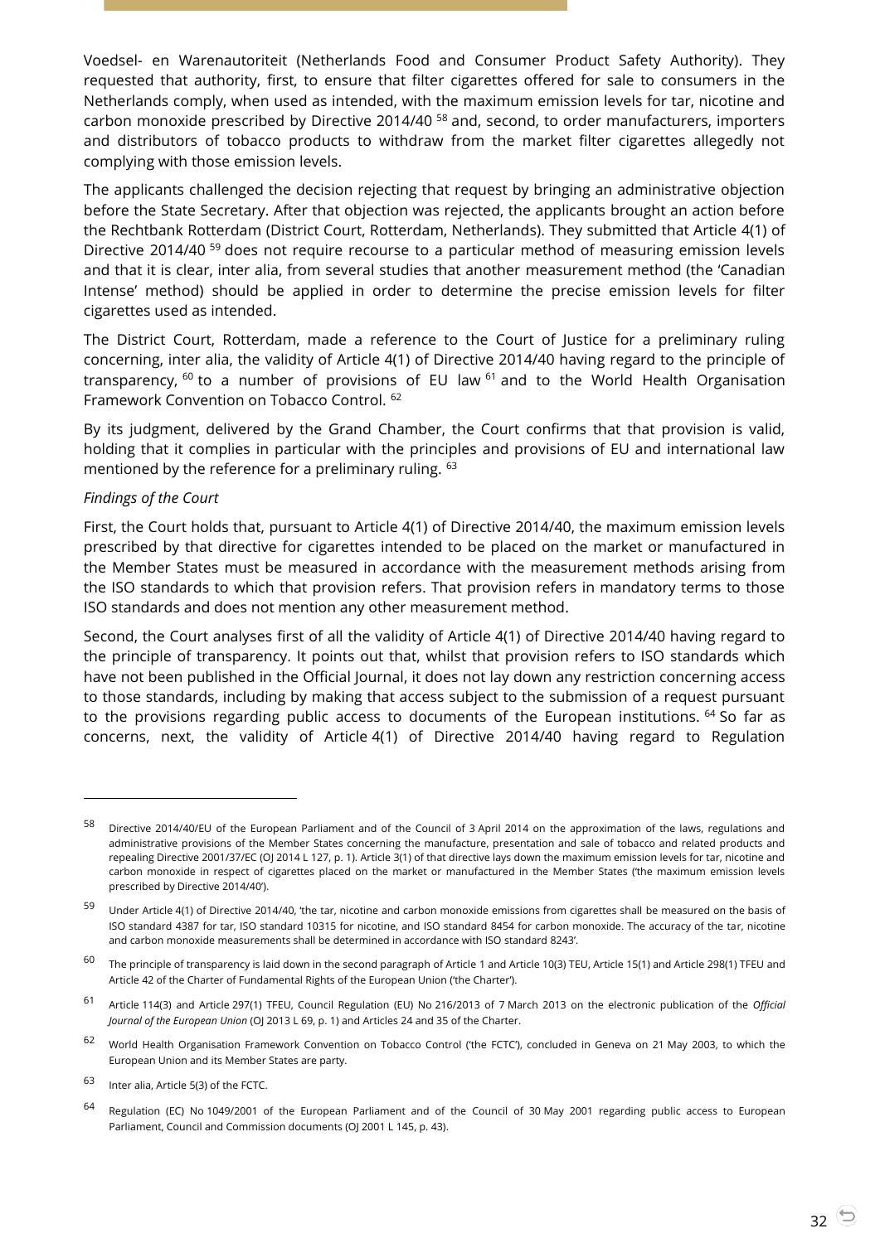Voedsel- en Warenautoriteit (Netherlands Food and Consumer Product Safety Authority). They requested that authority, first, to ensure that filter cigarettes offered for sale to consumers in the Netherlands comply, when used as intended, with the maximum emission levels for tar, nicotine and carbon monoxide prescribed by Directive 2014/40 <sup>58</sup> and, second, to order manufacturers, importers and distributors of tobacco products to withdraw from the market filter cigarettes allegedly not complying with those emission levels.

The applicants challenged the decision rejecting that request by bringing an administrative objection before the State Secretary. After that objection was rejected, the applicants brought an action before the Rechtbank Rotterdam (District Court, Rotterdam, Netherlands). They submitted that Article 4(1) of Directive 2014/40<sup>59</sup> does not require recourse to a particular method of measuring emission levels and that it is clear, inter alia, from several studies that another measurement method (the 'Canadian Intense' method) should be applied in order to determine the precise emission levels for filter cigarettes used as intended.

The District Court, Rotterdam, made a reference to the Court of Justice for a preliminary ruling concerning, inter alia, the validity of Article 4(1) of Directive 2014/40 having regard to the principle of transparency,  $60$  to a number of provisions of EU law  $61$  and to the World Health Organisation Framework Convention on Tobacco Control. <sup>62</sup>

By its judgment, delivered by the Grand Chamber, the Court confirms that that provision is valid, holding that it complies in particular with the principles and provisions of EU and international law mentioned by the reference for a preliminary ruling. <sup>63</sup>

#### *Findings of the Court*

-

First, the Court holds that, pursuant to Article 4(1) of Directive 2014/40, the maximum emission levels prescribed by that directive for cigarettes intended to be placed on the market or manufactured in the Member States must be measured in accordance with the measurement methods arising from the ISO standards to which that provision refers. That provision refers in mandatory terms to those ISO standards and does not mention any other measurement method.

Second, the Court analyses first of all the validity of Article 4(1) of Directive 2014/40 having regard to the principle of transparency. It points out that, whilst that provision refers to ISO standards which have not been published in the Official Journal, it does not lay down any restriction concerning access to those standards, including by making that access subject to the submission of a request pursuant to the provisions regarding public access to documents of the European institutions. <sup>64</sup> So far as concerns, next, the validity of Article 4(1) of Directive 2014/40 having regard to Regulation

<sup>58</sup> Directive 2014/40/EU of the European Parliament and of the Council of 3 April 2014 on the approximation of the laws, regulations and administrative provisions of the Member States concerning the manufacture, presentation and sale of tobacco and related products and repealing Directive 2001/37/EC (OJ 2014 L 127, p. 1). Article 3(1) of that directive lays down the maximum emission levels for tar, nicotine and carbon monoxide in respect of cigarettes placed on the market or manufactured in the Member States ('the maximum emission levels prescribed by Directive 2014/40').

<sup>59</sup> Under Article 4(1) of Directive 2014/40, 'the tar, nicotine and carbon monoxide emissions from cigarettes shall be measured on the basis of ISO standard 4387 for tar, ISO standard 10315 for nicotine, and ISO standard 8454 for carbon monoxide. The accuracy of the tar, nicotine and carbon monoxide measurements shall be determined in accordance with ISO standard 8243'.

 $60$  The principle of transparency is laid down in the second paragraph of Article 1 and Article 10(3) TEU, Article 15(1) and Article 298(1) TFEU and Article 42 of the Charter of Fundamental Rights of the European Union ('the Charter').

<sup>61</sup> Article 114(3) and Article 297(1) TFEU, Council Regulation (EU) No 216/2013 of 7 March 2013 on the electronic publication of the *Official Journal of the European Union* (OJ 2013 L 69, p. 1) and Articles 24 and 35 of the Charter.

<sup>&</sup>lt;sup>62</sup> World Health Organisation Framework Convention on Tobacco Control ('the FCTC'), concluded in Geneva on 21 May 2003, to which the European Union and its Member States are party.

<sup>63</sup> Inter alia, Article 5(3) of the FCTC.

<sup>64</sup> Regulation (EC) No 1049/2001 of the European Parliament and of the Council of 30 May 2001 regarding public access to European Parliament, Council and Commission documents (OJ 2001 L 145, p. 43).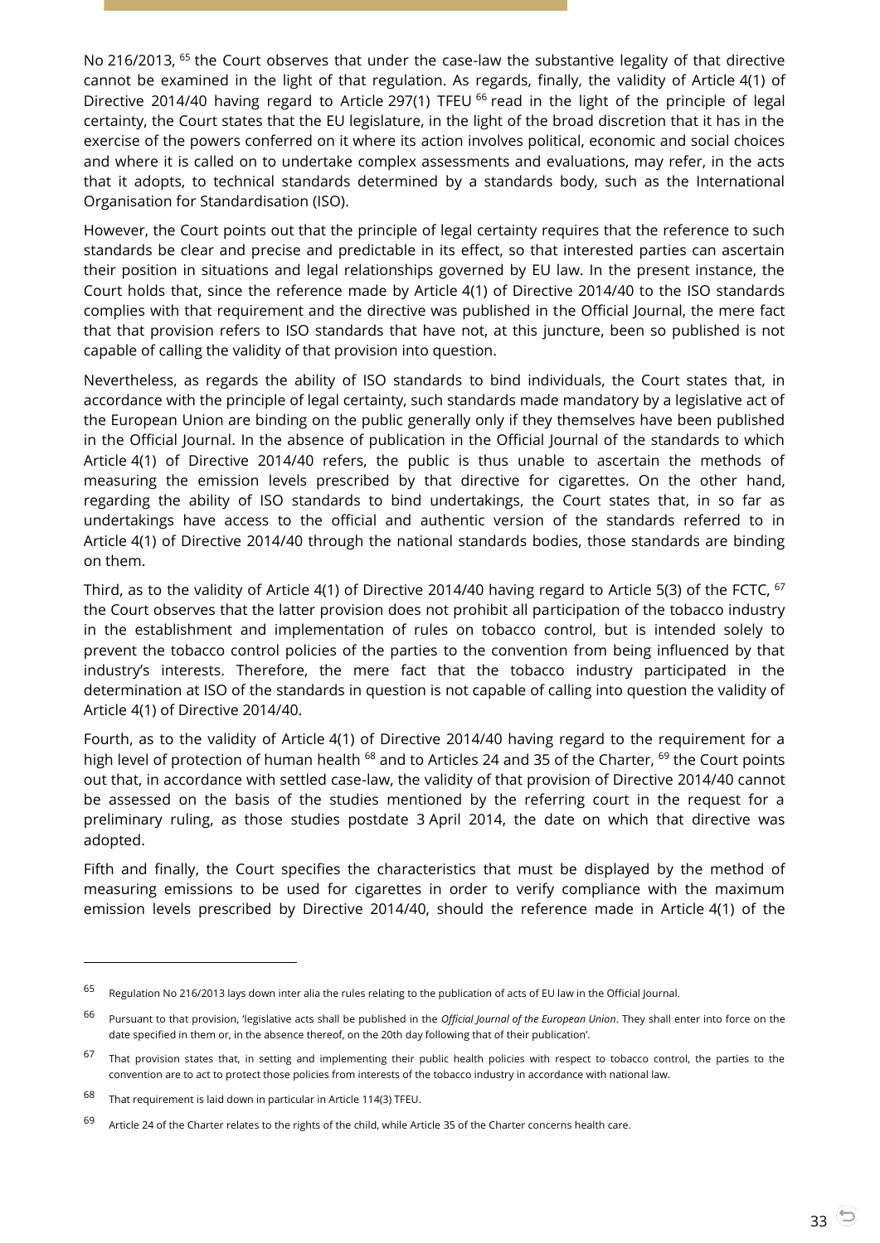No 216/2013, <sup>65</sup> the Court observes that under the case-law the substantive legality of that directive cannot be examined in the light of that regulation. As regards, finally, the validity of Article 4(1) of Directive 2014/40 having regard to Article 297(1) TFEU <sup>66</sup> read in the light of the principle of legal certainty, the Court states that the EU legislature, in the light of the broad discretion that it has in the exercise of the powers conferred on it where its action involves political, economic and social choices and where it is called on to undertake complex assessments and evaluations, may refer, in the acts that it adopts, to technical standards determined by a standards body, such as the International Organisation for Standardisation (ISO).

However, the Court points out that the principle of legal certainty requires that the reference to such standards be clear and precise and predictable in its effect, so that interested parties can ascertain their position in situations and legal relationships governed by EU law. In the present instance, the Court holds that, since the reference made by Article 4(1) of Directive 2014/40 to the ISO standards complies with that requirement and the directive was published in the Official Journal, the mere fact that that provision refers to ISO standards that have not, at this juncture, been so published is not capable of calling the validity of that provision into question.

Nevertheless, as regards the ability of ISO standards to bind individuals, the Court states that, in accordance with the principle of legal certainty, such standards made mandatory by a legislative act of the European Union are binding on the public generally only if they themselves have been published in the Official Journal. In the absence of publication in the Official Journal of the standards to which Article 4(1) of Directive 2014/40 refers, the public is thus unable to ascertain the methods of measuring the emission levels prescribed by that directive for cigarettes. On the other hand, regarding the ability of ISO standards to bind undertakings, the Court states that, in so far as undertakings have access to the official and authentic version of the standards referred to in Article 4(1) of Directive 2014/40 through the national standards bodies, those standards are binding on them.

Third, as to the validity of Article 4(1) of Directive 2014/40 having regard to Article 5(3) of the FCTC, <sup>67</sup> the Court observes that the latter provision does not prohibit all participation of the tobacco industry in the establishment and implementation of rules on tobacco control, but is intended solely to prevent the tobacco control policies of the parties to the convention from being influenced by that industry's interests. Therefore, the mere fact that the tobacco industry participated in the determination at ISO of the standards in question is not capable of calling into question the validity of Article 4(1) of Directive 2014/40.

Fourth, as to the validity of Article 4(1) of Directive 2014/40 having regard to the requirement for a high level of protection of human health <sup>68</sup> and to Articles 24 and 35 of the Charter, <sup>69</sup> the Court points out that, in accordance with settled case-law, the validity of that provision of Directive 2014/40 cannot be assessed on the basis of the studies mentioned by the referring court in the request for a preliminary ruling, as those studies postdate 3 April 2014, the date on which that directive was adopted.

Fifth and finally, the Court specifies the characteristics that must be displayed by the method of measuring emissions to be used for cigarettes in order to verify compliance with the maximum emission levels prescribed by Directive 2014/40, should the reference made in Article 4(1) of the

<sup>65</sup> Regulation No 216/2013 lays down inter alia the rules relating to the publication of acts of EU law in the Official Journal.

<sup>66</sup> Pursuant to that provision, 'legislative acts shall be published in the *Official Journal of the European Union*. They shall enter into force on the date specified in them or, in the absence thereof, on the 20th day following that of their publication'.

<sup>&</sup>lt;sup>67</sup> That provision states that, in setting and implementing their public health policies with respect to tobacco control, the parties to the convention are to act to protect those policies from interests of the tobacco industry in accordance with national law.

<sup>68</sup> That requirement is laid down in particular in Article 114(3) TFEU.

<sup>69</sup> Article 24 of the Charter relates to the rights of the child, while Article 35 of the Charter concerns health care.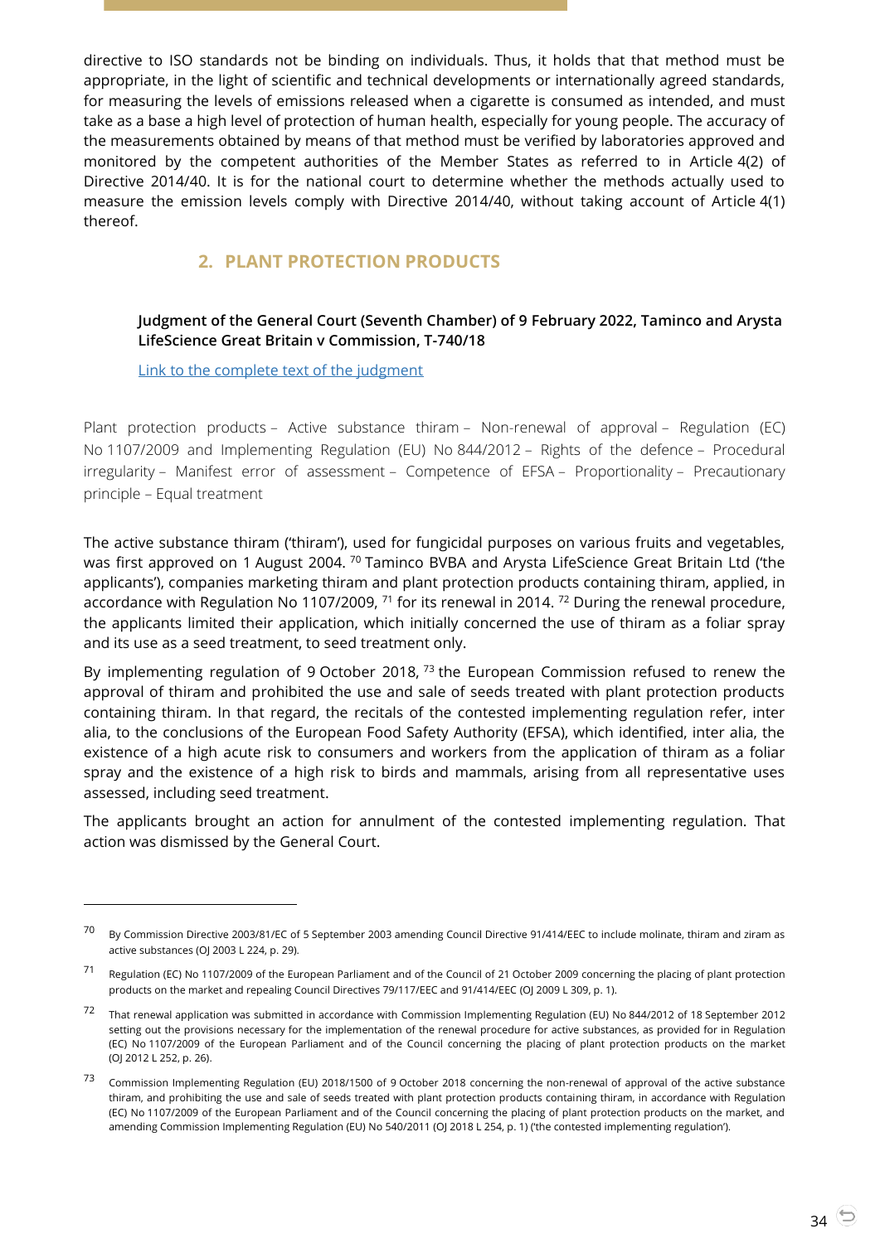directive to ISO standards not be binding on individuals. Thus, it holds that that method must be appropriate, in the light of scientific and technical developments or internationally agreed standards, for measuring the levels of emissions released when a cigarette is consumed as intended, and must take as a base a high level of protection of human health, especially for young people. The accuracy of the measurements obtained by means of that method must be verified by laboratories approved and monitored by the competent authorities of the Member States as referred to in Article 4(2) of Directive 2014/40. It is for the national court to determine whether the methods actually used to measure the emission levels comply with Directive 2014/40, without taking account of Article 4(1) thereof.

# **2. PLANT PROTECTION PRODUCTS**

## <span id="page-33-1"></span><span id="page-33-0"></span>**Judgment of the General Court (Seventh Chamber) of 9 February 2022, Taminco and Arysta LifeScience Great Britain v Commission, T-740/18**

[Link to the complete text of the judgment](https://curia.europa.eu/juris/document/document.jsf?text=&docid=253642&pageIndex=0&doclang=EN&mode=lst&dir=&occ=first&part=1&cid=1814679)

 $\overline{a}$ 

Plant protection products – Active substance thiram – Non-renewal of approval – Regulation (EC) No 1107/2009 and Implementing Regulation (EU) No 844/2012 – Rights of the defence – Procedural irregularity – Manifest error of assessment – Competence of EFSA – Proportionality – Precautionary principle – Equal treatment

The active substance thiram ('thiram'), used for fungicidal purposes on various fruits and vegetables, was first approved on 1 August 2004. <sup>70</sup> Taminco BVBA and Arysta LifeScience Great Britain Ltd ('the applicants'), companies marketing thiram and plant protection products containing thiram, applied, in accordance with Regulation No 1107/2009, <sup>71</sup> for its renewal in 2014. <sup>72</sup> During the renewal procedure, the applicants limited their application, which initially concerned the use of thiram as a foliar spray and its use as a seed treatment, to seed treatment only.

By implementing regulation of 9 October 2018, <sup>73</sup> the European Commission refused to renew the approval of thiram and prohibited the use and sale of seeds treated with plant protection products containing thiram. In that regard, the recitals of the contested implementing regulation refer, inter alia, to the conclusions of the European Food Safety Authority (EFSA), which identified, inter alia, the existence of a high acute risk to consumers and workers from the application of thiram as a foliar spray and the existence of a high risk to birds and mammals, arising from all representative uses assessed, including seed treatment.

The applicants brought an action for annulment of the contested implementing regulation. That action was dismissed by the General Court.

<sup>&</sup>lt;sup>70</sup> By Commission Directive 2003/81/EC of 5 September 2003 amending Council Directive 91/414/EEC to include molinate, thiram and ziram as active substances (OJ 2003 L 224, p. 29).

<sup>71</sup> Regulation (EC) No 1107/2009 of the European Parliament and of the Council of 21 October 2009 concerning the placing of plant protection products on the market and repealing Council Directives 79/117/EEC and 91/414/EEC (OJ 2009 L 309, p. 1).

<sup>72</sup> That renewal application was submitted in accordance with Commission Implementing Regulation (EU) No 844/2012 of 18 September <sup>2012</sup> setting out the provisions necessary for the implementation of the renewal procedure for active substances, as provided for in Regulation (EC) No 1107/2009 of the European Parliament and of the Council concerning the placing of plant protection products on the market (OJ 2012 L 252, p. 26).

<sup>73</sup> Commission Implementing Regulation (EU) 2018/1500 of 9 October 2018 concerning the non-renewal of approval of the active substance thiram, and prohibiting the use and sale of seeds treated with plant protection products containing thiram, in accordance with Regulation (EC) No 1107/2009 of the European Parliament and of the Council concerning the placing of plant protection products on the market, and amending Commission Implementing Regulation (EU) No 540/2011 (OJ 2018 L 254, p. 1) ('the contested implementing regulation').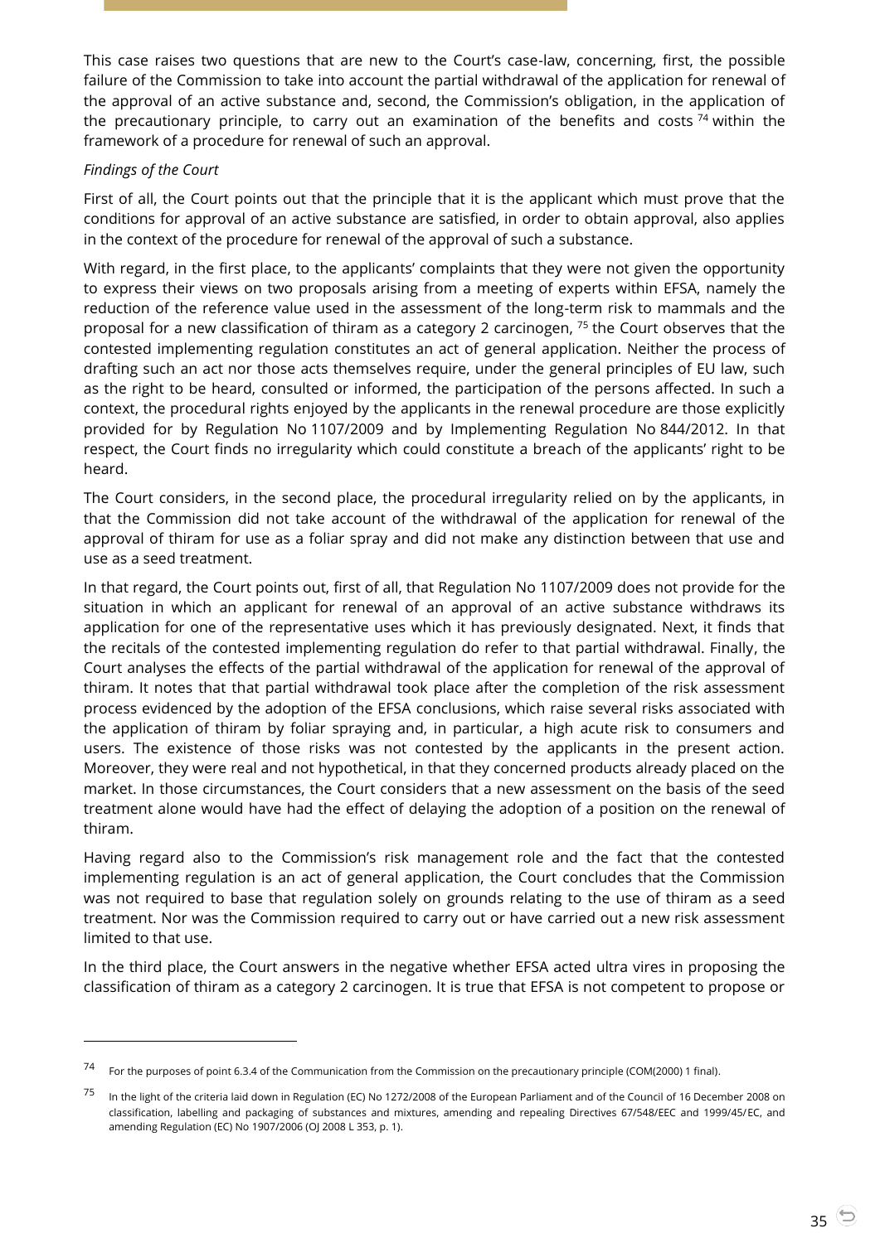This case raises two questions that are new to the Court's case-law, concerning, first, the possible failure of the Commission to take into account the partial withdrawal of the application for renewal of the approval of an active substance and, second, the Commission's obligation, in the application of the precautionary principle, to carry out an examination of the benefits and costs  $74$  within the framework of a procedure for renewal of such an approval.

## *Findings of the Court*

 $\overline{a}$ 

First of all, the Court points out that the principle that it is the applicant which must prove that the conditions for approval of an active substance are satisfied, in order to obtain approval, also applies in the context of the procedure for renewal of the approval of such a substance.

With regard, in the first place, to the applicants' complaints that they were not given the opportunity to express their views on two proposals arising from a meeting of experts within EFSA, namely the reduction of the reference value used in the assessment of the long-term risk to mammals and the proposal for a new classification of thiram as a category 2 carcinogen, <sup>75</sup> the Court observes that the contested implementing regulation constitutes an act of general application. Neither the process of drafting such an act nor those acts themselves require, under the general principles of EU law, such as the right to be heard, consulted or informed, the participation of the persons affected. In such a context, the procedural rights enjoyed by the applicants in the renewal procedure are those explicitly provided for by Regulation No 1107/2009 and by Implementing Regulation No 844/2012. In that respect, the Court finds no irregularity which could constitute a breach of the applicants' right to be heard.

The Court considers, in the second place, the procedural irregularity relied on by the applicants, in that the Commission did not take account of the withdrawal of the application for renewal of the approval of thiram for use as a foliar spray and did not make any distinction between that use and use as a seed treatment.

In that regard, the Court points out, first of all, that Regulation No 1107/2009 does not provide for the situation in which an applicant for renewal of an approval of an active substance withdraws its application for one of the representative uses which it has previously designated. Next, it finds that the recitals of the contested implementing regulation do refer to that partial withdrawal. Finally, the Court analyses the effects of the partial withdrawal of the application for renewal of the approval of thiram. It notes that that partial withdrawal took place after the completion of the risk assessment process evidenced by the adoption of the EFSA conclusions, which raise several risks associated with the application of thiram by foliar spraying and, in particular, a high acute risk to consumers and users. The existence of those risks was not contested by the applicants in the present action. Moreover, they were real and not hypothetical, in that they concerned products already placed on the market. In those circumstances, the Court considers that a new assessment on the basis of the seed treatment alone would have had the effect of delaying the adoption of a position on the renewal of thiram.

Having regard also to the Commission's risk management role and the fact that the contested implementing regulation is an act of general application, the Court concludes that the Commission was not required to base that regulation solely on grounds relating to the use of thiram as a seed treatment. Nor was the Commission required to carry out or have carried out a new risk assessment limited to that use.

In the third place, the Court answers in the negative whether EFSA acted ultra vires in proposing the classification of thiram as a category 2 carcinogen. It is true that EFSA is not competent to propose or

<sup>74</sup> For the purposes of point 6.3.4 of the Communication from the Commission on the precautionary principle (COM(2000) 1 final).

<sup>&</sup>lt;sup>75</sup> In the light of the criteria laid down in Regulation (EC) No 1272/2008 of the European Parliament and of the Council of 16 December 2008 on classification, labelling and packaging of substances and mixtures, amending and repealing Directives 67/548/EEC and 1999/45/EC, and amending Regulation (EC) No 1907/2006 (OJ 2008 L 353, p. 1).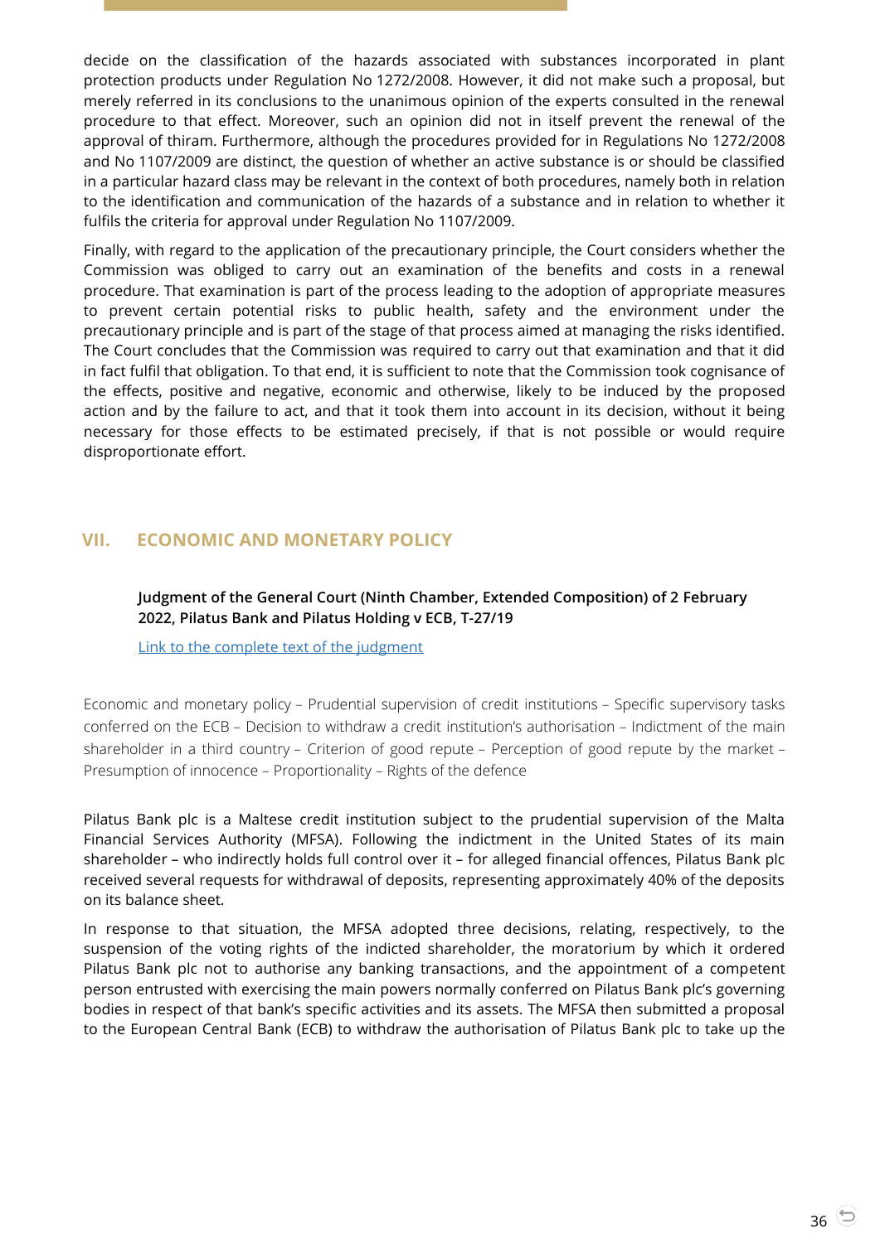decide on the classification of the hazards associated with substances incorporated in plant protection products under Regulation No 1272/2008. However, it did not make such a proposal, but merely referred in its conclusions to the unanimous opinion of the experts consulted in the renewal procedure to that effect. Moreover, such an opinion did not in itself prevent the renewal of the approval of thiram. Furthermore, although the procedures provided for in Regulations No 1272/2008 and No 1107/2009 are distinct, the question of whether an active substance is or should be classified in a particular hazard class may be relevant in the context of both procedures, namely both in relation to the identification and communication of the hazards of a substance and in relation to whether it fulfils the criteria for approval under Regulation No 1107/2009.

Finally, with regard to the application of the precautionary principle, the Court considers whether the Commission was obliged to carry out an examination of the benefits and costs in a renewal procedure. That examination is part of the process leading to the adoption of appropriate measures to prevent certain potential risks to public health, safety and the environment under the precautionary principle and is part of the stage of that process aimed at managing the risks identified. The Court concludes that the Commission was required to carry out that examination and that it did in fact fulfil that obligation. To that end, it is sufficient to note that the Commission took cognisance of the effects, positive and negative, economic and otherwise, likely to be induced by the proposed action and by the failure to act, and that it took them into account in its decision, without it being necessary for those effects to be estimated precisely, if that is not possible or would require disproportionate effort.

# <span id="page-35-1"></span><span id="page-35-0"></span>**VII. ECONOMIC AND MONETARY POLICY**

## **Judgment of the General Court (Ninth Chamber, Extended Composition) of 2 February 2022, Pilatus Bank and Pilatus Holding v ECB, T-27/19**

[Link to the complete text of the judgment](https://curia.europa.eu/juris/document/document.jsf?text=&docid=253223&pageIndex=0&doclang=EN&mode=lst&dir=&occ=first&part=1&cid=1814787)

Economic and monetary policy – Prudential supervision of credit institutions – Specific supervisory tasks conferred on the ECB – Decision to withdraw a credit institution's authorisation – Indictment of the main shareholder in a third country – Criterion of good repute – Perception of good repute by the market – Presumption of innocence – Proportionality – Rights of the defence

Pilatus Bank plc is a Maltese credit institution subject to the prudential supervision of the Malta Financial Services Authority (MFSA). Following the indictment in the United States of its main shareholder – who indirectly holds full control over it – for alleged financial offences, Pilatus Bank plc received several requests for withdrawal of deposits, representing approximately 40% of the deposits on its balance sheet.

In response to that situation, the MFSA adopted three decisions, relating, respectively, to the suspension of the voting rights of the indicted shareholder, the moratorium by which it ordered Pilatus Bank plc not to authorise any banking transactions, and the appointment of a competent person entrusted with exercising the main powers normally conferred on Pilatus Bank plc's governing bodies in respect of that bank's specific activities and its assets. The MFSA then submitted a proposal to the European Central Bank (ECB) to withdraw the authorisation of Pilatus Bank plc to take up the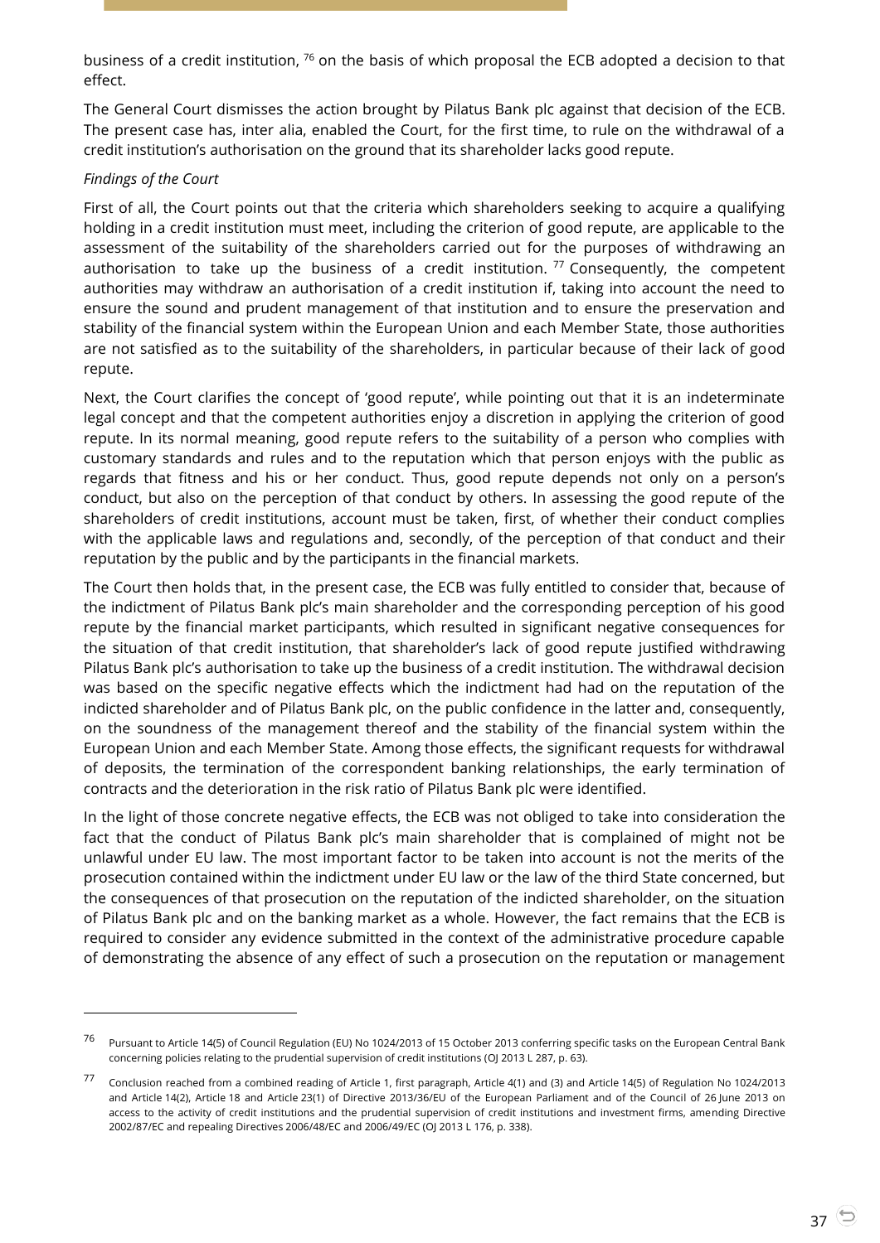business of a credit institution, <sup>76</sup> on the basis of which proposal the ECB adopted a decision to that effect.

The General Court dismisses the action brought by Pilatus Bank plc against that decision of the ECB. The present case has, inter alia, enabled the Court, for the first time, to rule on the withdrawal of a credit institution's authorisation on the ground that its shareholder lacks good repute.

#### *Findings of the Court*

 $\overline{a}$ 

First of all, the Court points out that the criteria which shareholders seeking to acquire a qualifying holding in a credit institution must meet, including the criterion of good repute, are applicable to the assessment of the suitability of the shareholders carried out for the purposes of withdrawing an authorisation to take up the business of a credit institution.  $77$  Consequently, the competent authorities may withdraw an authorisation of a credit institution if, taking into account the need to ensure the sound and prudent management of that institution and to ensure the preservation and stability of the financial system within the European Union and each Member State, those authorities are not satisfied as to the suitability of the shareholders, in particular because of their lack of good repute.

Next, the Court clarifies the concept of 'good repute', while pointing out that it is an indeterminate legal concept and that the competent authorities enjoy a discretion in applying the criterion of good repute. In its normal meaning, good repute refers to the suitability of a person who complies with customary standards and rules and to the reputation which that person enjoys with the public as regards that fitness and his or her conduct. Thus, good repute depends not only on a person's conduct, but also on the perception of that conduct by others. In assessing the good repute of the shareholders of credit institutions, account must be taken, first, of whether their conduct complies with the applicable laws and regulations and, secondly, of the perception of that conduct and their reputation by the public and by the participants in the financial markets.

The Court then holds that, in the present case, the ECB was fully entitled to consider that, because of the indictment of Pilatus Bank plc's main shareholder and the corresponding perception of his good repute by the financial market participants, which resulted in significant negative consequences for the situation of that credit institution, that shareholder's lack of good repute justified withdrawing Pilatus Bank plc's authorisation to take up the business of a credit institution. The withdrawal decision was based on the specific negative effects which the indictment had had on the reputation of the indicted shareholder and of Pilatus Bank plc, on the public confidence in the latter and, consequently, on the soundness of the management thereof and the stability of the financial system within the European Union and each Member State. Among those effects, the significant requests for withdrawal of deposits, the termination of the correspondent banking relationships, the early termination of contracts and the deterioration in the risk ratio of Pilatus Bank plc were identified.

In the light of those concrete negative effects, the ECB was not obliged to take into consideration the fact that the conduct of Pilatus Bank plc's main shareholder that is complained of might not be unlawful under EU law. The most important factor to be taken into account is not the merits of the prosecution contained within the indictment under EU law or the law of the third State concerned, but the consequences of that prosecution on the reputation of the indicted shareholder, on the situation of Pilatus Bank plc and on the banking market as a whole. However, the fact remains that the ECB is required to consider any evidence submitted in the context of the administrative procedure capable of demonstrating the absence of any effect of such a prosecution on the reputation or management

<sup>76</sup> Pursuant to Article 14(5) of Council Regulation (EU) No 1024/2013 of 15 October 2013 conferring specific tasks on the European Central Bank concerning policies relating to the prudential supervision of credit institutions (OJ 2013 L 287, p. 63).

<sup>77</sup> Conclusion reached from a combined reading of Article 1, first paragraph, Article 4(1) and (3) and Article 14(5) of Regulation No 1024/2013 and Article 14(2), Article 18 and Article 23(1) of Directive 2013/36/EU of the European Parliament and of the Council of 26 June 2013 on access to the activity of credit institutions and the prudential supervision of credit institutions and investment firms, amending Directive 2002/87/EC and repealing Directives 2006/48/EC and 2006/49/EC (OJ 2013 L 176, p. 338).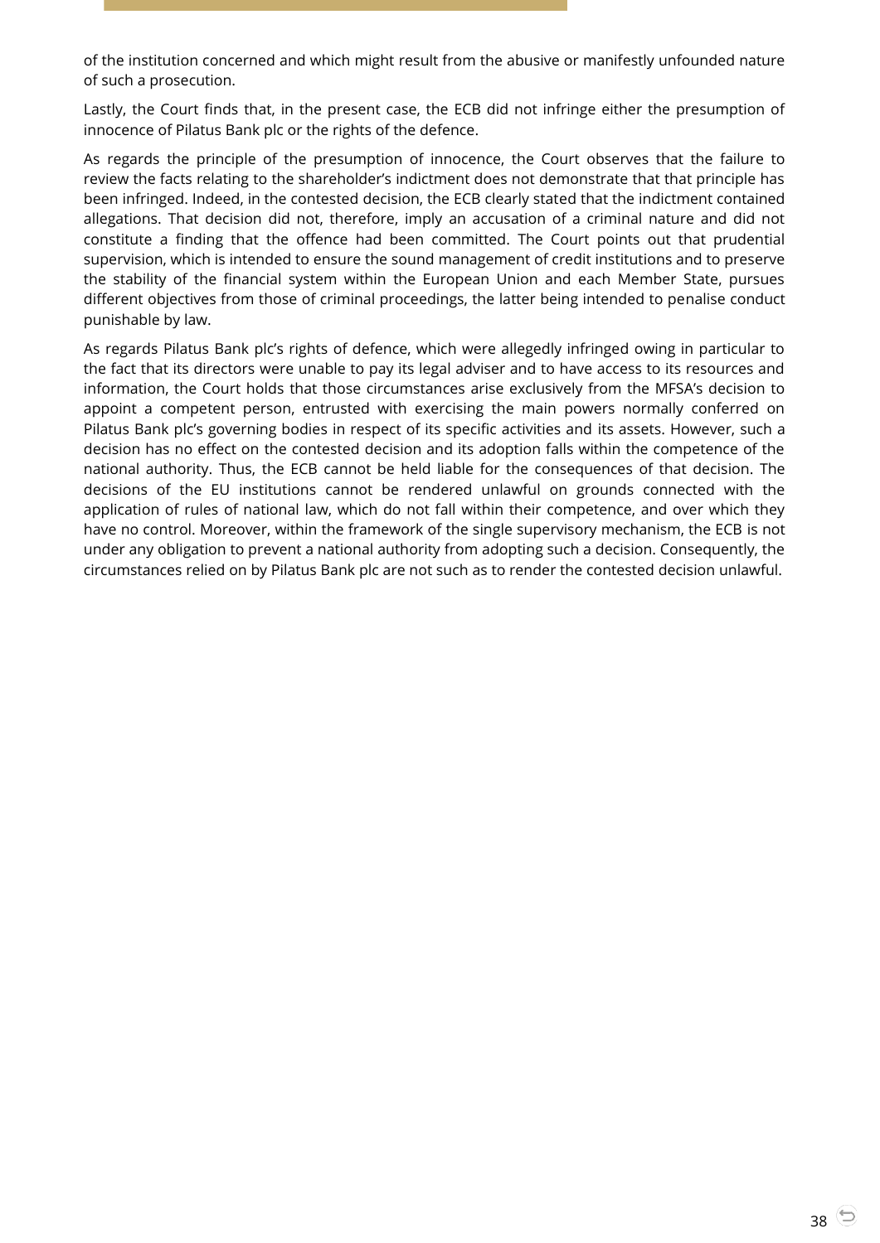of the institution concerned and which might result from the abusive or manifestly unfounded nature of such a prosecution.

Lastly, the Court finds that, in the present case, the ECB did not infringe either the presumption of innocence of Pilatus Bank plc or the rights of the defence.

As regards the principle of the presumption of innocence, the Court observes that the failure to review the facts relating to the shareholder's indictment does not demonstrate that that principle has been infringed. Indeed, in the contested decision, the ECB clearly stated that the indictment contained allegations. That decision did not, therefore, imply an accusation of a criminal nature and did not constitute a finding that the offence had been committed. The Court points out that prudential supervision, which is intended to ensure the sound management of credit institutions and to preserve the stability of the financial system within the European Union and each Member State, pursues different objectives from those of criminal proceedings, the latter being intended to penalise conduct punishable by law.

As regards Pilatus Bank plc's rights of defence, which were allegedly infringed owing in particular to the fact that its directors were unable to pay its legal adviser and to have access to its resources and information, the Court holds that those circumstances arise exclusively from the MFSA's decision to appoint a competent person, entrusted with exercising the main powers normally conferred on Pilatus Bank plc's governing bodies in respect of its specific activities and its assets. However, such a decision has no effect on the contested decision and its adoption falls within the competence of the national authority. Thus, the ECB cannot be held liable for the consequences of that decision. The decisions of the EU institutions cannot be rendered unlawful on grounds connected with the application of rules of national law, which do not fall within their competence, and over which they have no control. Moreover, within the framework of the single supervisory mechanism, the ECB is not under any obligation to prevent a national authority from adopting such a decision. Consequently, the circumstances relied on by Pilatus Bank plc are not such as to render the contested decision unlawful.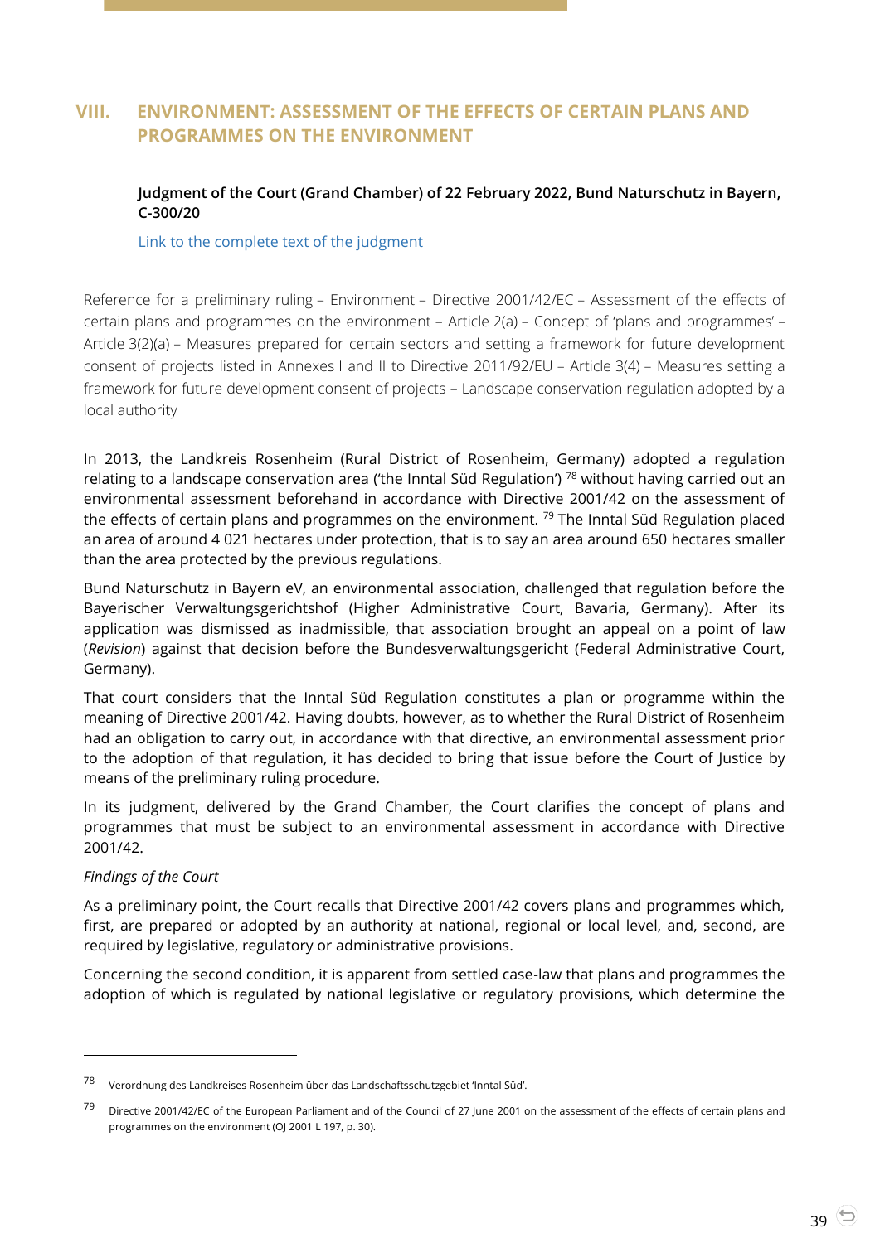# <span id="page-38-1"></span><span id="page-38-0"></span>**VIII. ENVIRONMENT: ASSESSMENT OF THE EFFECTS OF CERTAIN PLANS AND PROGRAMMES ON THE ENVIRONMENT**

## **Judgment of the Court (Grand Chamber) of 22 February 2022, Bund Naturschutz in Bayern, C-300/20**

[Link to the complete text of the judgment](https://curia.europa.eu/juris/document/document.jsf?text=&docid=254382&pageIndex=0&doclang=en&mode=lst&dir=&occ=first&part=1&cid=1814882)

Reference for a preliminary ruling – Environment – Directive 2001/42/EC – Assessment of the effects of certain plans and programmes on the environment – Article 2(a) – Concept of 'plans and programmes' – Article 3(2)(a) – Measures prepared for certain sectors and setting a framework for future development consent of projects listed in Annexes I and II to Directive 2011/92/EU – Article 3(4) – Measures setting a framework for future development consent of projects – Landscape conservation regulation adopted by a local authority

In 2013, the Landkreis Rosenheim (Rural District of Rosenheim, Germany) adopted a regulation relating to a landscape conservation area ('the Inntal Süd Regulation') <sup>78</sup> without having carried out an environmental assessment beforehand in accordance with Directive 2001/42 on the assessment of the effects of certain plans and programmes on the environment.<sup>79</sup> The Inntal Süd Regulation placed an area of around 4 021 hectares under protection, that is to say an area around 650 hectares smaller than the area protected by the previous regulations.

Bund Naturschutz in Bayern eV, an environmental association, challenged that regulation before the Bayerischer Verwaltungsgerichtshof (Higher Administrative Court, Bavaria, Germany). After its application was dismissed as inadmissible, that association brought an appeal on a point of law (*Revision*) against that decision before the Bundesverwaltungsgericht (Federal Administrative Court, Germany).

That court considers that the Inntal Süd Regulation constitutes a plan or programme within the meaning of Directive 2001/42. Having doubts, however, as to whether the Rural District of Rosenheim had an obligation to carry out, in accordance with that directive, an environmental assessment prior to the adoption of that regulation, it has decided to bring that issue before the Court of Justice by means of the preliminary ruling procedure.

In its judgment, delivered by the Grand Chamber, the Court clarifies the concept of plans and programmes that must be subject to an environmental assessment in accordance with Directive 2001/42.

#### *Findings of the Court*

 $\overline{a}$ 

As a preliminary point, the Court recalls that Directive 2001/42 covers plans and programmes which, first, are prepared or adopted by an authority at national, regional or local level, and, second, are required by legislative, regulatory or administrative provisions.

Concerning the second condition, it is apparent from settled case-law that plans and programmes the adoption of which is regulated by national legislative or regulatory provisions, which determine the

<sup>78</sup> Verordnung des Landkreises Rosenheim über das Landschaftsschutzgebiet 'Inntal Süd'.

 $79$  Directive 2001/42/EC of the European Parliament and of the Council of 27 June 2001 on the assessment of the effects of certain plans and programmes on the environment (OJ 2001 L 197, p. 30).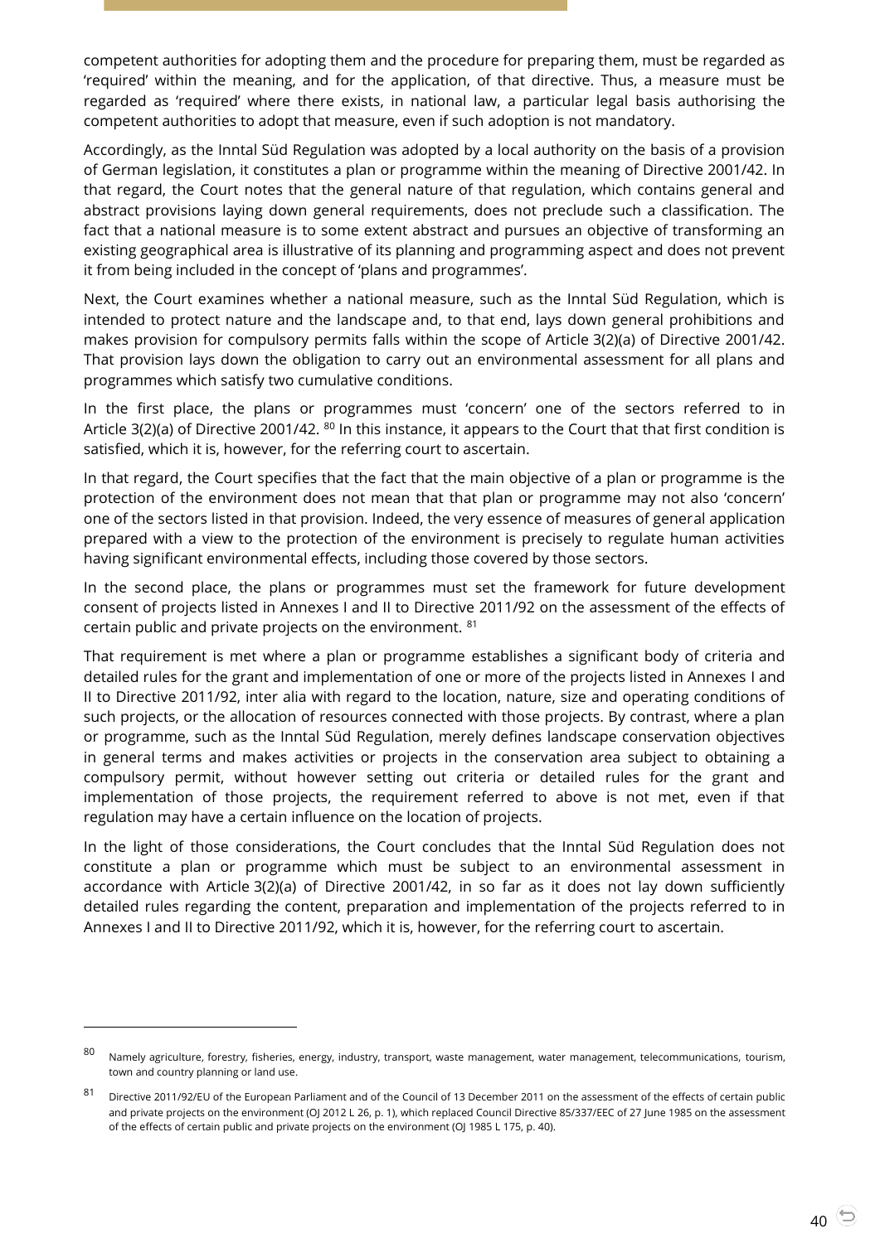competent authorities for adopting them and the procedure for preparing them, must be regarded as 'required' within the meaning, and for the application, of that directive. Thus, a measure must be regarded as 'required' where there exists, in national law, a particular legal basis authorising the competent authorities to adopt that measure, even if such adoption is not mandatory.

Accordingly, as the Inntal Süd Regulation was adopted by a local authority on the basis of a provision of German legislation, it constitutes a plan or programme within the meaning of Directive 2001/42. In that regard, the Court notes that the general nature of that regulation, which contains general and abstract provisions laying down general requirements, does not preclude such a classification. The fact that a national measure is to some extent abstract and pursues an objective of transforming an existing geographical area is illustrative of its planning and programming aspect and does not prevent it from being included in the concept of 'plans and programmes'.

Next, the Court examines whether a national measure, such as the Inntal Süd Regulation, which is intended to protect nature and the landscape and, to that end, lays down general prohibitions and makes provision for compulsory permits falls within the scope of Article 3(2)(a) of Directive 2001/42. That provision lays down the obligation to carry out an environmental assessment for all plans and programmes which satisfy two cumulative conditions.

In the first place, the plans or programmes must 'concern' one of the sectors referred to in Article 3(2)(a) of Directive 2001/42. <sup>80</sup> In this instance, it appears to the Court that that first condition is satisfied, which it is, however, for the referring court to ascertain.

In that regard, the Court specifies that the fact that the main objective of a plan or programme is the protection of the environment does not mean that that plan or programme may not also 'concern' one of the sectors listed in that provision. Indeed, the very essence of measures of general application prepared with a view to the protection of the environment is precisely to regulate human activities having significant environmental effects, including those covered by those sectors.

In the second place, the plans or programmes must set the framework for future development consent of projects listed in Annexes I and II to Directive 2011/92 on the assessment of the effects of certain public and private projects on the environment. <sup>81</sup>

That requirement is met where a plan or programme establishes a significant body of criteria and detailed rules for the grant and implementation of one or more of the projects listed in Annexes I and II to Directive 2011/92, inter alia with regard to the location, nature, size and operating conditions of such projects, or the allocation of resources connected with those projects. By contrast, where a plan or programme, such as the Inntal Süd Regulation, merely defines landscape conservation objectives in general terms and makes activities or projects in the conservation area subject to obtaining a compulsory permit, without however setting out criteria or detailed rules for the grant and implementation of those projects, the requirement referred to above is not met, even if that regulation may have a certain influence on the location of projects.

In the light of those considerations, the Court concludes that the Inntal Süd Regulation does not constitute a plan or programme which must be subject to an environmental assessment in accordance with Article 3(2)(a) of Directive 2001/42, in so far as it does not lay down sufficiently detailed rules regarding the content, preparation and implementation of the projects referred to in Annexes I and II to Directive 2011/92, which it is, however, for the referring court to ascertain.

-

 $80$  Namely agriculture, forestry, fisheries, energy, industry, transport, waste management, water management, telecommunications, tourism, town and country planning or land use.

<sup>81</sup> Directive 2011/92/EU of the European Parliament and of the Council of 13 December 2011 on the assessment of the effects of certain public and private projects on the environment (OJ 2012 L 26, p. 1), which replaced Council Directive 85/337/EEC of 27 June 1985 on the assessment of the effects of certain public and private projects on the environment (OJ 1985 L 175, p. 40).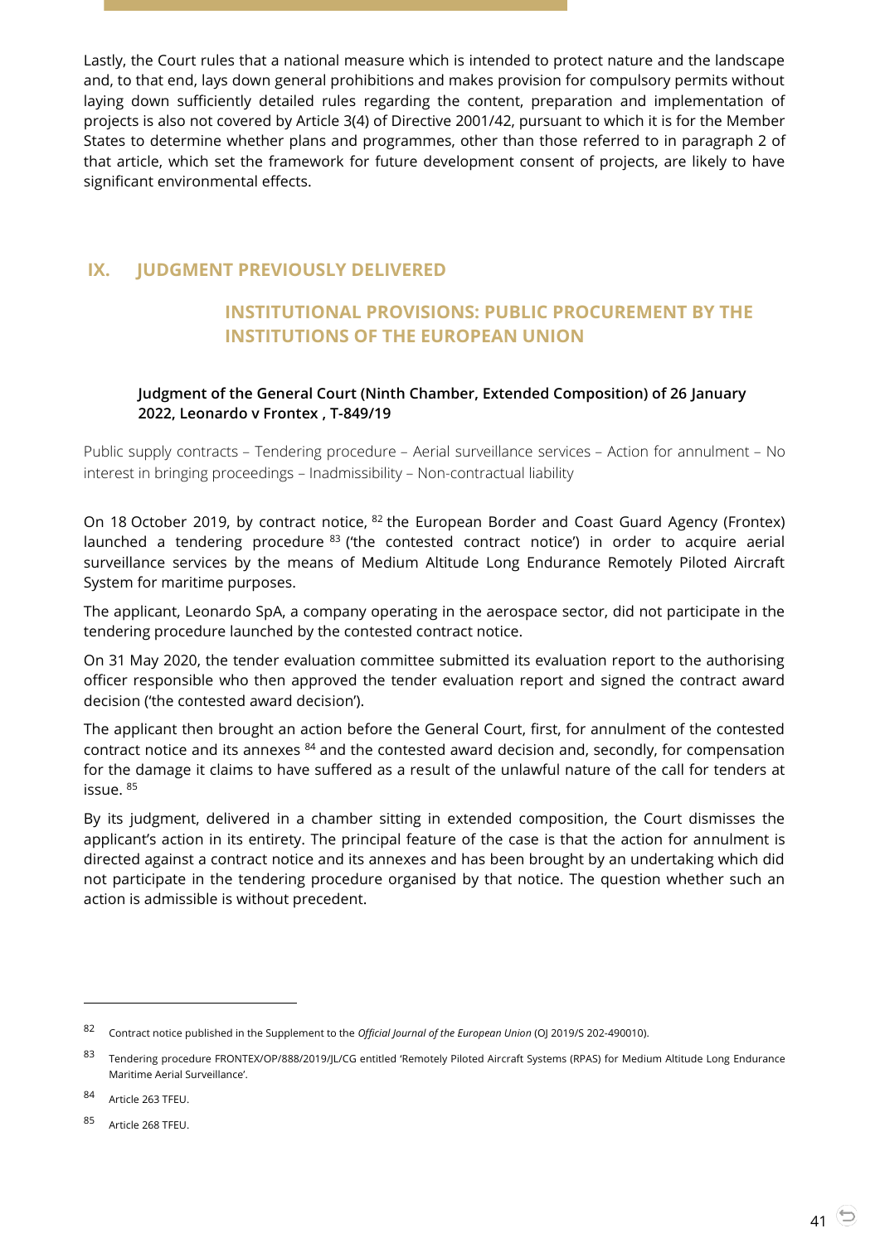Lastly, the Court rules that a national measure which is intended to protect nature and the landscape and, to that end, lays down general prohibitions and makes provision for compulsory permits without laying down sufficiently detailed rules regarding the content, preparation and implementation of projects is also not covered by Article 3(4) of Directive 2001/42, pursuant to which it is for the Member States to determine whether plans and programmes, other than those referred to in paragraph 2 of that article, which set the framework for future development consent of projects, are likely to have significant environmental effects.

# <span id="page-40-1"></span><span id="page-40-0"></span>**IX. JUDGMENT PREVIOUSLY DELIVERED**

# **INSTITUTIONAL PROVISIONS: PUBLIC PROCUREMENT BY THE INSTITUTIONS OF THE EUROPEAN UNION**

# <span id="page-40-2"></span>**Judgment of the General Court (Ninth Chamber, Extended Composition) of 26 January 2022, Leonardo v Frontex , T-849/19**

Public supply contracts – Tendering procedure – Aerial surveillance services – Action for annulment – No interest in bringing proceedings – Inadmissibility – Non-contractual liability

On 18 October 2019, by contract notice, <sup>82</sup> the European Border and Coast Guard Agency (Frontex) launched a tendering procedure <sup>83</sup> ('the contested contract notice') in order to acquire aerial surveillance services by the means of Medium Altitude Long Endurance Remotely Piloted Aircraft System for maritime purposes.

The applicant, Leonardo SpA, a company operating in the aerospace sector, did not participate in the tendering procedure launched by the contested contract notice.

On 31 May 2020, the tender evaluation committee submitted its evaluation report to the authorising officer responsible who then approved the tender evaluation report and signed the contract award decision ('the contested award decision').

The applicant then brought an action before the General Court, first, for annulment of the contested contract notice and its annexes  $84$  and the contested award decision and, secondly, for compensation for the damage it claims to have suffered as a result of the unlawful nature of the call for tenders at issue. <sup>85</sup>

By its judgment, delivered in a chamber sitting in extended composition, the Court dismisses the applicant's action in its entirety. The principal feature of the case is that the action for annulment is directed against a contract notice and its annexes and has been brought by an undertaking which did not participate in the tendering procedure organised by that notice. The question whether such an action is admissible is without precedent.

<sup>82</sup> Contract notice published in the Supplement to the *Official Journal of the European Union* (OJ 2019/S 202-490010).

<sup>83</sup> Tendering procedure FRONTEX/OP/888/2019/JL/CG entitled 'Remotely Piloted Aircraft Systems (RPAS) for Medium Altitude Long Endurance Maritime Aerial Surveillance'.

<sup>84</sup> Article 263 TFEU.

<sup>85</sup> Article 268 TFEU.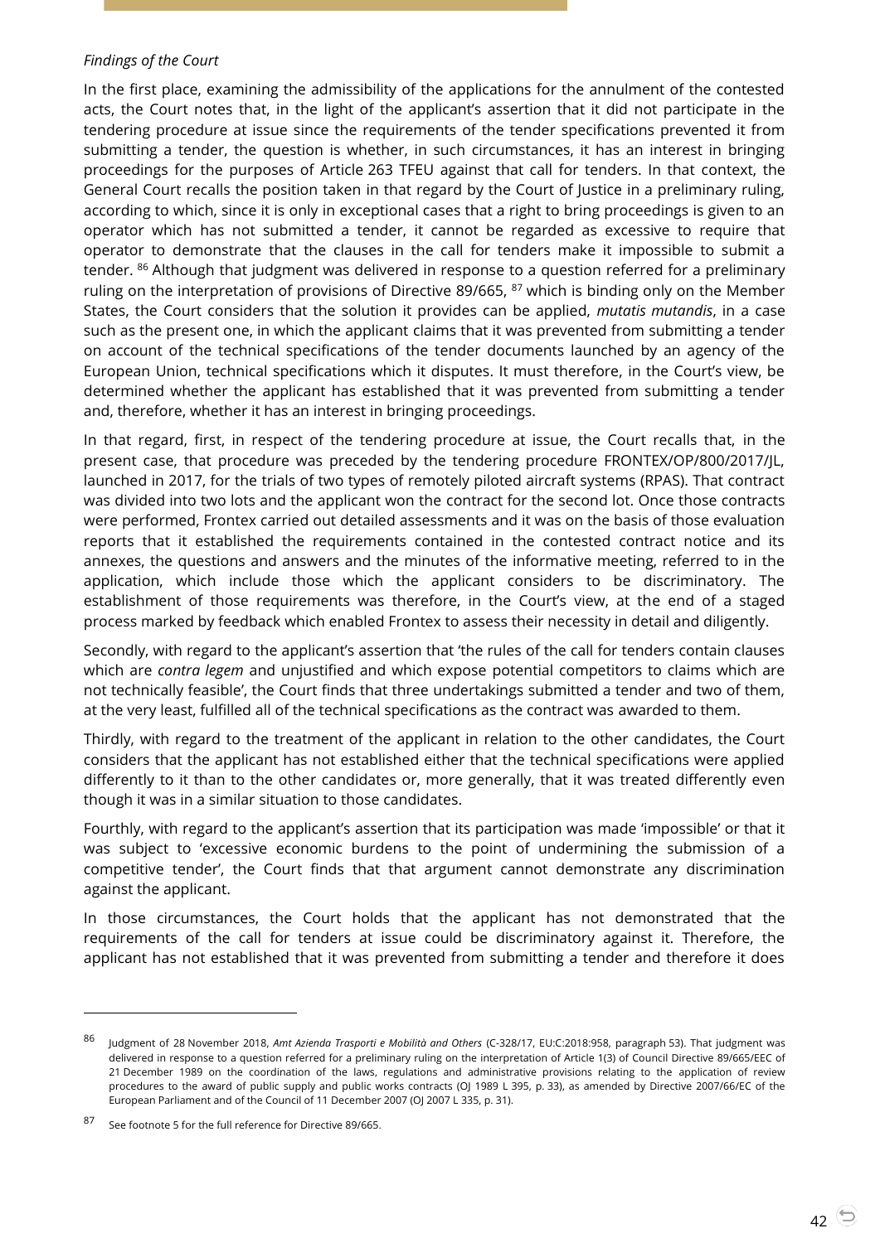#### *Findings of the Court*

In the first place, examining the admissibility of the applications for the annulment of the contested acts, the Court notes that, in the light of the applicant's assertion that it did not participate in the tendering procedure at issue since the requirements of the tender specifications prevented it from submitting a tender, the question is whether, in such circumstances, it has an interest in bringing proceedings for the purposes of Article 263 TFEU against that call for tenders. In that context, the General Court recalls the position taken in that regard by the Court of Justice in a preliminary ruling, according to which, since it is only in exceptional cases that a right to bring proceedings is given to an operator which has not submitted a tender, it cannot be regarded as excessive to require that operator to demonstrate that the clauses in the call for tenders make it impossible to submit a tender. <sup>86</sup> Although that judgment was delivered in response to a question referred for a preliminary ruling on the interpretation of provisions of Directive 89/665, <sup>87</sup> which is binding only on the Member States, the Court considers that the solution it provides can be applied, *mutatis mutandis*, in a case such as the present one, in which the applicant claims that it was prevented from submitting a tender on account of the technical specifications of the tender documents launched by an agency of the European Union, technical specifications which it disputes. It must therefore, in the Court's view, be determined whether the applicant has established that it was prevented from submitting a tender and, therefore, whether it has an interest in bringing proceedings.

In that regard, first, in respect of the tendering procedure at issue, the Court recalls that, in the present case, that procedure was preceded by the tendering procedure FRONTEX/OP/800/2017/JL, launched in 2017, for the trials of two types of remotely piloted aircraft systems (RPAS). That contract was divided into two lots and the applicant won the contract for the second lot. Once those contracts were performed, Frontex carried out detailed assessments and it was on the basis of those evaluation reports that it established the requirements contained in the contested contract notice and its annexes, the questions and answers and the minutes of the informative meeting, referred to in the application, which include those which the applicant considers to be discriminatory. The establishment of those requirements was therefore, in the Court's view, at the end of a staged process marked by feedback which enabled Frontex to assess their necessity in detail and diligently.

Secondly, with regard to the applicant's assertion that 'the rules of the call for tenders contain clauses which are *contra legem* and unjustified and which expose potential competitors to claims which are not technically feasible', the Court finds that three undertakings submitted a tender and two of them, at the very least, fulfilled all of the technical specifications as the contract was awarded to them.

Thirdly, with regard to the treatment of the applicant in relation to the other candidates, the Court considers that the applicant has not established either that the technical specifications were applied differently to it than to the other candidates or, more generally, that it was treated differently even though it was in a similar situation to those candidates.

Fourthly, with regard to the applicant's assertion that its participation was made 'impossible' or that it was subject to 'excessive economic burdens to the point of undermining the submission of a competitive tender', the Court finds that that argument cannot demonstrate any discrimination against the applicant.

In those circumstances, the Court holds that the applicant has not demonstrated that the requirements of the call for tenders at issue could be discriminatory against it. Therefore, the applicant has not established that it was prevented from submitting a tender and therefore it does

<sup>86</sup> Judgment of 28 November 2018, *Amt Azienda Trasporti e Mobilità and Others* (C-328/17, EU:C:2018:958, paragraph 53). That judgment was delivered in response to a question referred for a preliminary ruling on the interpretation of Article 1(3) of Council Directive 89/665/EEC of 21 December 1989 on the coordination of the laws, regulations and administrative provisions relating to the application of review procedures to the award of public supply and public works contracts (OJ 1989 L 395, p. 33), as amended by Directive 2007/66/EC of the European Parliament and of the Council of 11 December 2007 (OJ 2007 L 335, p. 31).

<sup>87</sup> See footnote 5 for the full reference for Directive 89/665.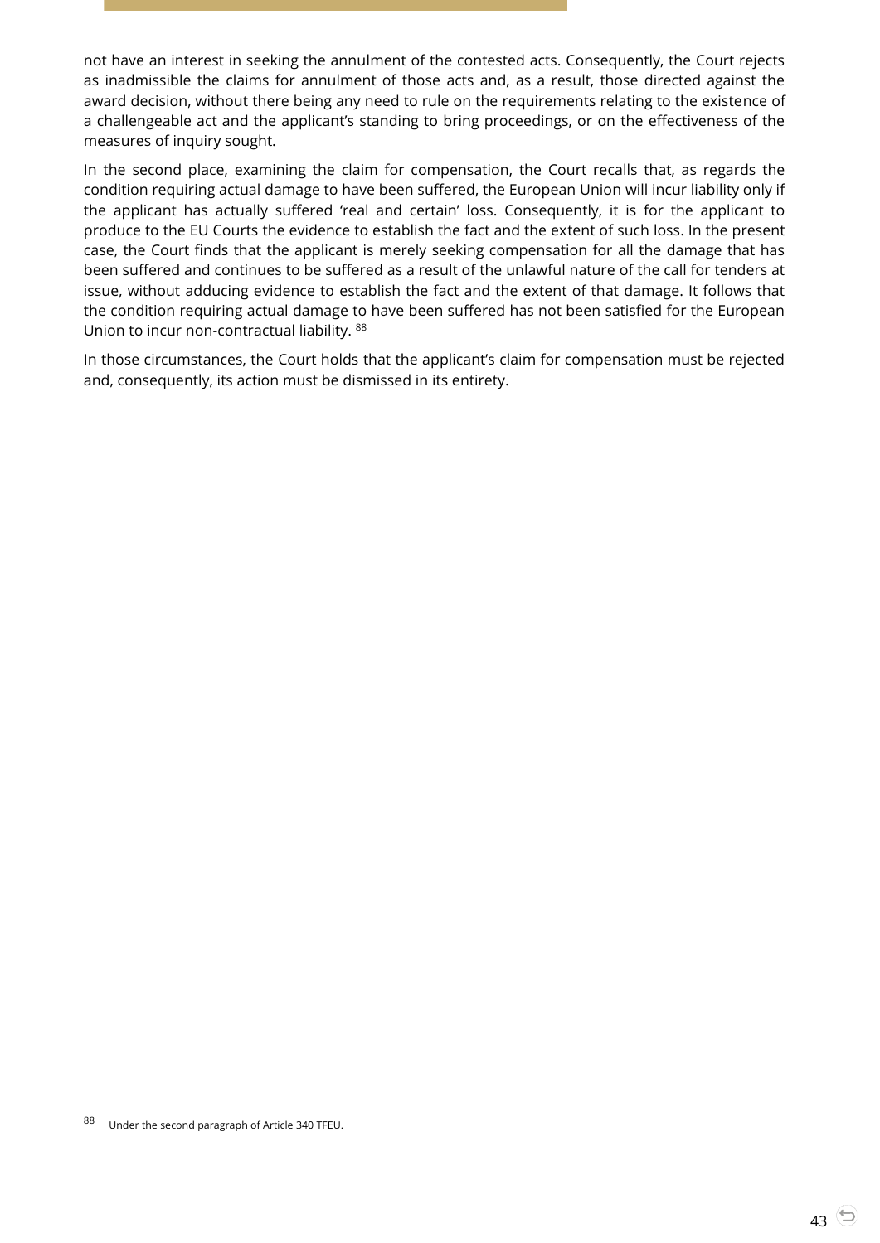not have an interest in seeking the annulment of the contested acts. Consequently, the Court rejects as inadmissible the claims for annulment of those acts and, as a result, those directed against the award decision, without there being any need to rule on the requirements relating to the existence of a challengeable act and the applicant's standing to bring proceedings, or on the effectiveness of the measures of inquiry sought.

In the second place, examining the claim for compensation, the Court recalls that, as regards the condition requiring actual damage to have been suffered, the European Union will incur liability only if the applicant has actually suffered 'real and certain' loss. Consequently, it is for the applicant to produce to the EU Courts the evidence to establish the fact and the extent of such loss. In the present case, the Court finds that the applicant is merely seeking compensation for all the damage that has been suffered and continues to be suffered as a result of the unlawful nature of the call for tenders at issue, without adducing evidence to establish the fact and the extent of that damage. It follows that the condition requiring actual damage to have been suffered has not been satisfied for the European Union to incur non-contractual liability. <sup>88</sup>

In those circumstances, the Court holds that the applicant's claim for compensation must be rejected and, consequently, its action must be dismissed in its entirety.

Under the second paragraph of Article 340 TFEU.